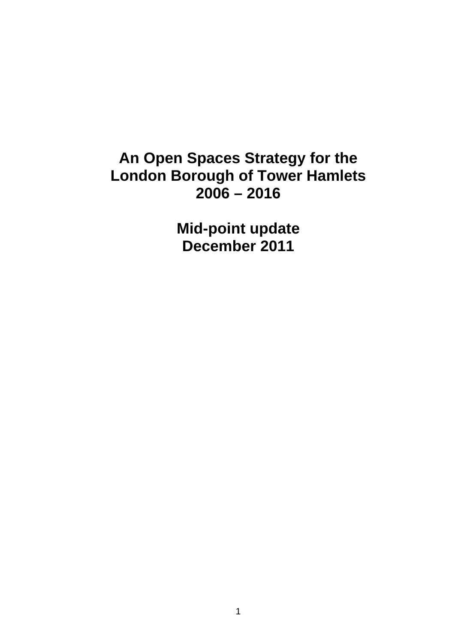# **An Open Spaces Strategy for the London Borough of Tower Hamlets 2006 – 2016**

**Mid-point update December 2011**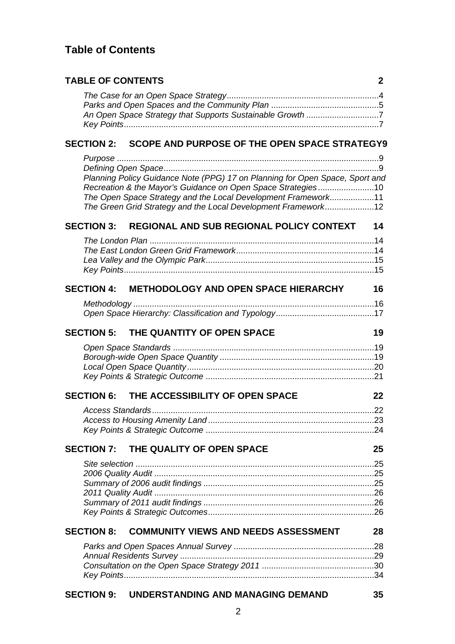# **Table of Contents**

| <b>TABLE OF CONTENTS</b>                                                                                                                     | 2  |
|----------------------------------------------------------------------------------------------------------------------------------------------|----|
|                                                                                                                                              |    |
|                                                                                                                                              |    |
| An Open Space Strategy that Supports Sustainable Growth 7                                                                                    |    |
|                                                                                                                                              |    |
|                                                                                                                                              |    |
| SECTION 2: SCOPE AND PURPOSE OF THE OPEN SPACE STRATEGY9                                                                                     |    |
|                                                                                                                                              |    |
|                                                                                                                                              |    |
| Planning Policy Guidance Note (PPG) 17 on Planning for Open Space, Sport and<br>Recreation & the Mayor's Guidance on Open Space Strategies10 |    |
| The Open Space Strategy and the Local Development Framework11                                                                                |    |
| The Green Grid Strategy and the Local Development Framework12                                                                                |    |
|                                                                                                                                              |    |
| <b>SECTION 3:</b><br><b>REGIONAL AND SUB REGIONAL POLICY CONTEXT</b>                                                                         | 14 |
|                                                                                                                                              |    |
|                                                                                                                                              |    |
|                                                                                                                                              |    |
|                                                                                                                                              |    |
| <b>SECTION 4:</b><br><b>METHODOLOGY AND OPEN SPACE HIERARCHY</b>                                                                             | 16 |
|                                                                                                                                              |    |
|                                                                                                                                              |    |
|                                                                                                                                              |    |
| THE QUANTITY OF OPEN SPACE<br><b>SECTION 5:</b>                                                                                              | 19 |
|                                                                                                                                              |    |
|                                                                                                                                              |    |
|                                                                                                                                              |    |
|                                                                                                                                              |    |
| SECTION 6: THE ACCESSIBILITY OF OPEN SPACE                                                                                                   | 22 |
|                                                                                                                                              |    |
|                                                                                                                                              |    |
|                                                                                                                                              |    |
|                                                                                                                                              |    |
| THE QUALITY OF OPEN SPACE<br><b>SECTION 7:</b>                                                                                               | 25 |
|                                                                                                                                              |    |
|                                                                                                                                              |    |
|                                                                                                                                              |    |
|                                                                                                                                              |    |
|                                                                                                                                              |    |
|                                                                                                                                              |    |
| <b>COMMUNITY VIEWS AND NEEDS ASSESSMENT</b><br><b>SECTION 8:</b>                                                                             | 28 |
|                                                                                                                                              |    |
|                                                                                                                                              |    |
|                                                                                                                                              |    |
|                                                                                                                                              |    |
| <b>SECTION 9: UNDERSTANDING AND MANAGING DEMAND</b>                                                                                          | 35 |
|                                                                                                                                              |    |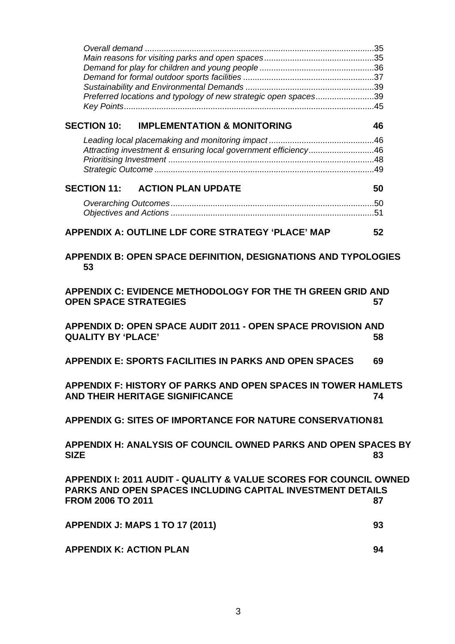| Preferred locations and typology of new strategic open spaces39                                                                                                    |    |
|--------------------------------------------------------------------------------------------------------------------------------------------------------------------|----|
| <b>SECTION 10:</b><br><b>IMPLEMENTATION &amp; MONITORING</b>                                                                                                       | 46 |
|                                                                                                                                                                    |    |
| Attracting investment & ensuring local government efficiency46                                                                                                     |    |
|                                                                                                                                                                    |    |
|                                                                                                                                                                    |    |
| <b>SECTION 11:</b><br><b>ACTION PLAN UPDATE</b>                                                                                                                    | 50 |
|                                                                                                                                                                    |    |
|                                                                                                                                                                    |    |
| <b>APPENDIX A: OUTLINE LDF CORE STRATEGY 'PLACE' MAP</b>                                                                                                           | 52 |
| APPENDIX B: OPEN SPACE DEFINITION, DESIGNATIONS AND TYPOLOGIES<br>53                                                                                               |    |
| APPENDIX C: EVIDENCE METHODOLOGY FOR THE TH GREEN GRID AND<br><b>OPEN SPACE STRATEGIES</b>                                                                         | 57 |
| APPENDIX D: OPEN SPACE AUDIT 2011 - OPEN SPACE PROVISION AND<br><b>QUALITY BY 'PLACE'</b>                                                                          | 58 |
| <b>APPENDIX E: SPORTS FACILITIES IN PARKS AND OPEN SPACES</b>                                                                                                      | 69 |
| APPENDIX F: HISTORY OF PARKS AND OPEN SPACES IN TOWER HAMLETS<br><b>AND THEIR HERITAGE SIGNIFICANCE</b>                                                            | 74 |
| <b>APPENDIX G: SITES OF IMPORTANCE FOR NATURE CONSERVATION 81</b>                                                                                                  |    |
| APPENDIX H: ANALYSIS OF COUNCIL OWNED PARKS AND OPEN SPACES BY<br><b>SIZE</b>                                                                                      | 83 |
| APPENDIX I: 2011 AUDIT - QUALITY & VALUE SCORES FOR COUNCIL OWNED<br><b>PARKS AND OPEN SPACES INCLUDING CAPITAL INVESTMENT DETAILS</b><br><b>FROM 2006 TO 2011</b> | 87 |
| <b>APPENDIX J: MAPS 1 TO 17 (2011)</b>                                                                                                                             | 93 |
| <b>APPENDIX K: ACTION PLAN</b>                                                                                                                                     | 94 |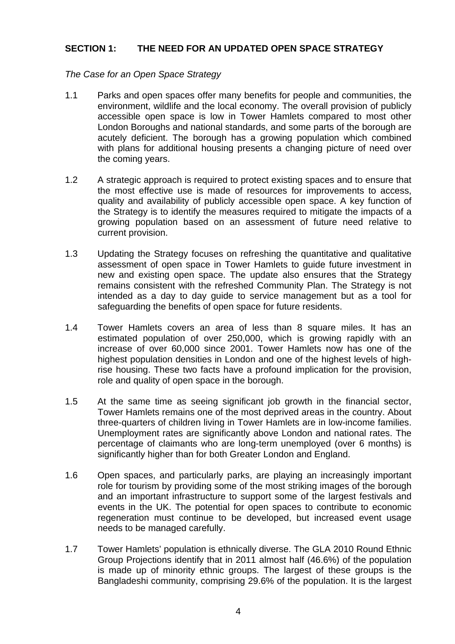### **SECTION 1: THE NEED FOR AN UPDATED OPEN SPACE STRATEGY**

#### *The Case for an Open Space Strategy*

- 1.1 Parks and open spaces offer many benefits for people and communities, the environment, wildlife and the local economy. The overall provision of publicly accessible open space is low in Tower Hamlets compared to most other London Boroughs and national standards, and some parts of the borough are acutely deficient. The borough has a growing population which combined with plans for additional housing presents a changing picture of need over the coming years.
- 1.2 A strategic approach is required to protect existing spaces and to ensure that the most effective use is made of resources for improvements to access, quality and availability of publicly accessible open space. A key function of the Strategy is to identify the measures required to mitigate the impacts of a growing population based on an assessment of future need relative to current provision.
- 1.3 Updating the Strategy focuses on refreshing the quantitative and qualitative assessment of open space in Tower Hamlets to guide future investment in new and existing open space. The update also ensures that the Strategy remains consistent with the refreshed Community Plan. The Strategy is not intended as a day to day guide to service management but as a tool for safeguarding the benefits of open space for future residents.
- 1.4 Tower Hamlets covers an area of less than 8 square miles. It has an estimated population of over 250,000, which is growing rapidly with an increase of over 60,000 since 2001. Tower Hamlets now has one of the highest population densities in London and one of the highest levels of highrise housing. These two facts have a profound implication for the provision, role and quality of open space in the borough.
- 1.5 At the same time as seeing significant job growth in the financial sector, Tower Hamlets remains one of the most deprived areas in the country. About three-quarters of children living in Tower Hamlets are in low-income families. Unemployment rates are significantly above London and national rates. The percentage of claimants who are long-term unemployed (over 6 months) is significantly higher than for both Greater London and England.
- 1.6 Open spaces, and particularly parks, are playing an increasingly important role for tourism by providing some of the most striking images of the borough and an important infrastructure to support some of the largest festivals and events in the UK. The potential for open spaces to contribute to economic regeneration must continue to be developed, but increased event usage needs to be managed carefully.
- 1.7 Tower Hamlets' population is ethnically diverse. The GLA 2010 Round Ethnic Group Projections identify that in 2011 almost half (46.6%) of the population is made up of minority ethnic groups. The largest of these groups is the Bangladeshi community, comprising 29.6% of the population. It is the largest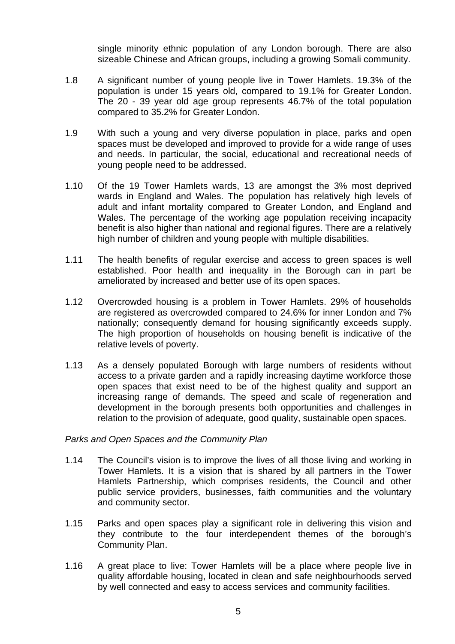single minority ethnic population of any London borough. There are also sizeable Chinese and African groups, including a growing Somali community.

- 1.8 A significant number of young people live in Tower Hamlets. 19.3% of the population is under 15 years old, compared to 19.1% for Greater London. The 20 - 39 year old age group represents 46.7% of the total population compared to 35.2% for Greater London.
- 1.9 With such a young and very diverse population in place, parks and open spaces must be developed and improved to provide for a wide range of uses and needs. In particular, the social, educational and recreational needs of young people need to be addressed.
- 1.10 Of the 19 Tower Hamlets wards, 13 are amongst the 3% most deprived wards in England and Wales. The population has relatively high levels of adult and infant mortality compared to Greater London, and England and Wales. The percentage of the working age population receiving incapacity benefit is also higher than national and regional figures. There are a relatively high number of children and young people with multiple disabilities.
- 1.11 The health benefits of regular exercise and access to green spaces is well established. Poor health and inequality in the Borough can in part be ameliorated by increased and better use of its open spaces.
- 1.12 Overcrowded housing is a problem in Tower Hamlets. 29% of households are registered as overcrowded compared to 24.6% for inner London and 7% nationally; consequently demand for housing significantly exceeds supply. The high proportion of households on housing benefit is indicative of the relative levels of poverty.
- 1.13 As a densely populated Borough with large numbers of residents without access to a private garden and a rapidly increasing daytime workforce those open spaces that exist need to be of the highest quality and support an increasing range of demands. The speed and scale of regeneration and development in the borough presents both opportunities and challenges in relation to the provision of adequate, good quality, sustainable open spaces.

### *Parks and Open Spaces and the Community Plan*

- 1.14 The Council's vision is to improve the lives of all those living and working in Tower Hamlets. It is a vision that is shared by all partners in the Tower Hamlets Partnership, which comprises residents, the Council and other public service providers, businesses, faith communities and the voluntary and community sector.
- 1.15 Parks and open spaces play a significant role in delivering this vision and they contribute to the four interdependent themes of the borough's Community Plan.
- 1.16 A great place to live: Tower Hamlets will be a place where people live in quality affordable housing, located in clean and safe neighbourhoods served by well connected and easy to access services and community facilities.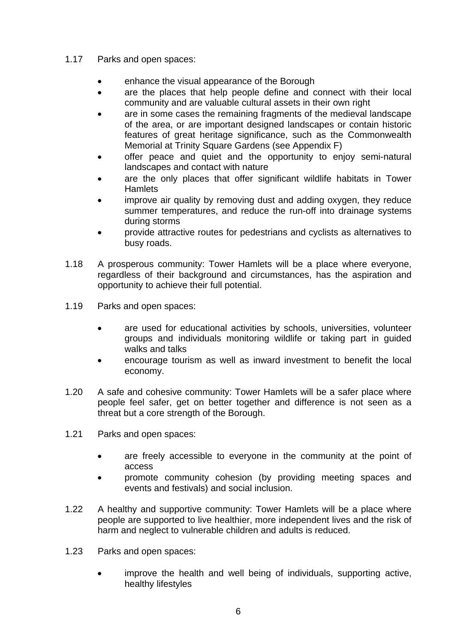# 1.17 Parks and open spaces:

- enhance the visual appearance of the Borough
- are the places that help people define and connect with their local community and are valuable cultural assets in their own right
- are in some cases the remaining fragments of the medieval landscape of the area, or are important designed landscapes or contain historic features of great heritage significance, such as the Commonwealth Memorial at Trinity Square Gardens (see Appendix F)
- offer peace and quiet and the opportunity to enjoy semi-natural landscapes and contact with nature
- are the only places that offer significant wildlife habitats in Tower **Hamlets**
- improve air quality by removing dust and adding oxygen, they reduce summer temperatures, and reduce the run-off into drainage systems during storms
- provide attractive routes for pedestrians and cyclists as alternatives to busy roads.
- 1.18 A prosperous community: Tower Hamlets will be a place where everyone, regardless of their background and circumstances, has the aspiration and opportunity to achieve their full potential.
- 1.19 Parks and open spaces:
	- are used for educational activities by schools, universities, volunteer groups and individuals monitoring wildlife or taking part in guided walks and talks
	- encourage tourism as well as inward investment to benefit the local economy.
- 1.20 A safe and cohesive community: Tower Hamlets will be a safer place where people feel safer, get on better together and difference is not seen as a threat but a core strength of the Borough.
- 1.21 Parks and open spaces:
	- are freely accessible to everyone in the community at the point of access
	- promote community cohesion (by providing meeting spaces and events and festivals) and social inclusion.
- 1.22 A healthy and supportive community: Tower Hamlets will be a place where people are supported to live healthier, more independent lives and the risk of harm and neglect to vulnerable children and adults is reduced.
- 1.23 Parks and open spaces:
	- improve the health and well being of individuals, supporting active, healthy lifestyles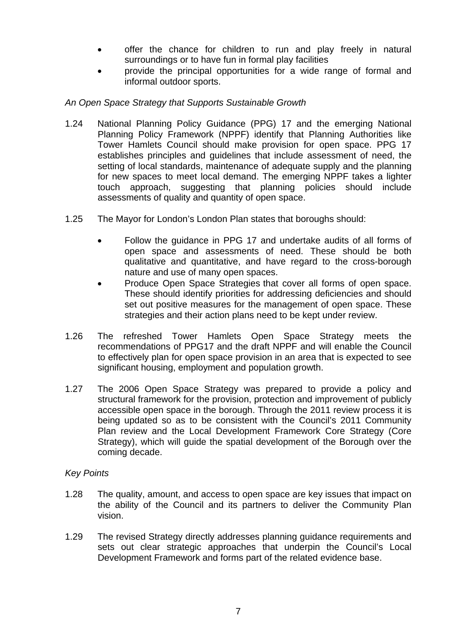- offer the chance for children to run and play freely in natural surroundings or to have fun in formal play facilities
- provide the principal opportunities for a wide range of formal and informal outdoor sports.

# *An Open Space Strategy that Supports Sustainable Growth*

- 1.24 National Planning Policy Guidance (PPG) 17 and the emerging National Planning Policy Framework (NPPF) identify that Planning Authorities like Tower Hamlets Council should make provision for open space. PPG 17 establishes principles and guidelines that include assessment of need, the setting of local standards, maintenance of adequate supply and the planning for new spaces to meet local demand. The emerging NPPF takes a lighter touch approach, suggesting that planning policies should include assessments of quality and quantity of open space.
- 1.25 The Mayor for London's London Plan states that boroughs should:
	- Follow the guidance in PPG 17 and undertake audits of all forms of open space and assessments of need. These should be both qualitative and quantitative, and have regard to the cross-borough nature and use of many open spaces.
	- Produce Open Space Strategies that cover all forms of open space. These should identify priorities for addressing deficiencies and should set out positive measures for the management of open space. These strategies and their action plans need to be kept under review.
- 1.26 The refreshed Tower Hamlets Open Space Strategy meets the recommendations of PPG17 and the draft NPPF and will enable the Council to effectively plan for open space provision in an area that is expected to see significant housing, employment and population growth.
- 1.27 The 2006 Open Space Strategy was prepared to provide a policy and structural framework for the provision, protection and improvement of publicly accessible open space in the borough. Through the 2011 review process it is being updated so as to be consistent with the Council's 2011 Community Plan review and the Local Development Framework Core Strategy (Core Strategy), which will guide the spatial development of the Borough over the coming decade.

### *Key Points*

- 1.28 The quality, amount, and access to open space are key issues that impact on the ability of the Council and its partners to deliver the Community Plan vision.
- 1.29 The revised Strategy directly addresses planning guidance requirements and sets out clear strategic approaches that underpin the Council's Local Development Framework and forms part of the related evidence base.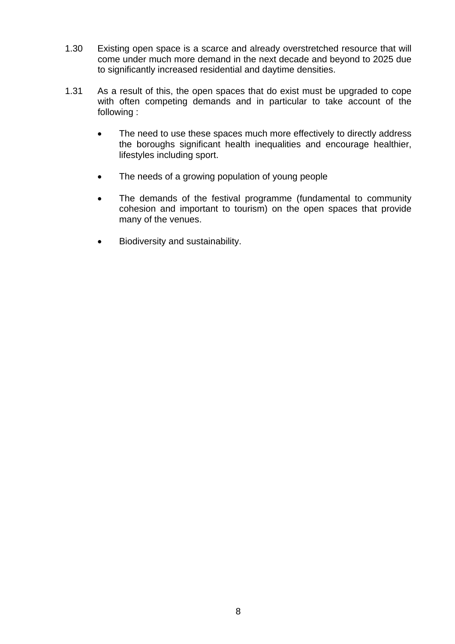- 1.30 Existing open space is a scarce and already overstretched resource that will come under much more demand in the next decade and beyond to 2025 due to significantly increased residential and daytime densities.
- 1.31 As a result of this, the open spaces that do exist must be upgraded to cope with often competing demands and in particular to take account of the following :
	- The need to use these spaces much more effectively to directly address the boroughs significant health inequalities and encourage healthier, lifestyles including sport.
	- The needs of a growing population of young people
	- The demands of the festival programme (fundamental to community cohesion and important to tourism) on the open spaces that provide many of the venues.
	- Biodiversity and sustainability.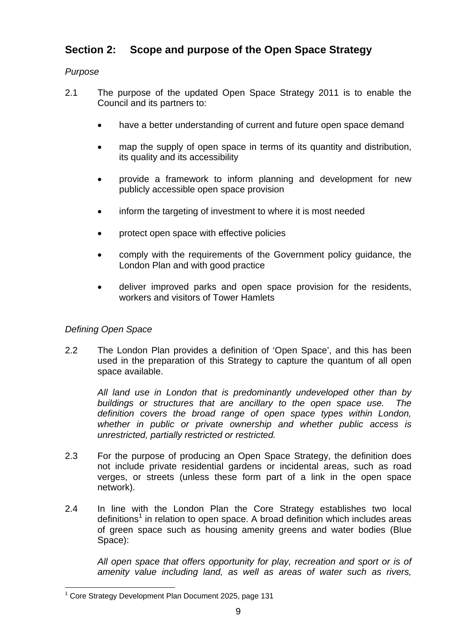# **Section 2: Scope and purpose of the Open Space Strategy**

# *Purpose*

- 2.1 The purpose of the updated Open Space Strategy 2011 is to enable the Council and its partners to:
	- have a better understanding of current and future open space demand
	- map the supply of open space in terms of its quantity and distribution, its quality and its accessibility
	- provide a framework to inform planning and development for new publicly accessible open space provision
	- inform the targeting of investment to where it is most needed
	- protect open space with effective policies
	- comply with the requirements of the Government policy guidance, the London Plan and with good practice
	- deliver improved parks and open space provision for the residents, workers and visitors of Tower Hamlets

# *Defining Open Space*

2.2 The London Plan provides a definition of 'Open Space', and this has been used in the preparation of this Strategy to capture the quantum of all open space available.

*All land use in London that is predominantly undeveloped other than by buildings or structures that are ancillary to the open space use. The definition covers the broad range of open space types within London, whether in public or private ownership and whether public access is unrestricted, partially restricted or restricted.* 

- 2.3 For the purpose of producing an Open Space Strategy, the definition does not include private residential gardens or incidental areas, such as road verges, or streets (unless these form part of a link in the open space network).
- 2.4 In line with the London Plan the Core Strategy establishes two local definitions<sup>1</sup> in relation to open space. A broad definition which includes areas of green space such as housing amenity greens and water bodies (Blue Space):

*All open space that offers opportunity for play, recreation and sport or is of amenity value including land, as well as areas of water such as rivers,* 

<sup>1</sup> <sup>1</sup> Core Strategy Development Plan Document 2025, page 131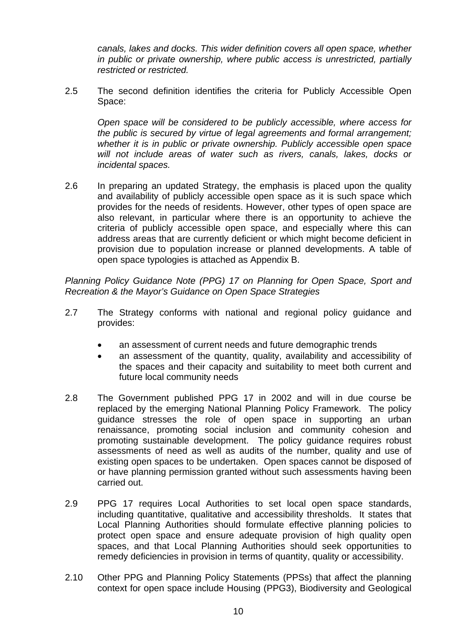*canals, lakes and docks. This wider definition covers all open space, whether in public or private ownership, where public access is unrestricted, partially restricted or restricted.*

2.5 The second definition identifies the criteria for Publicly Accessible Open Space:

*Open space will be considered to be publicly accessible, where access for the public is secured by virtue of legal agreements and formal arrangement; whether it is in public or private ownership. Publicly accessible open space will not include areas of water such as rivers, canals, lakes, docks or incidental spaces.*

2.6 In preparing an updated Strategy, the emphasis is placed upon the quality and availability of publicly accessible open space as it is such space which provides for the needs of residents. However, other types of open space are also relevant, in particular where there is an opportunity to achieve the criteria of publicly accessible open space, and especially where this can address areas that are currently deficient or which might become deficient in provision due to population increase or planned developments. A table of open space typologies is attached as Appendix B.

*Planning Policy Guidance Note (PPG) 17 on Planning for Open Space, Sport and Recreation & the Mayor's Guidance on Open Space Strategies* 

- 2.7 The Strategy conforms with national and regional policy guidance and provides:
	- an assessment of current needs and future demographic trends
	- an assessment of the quantity, quality, availability and accessibility of the spaces and their capacity and suitability to meet both current and future local community needs
- 2.8 The Government published PPG 17 in 2002 and will in due course be replaced by the emerging National Planning Policy Framework. The policy guidance stresses the role of open space in supporting an urban renaissance, promoting social inclusion and community cohesion and promoting sustainable development. The policy guidance requires robust assessments of need as well as audits of the number, quality and use of existing open spaces to be undertaken. Open spaces cannot be disposed of or have planning permission granted without such assessments having been carried out.
- 2.9 PPG 17 requires Local Authorities to set local open space standards, including quantitative, qualitative and accessibility thresholds. It states that Local Planning Authorities should formulate effective planning policies to protect open space and ensure adequate provision of high quality open spaces, and that Local Planning Authorities should seek opportunities to remedy deficiencies in provision in terms of quantity, quality or accessibility.
- 2.10 Other PPG and Planning Policy Statements (PPSs) that affect the planning context for open space include Housing (PPG3), Biodiversity and Geological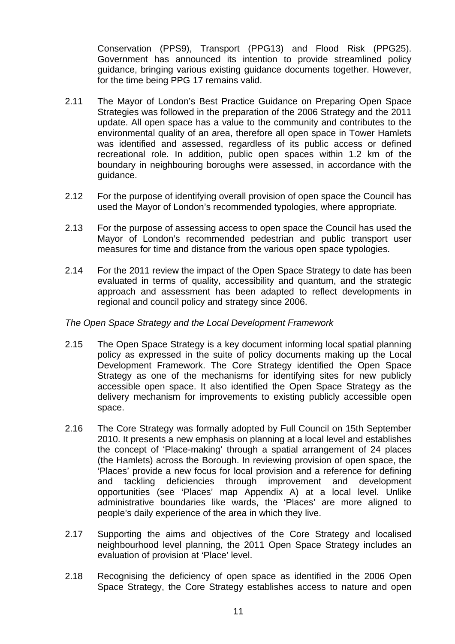Conservation (PPS9), Transport (PPG13) and Flood Risk (PPG25). Government has announced its intention to provide streamlined policy guidance, bringing various existing guidance documents together. However, for the time being PPG 17 remains valid.

- 2.11 The Mayor of London's Best Practice Guidance on Preparing Open Space Strategies was followed in the preparation of the 2006 Strategy and the 2011 update. All open space has a value to the community and contributes to the environmental quality of an area, therefore all open space in Tower Hamlets was identified and assessed, regardless of its public access or defined recreational role. In addition, public open spaces within 1.2 km of the boundary in neighbouring boroughs were assessed, in accordance with the guidance.
- 2.12 For the purpose of identifying overall provision of open space the Council has used the Mayor of London's recommended typologies, where appropriate.
- 2.13 For the purpose of assessing access to open space the Council has used the Mayor of London's recommended pedestrian and public transport user measures for time and distance from the various open space typologies.
- 2.14 For the 2011 review the impact of the Open Space Strategy to date has been evaluated in terms of quality, accessibility and quantum, and the strategic approach and assessment has been adapted to reflect developments in regional and council policy and strategy since 2006.

#### *The Open Space Strategy and the Local Development Framework*

- 2.15 The Open Space Strategy is a key document informing local spatial planning policy as expressed in the suite of policy documents making up the Local Development Framework. The Core Strategy identified the Open Space Strategy as one of the mechanisms for identifying sites for new publicly accessible open space. It also identified the Open Space Strategy as the delivery mechanism for improvements to existing publicly accessible open space.
- 2.16 The Core Strategy was formally adopted by Full Council on 15th September 2010. It presents a new emphasis on planning at a local level and establishes the concept of 'Place-making' through a spatial arrangement of 24 places (the Hamlets) across the Borough. In reviewing provision of open space, the 'Places' provide a new focus for local provision and a reference for defining and tackling deficiencies through improvement and development opportunities (see 'Places' map Appendix A) at a local level. Unlike administrative boundaries like wards, the 'Places' are more aligned to people's daily experience of the area in which they live.
- 2.17 Supporting the aims and objectives of the Core Strategy and localised neighbourhood level planning, the 2011 Open Space Strategy includes an evaluation of provision at 'Place' level.
- 2.18 Recognising the deficiency of open space as identified in the 2006 Open Space Strategy, the Core Strategy establishes access to nature and open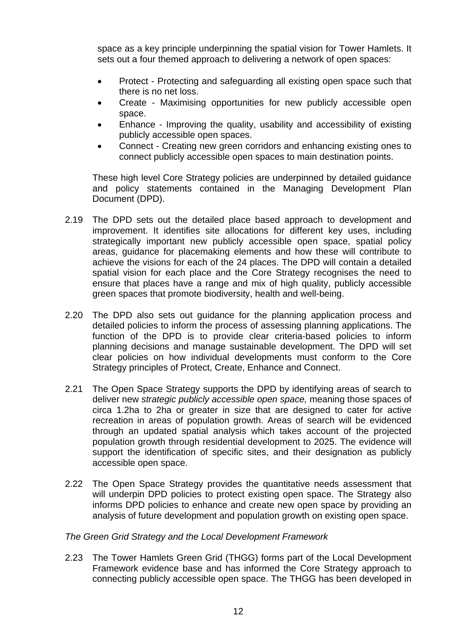space as a key principle underpinning the spatial vision for Tower Hamlets. It sets out a four themed approach to delivering a network of open spaces:

- Protect Protecting and safeguarding all existing open space such that there is no net loss.
- Create Maximising opportunities for new publicly accessible open space.
- Enhance Improving the quality, usability and accessibility of existing publicly accessible open spaces.
- Connect Creating new green corridors and enhancing existing ones to connect publicly accessible open spaces to main destination points.

These high level Core Strategy policies are underpinned by detailed guidance and policy statements contained in the Managing Development Plan Document (DPD).

- 2.19 The DPD sets out the detailed place based approach to development and improvement. It identifies site allocations for different key uses, including strategically important new publicly accessible open space, spatial policy areas, guidance for placemaking elements and how these will contribute to achieve the visions for each of the 24 places. The DPD will contain a detailed spatial vision for each place and the Core Strategy recognises the need to ensure that places have a range and mix of high quality, publicly accessible green spaces that promote biodiversity, health and well-being.
- 2.20 The DPD also sets out quidance for the planning application process and detailed policies to inform the process of assessing planning applications. The function of the DPD is to provide clear criteria-based policies to inform planning decisions and manage sustainable development. The DPD will set clear policies on how individual developments must conform to the Core Strategy principles of Protect, Create, Enhance and Connect.
- 2.21 The Open Space Strategy supports the DPD by identifying areas of search to deliver new *strategic publicly accessible open space,* meaning those spaces of circa 1.2ha to 2ha or greater in size that are designed to cater for active recreation in areas of population growth. Areas of search will be evidenced through an updated spatial analysis which takes account of the projected population growth through residential development to 2025. The evidence will support the identification of specific sites, and their designation as publicly accessible open space.
- 2.22 The Open Space Strategy provides the quantitative needs assessment that will underpin DPD policies to protect existing open space. The Strategy also informs DPD policies to enhance and create new open space by providing an analysis of future development and population growth on existing open space.

### *The Green Grid Strategy and the Local Development Framework*

2.23 The Tower Hamlets Green Grid (THGG) forms part of the Local Development Framework evidence base and has informed the Core Strategy approach to connecting publicly accessible open space. The THGG has been developed in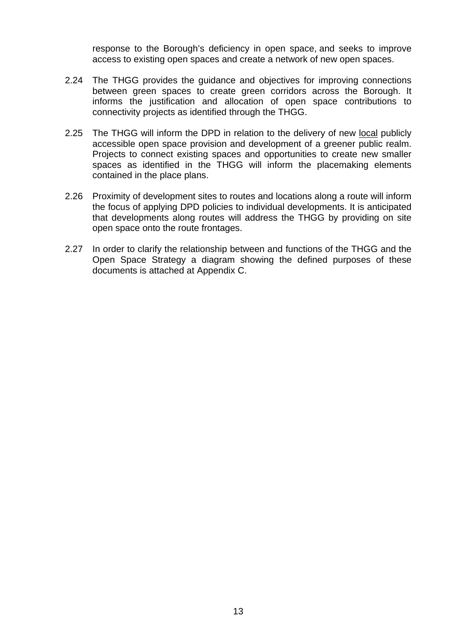response to the Borough's deficiency in open space, and seeks to improve access to existing open spaces and create a network of new open spaces.

- 2.24 The THGG provides the guidance and objectives for improving connections between green spaces to create green corridors across the Borough. It informs the justification and allocation of open space contributions to connectivity projects as identified through the THGG.
- 2.25 The THGG will inform the DPD in relation to the delivery of new local publicly accessible open space provision and development of a greener public realm. Projects to connect existing spaces and opportunities to create new smaller spaces as identified in the THGG will inform the placemaking elements contained in the place plans.
- 2.26 Proximity of development sites to routes and locations along a route will inform the focus of applying DPD policies to individual developments. It is anticipated that developments along routes will address the THGG by providing on site open space onto the route frontages.
- 2.27 In order to clarify the relationship between and functions of the THGG and the Open Space Strategy a diagram showing the defined purposes of these documents is attached at Appendix C.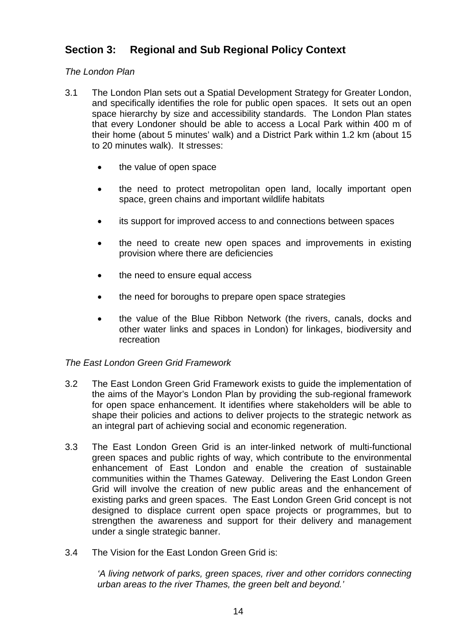# **Section 3: Regional and Sub Regional Policy Context**

# *The London Plan*

- 3.1 The London Plan sets out a Spatial Development Strategy for Greater London, and specifically identifies the role for public open spaces. It sets out an open space hierarchy by size and accessibility standards. The London Plan states that every Londoner should be able to access a Local Park within 400 m of their home (about 5 minutes' walk) and a District Park within 1.2 km (about 15 to 20 minutes walk). It stresses:
	- the value of open space
	- the need to protect metropolitan open land, locally important open space, green chains and important wildlife habitats
	- its support for improved access to and connections between spaces
	- the need to create new open spaces and improvements in existing provision where there are deficiencies
	- the need to ensure equal access
	- the need for boroughs to prepare open space strategies
	- the value of the Blue Ribbon Network (the rivers, canals, docks and other water links and spaces in London) for linkages, biodiversity and recreation

### *The East London Green Grid Framework*

- 3.2 The East London Green Grid Framework exists to guide the implementation of the aims of the Mayor's London Plan by providing the sub-regional framework for open space enhancement. It identifies where stakeholders will be able to shape their policies and actions to deliver projects to the strategic network as an integral part of achieving social and economic regeneration.
- 3.3 The East London Green Grid is an inter-linked network of multi-functional green spaces and public rights of way, which contribute to the environmental enhancement of East London and enable the creation of sustainable communities within the Thames Gateway. Delivering the East London Green Grid will involve the creation of new public areas and the enhancement of existing parks and green spaces. The East London Green Grid concept is not designed to displace current open space projects or programmes, but to strengthen the awareness and support for their delivery and management under a single strategic banner.
- 3.4 The Vision for the East London Green Grid is:

*'A living network of parks, green spaces, river and other corridors connecting urban areas to the river Thames, the green belt and beyond.'*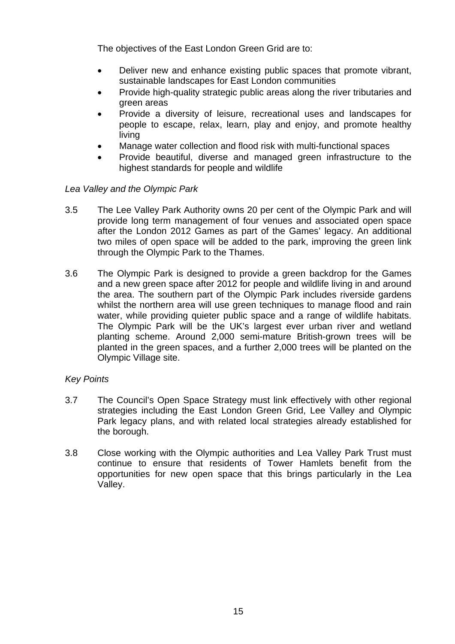The objectives of the East London Green Grid are to:

- Deliver new and enhance existing public spaces that promote vibrant, sustainable landscapes for East London communities
- Provide high-quality strategic public areas along the river tributaries and green areas
- Provide a diversity of leisure, recreational uses and landscapes for people to escape, relax, learn, play and enjoy, and promote healthy living
- Manage water collection and flood risk with multi-functional spaces
- Provide beautiful, diverse and managed green infrastructure to the highest standards for people and wildlife

### *Lea Valley and the Olympic Park*

- 3.5 The Lee Valley Park Authority owns 20 per cent of the Olympic Park and will provide long term management of four venues and associated open space after the London 2012 Games as part of the Games' legacy. An additional two miles of open space will be added to the park, improving the green link through the Olympic Park to the Thames.
- 3.6 The Olympic Park is designed to provide a green backdrop for the Games and a new green space after 2012 for people and wildlife living in and around the area. The southern part of the Olympic Park includes riverside gardens whilst the northern area will use green techniques to manage flood and rain water, while providing quieter public space and a range of wildlife habitats. The Olympic Park will be the UK's largest ever urban river and wetland planting scheme. Around 2,000 semi-mature British-grown trees will be planted in the green spaces, and a further 2,000 trees will be planted on the Olympic Village site.

### *Key Points*

- 3.7 The Council's Open Space Strategy must link effectively with other regional strategies including the East London Green Grid, Lee Valley and Olympic Park legacy plans, and with related local strategies already established for the borough.
- 3.8 Close working with the Olympic authorities and Lea Valley Park Trust must continue to ensure that residents of Tower Hamlets benefit from the opportunities for new open space that this brings particularly in the Lea Valley.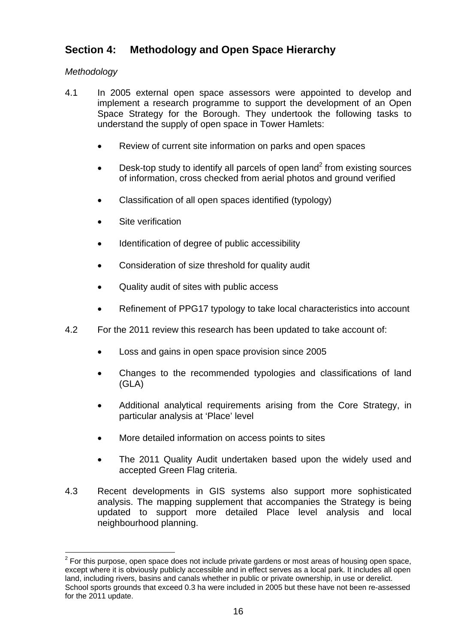# **Section 4: Methodology and Open Space Hierarchy**

# *Methodology*

- 4.1 In 2005 external open space assessors were appointed to develop and implement a research programme to support the development of an Open Space Strategy for the Borough. They undertook the following tasks to understand the supply of open space in Tower Hamlets:
	- Review of current site information on parks and open spaces
	- Desk-top study to identify all parcels of open land<sup>2</sup> from existing sources of information, cross checked from aerial photos and ground verified
	- Classification of all open spaces identified (typology)
	- Site verification
	- Identification of degree of public accessibility
	- Consideration of size threshold for quality audit
	- Quality audit of sites with public access
	- Refinement of PPG17 typology to take local characteristics into account
- 4.2 For the 2011 review this research has been updated to take account of:
	- Loss and gains in open space provision since 2005
	- Changes to the recommended typologies and classifications of land (GLA)
	- Additional analytical requirements arising from the Core Strategy, in particular analysis at 'Place' level
	- More detailed information on access points to sites
	- The 2011 Quality Audit undertaken based upon the widely used and accepted Green Flag criteria.
- 4.3 Recent developments in GIS systems also support more sophisticated analysis. The mapping supplement that accompanies the Strategy is being updated to support more detailed Place level analysis and local neighbourhood planning.

 2 For this purpose, open space does not include private gardens or most areas of housing open space, except where it is obviously publicly accessible and in effect serves as a local park. It includes all open land, including rivers, basins and canals whether in public or private ownership, in use or derelict. School sports grounds that exceed 0.3 ha were included in 2005 but these have not been re-assessed for the 2011 update.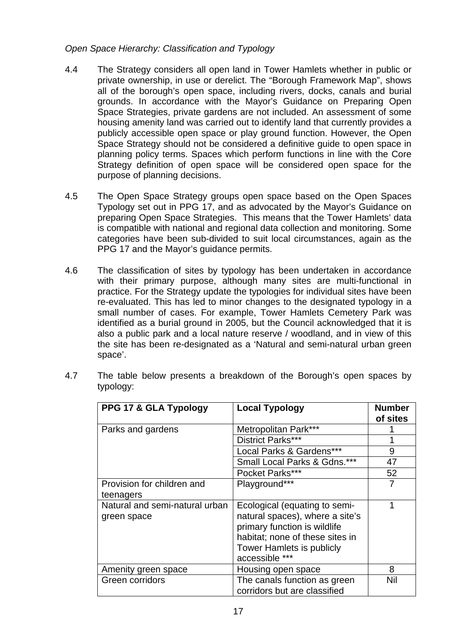# *Open Space Hierarchy: Classification and Typology*

- 4.4 The Strategy considers all open land in Tower Hamlets whether in public or private ownership, in use or derelict. The "Borough Framework Map", shows all of the borough's open space, including rivers, docks, canals and burial grounds. In accordance with the Mayor's Guidance on Preparing Open Space Strategies, private gardens are not included. An assessment of some housing amenity land was carried out to identify land that currently provides a publicly accessible open space or play ground function. However, the Open Space Strategy should not be considered a definitive guide to open space in planning policy terms. Spaces which perform functions in line with the Core Strategy definition of open space will be considered open space for the purpose of planning decisions.
- 4.5 The Open Space Strategy groups open space based on the Open Spaces Typology set out in PPG 17, and as advocated by the Mayor's Guidance on preparing Open Space Strategies. This means that the Tower Hamlets' data is compatible with national and regional data collection and monitoring. Some categories have been sub-divided to suit local circumstances, again as the PPG 17 and the Mayor's guidance permits.
- 4.6 The classification of sites by typology has been undertaken in accordance with their primary purpose, although many sites are multi-functional in practice. For the Strategy update the typologies for individual sites have been re-evaluated. This has led to minor changes to the designated typology in a small number of cases. For example, Tower Hamlets Cemetery Park was identified as a burial ground in 2005, but the Council acknowledged that it is also a public park and a local nature reserve / woodland, and in view of this the site has been re-designated as a 'Natural and semi-natural urban green space'.

| PPG 17 & GLA Typology                         | <b>Local Typology</b>                                                                                                                                                                     | <b>Number</b><br>of sites |
|-----------------------------------------------|-------------------------------------------------------------------------------------------------------------------------------------------------------------------------------------------|---------------------------|
| Parks and gardens                             | Metropolitan Park***                                                                                                                                                                      |                           |
|                                               | District Parks***                                                                                                                                                                         | 1                         |
|                                               | Local Parks & Gardens***                                                                                                                                                                  | 9                         |
|                                               | Small Local Parks & Gdns.***                                                                                                                                                              | 47                        |
|                                               | Pocket Parks***                                                                                                                                                                           | 52                        |
| Provision for children and                    | Playground***                                                                                                                                                                             |                           |
| teenagers                                     |                                                                                                                                                                                           |                           |
| Natural and semi-natural urban<br>green space | Ecological (equating to semi-<br>natural spaces), where a site's<br>primary function is wildlife<br>habitat; none of these sites in<br><b>Tower Hamlets is publicly</b><br>accessible *** |                           |
| Amenity green space                           | Housing open space                                                                                                                                                                        | 8                         |
| Green corridors                               | The canals function as green<br>corridors but are classified                                                                                                                              | Nil                       |

4.7 The table below presents a breakdown of the Borough's open spaces by typology: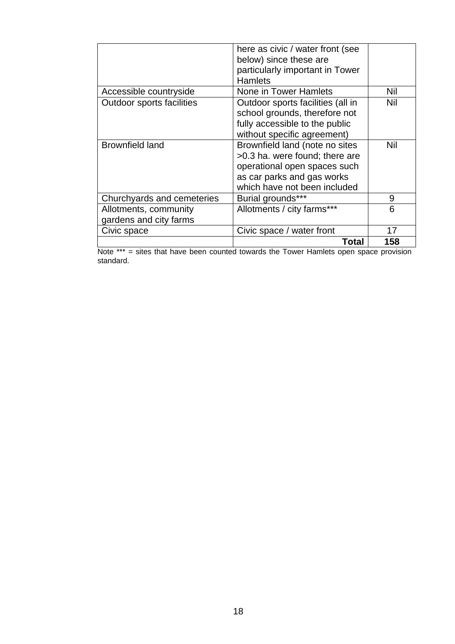|                                                 | here as civic / water front (see<br>below) since these are<br>particularly important in Tower<br><b>Hamlets</b>                                                |     |
|-------------------------------------------------|----------------------------------------------------------------------------------------------------------------------------------------------------------------|-----|
| Accessible countryside                          | None in Tower Hamlets                                                                                                                                          | Nil |
| <b>Outdoor sports facilities</b>                | Outdoor sports facilities (all in<br>school grounds, therefore not<br>fully accessible to the public<br>without specific agreement)                            | Nil |
| <b>Brownfield land</b>                          | Brownfield land (note no sites<br>>0.3 ha. were found; there are<br>operational open spaces such<br>as car parks and gas works<br>which have not been included | Nil |
| Churchyards and cemeteries                      | Burial grounds***                                                                                                                                              | 9   |
| Allotments, community<br>gardens and city farms | Allotments / city farms***                                                                                                                                     | 6   |
| Civic space                                     | Civic space / water front                                                                                                                                      | 17  |
|                                                 | Total                                                                                                                                                          | 158 |

Note \*\*\* = sites that have been counted towards the Tower Hamlets open space provision standard.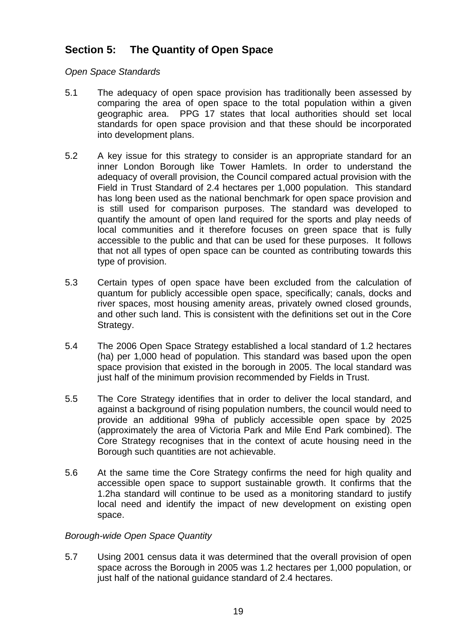# **Section 5: The Quantity of Open Space**

*Open Space Standards* 

- 5.1 The adequacy of open space provision has traditionally been assessed by comparing the area of open space to the total population within a given geographic area. PPG 17 states that local authorities should set local standards for open space provision and that these should be incorporated into development plans.
- 5.2 A key issue for this strategy to consider is an appropriate standard for an inner London Borough like Tower Hamlets. In order to understand the adequacy of overall provision, the Council compared actual provision with the Field in Trust Standard of 2.4 hectares per 1,000 population. This standard has long been used as the national benchmark for open space provision and is still used for comparison purposes. The standard was developed to quantify the amount of open land required for the sports and play needs of local communities and it therefore focuses on green space that is fully accessible to the public and that can be used for these purposes. It follows that not all types of open space can be counted as contributing towards this type of provision.
- 5.3 Certain types of open space have been excluded from the calculation of quantum for publicly accessible open space, specifically; canals, docks and river spaces, most housing amenity areas, privately owned closed grounds, and other such land. This is consistent with the definitions set out in the Core Strategy.
- 5.4 The 2006 Open Space Strategy established a local standard of 1.2 hectares (ha) per 1,000 head of population. This standard was based upon the open space provision that existed in the borough in 2005. The local standard was just half of the minimum provision recommended by Fields in Trust.
- 5.5 The Core Strategy identifies that in order to deliver the local standard, and against a background of rising population numbers, the council would need to provide an additional 99ha of publicly accessible open space by 2025 (approximately the area of Victoria Park and Mile End Park combined). The Core Strategy recognises that in the context of acute housing need in the Borough such quantities are not achievable.
- 5.6 At the same time the Core Strategy confirms the need for high quality and accessible open space to support sustainable growth. It confirms that the 1.2ha standard will continue to be used as a monitoring standard to justify local need and identify the impact of new development on existing open space.

# *Borough-wide Open Space Quantity*

5.7 Using 2001 census data it was determined that the overall provision of open space across the Borough in 2005 was 1.2 hectares per 1,000 population, or just half of the national guidance standard of 2.4 hectares.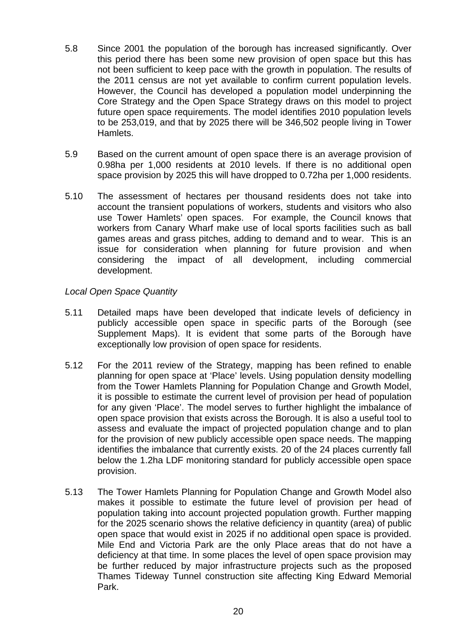- 5.8 Since 2001 the population of the borough has increased significantly. Over this period there has been some new provision of open space but this has not been sufficient to keep pace with the growth in population. The results of the 2011 census are not yet available to confirm current population levels. However, the Council has developed a population model underpinning the Core Strategy and the Open Space Strategy draws on this model to project future open space requirements. The model identifies 2010 population levels to be 253,019, and that by 2025 there will be 346,502 people living in Tower Hamlets.
- 5.9 Based on the current amount of open space there is an average provision of 0.98ha per 1,000 residents at 2010 levels. If there is no additional open space provision by 2025 this will have dropped to 0.72ha per 1,000 residents.
- 5.10 The assessment of hectares per thousand residents does not take into account the transient populations of workers, students and visitors who also use Tower Hamlets' open spaces. For example, the Council knows that workers from Canary Wharf make use of local sports facilities such as ball games areas and grass pitches, adding to demand and to wear. This is an issue for consideration when planning for future provision and when considering the impact of all development, including commercial development.

# *Local Open Space Quantity*

- 5.11 Detailed maps have been developed that indicate levels of deficiency in publicly accessible open space in specific parts of the Borough (see Supplement Maps). It is evident that some parts of the Borough have exceptionally low provision of open space for residents.
- 5.12 For the 2011 review of the Strategy, mapping has been refined to enable planning for open space at 'Place' levels. Using population density modelling from the Tower Hamlets Planning for Population Change and Growth Model, it is possible to estimate the current level of provision per head of population for any given 'Place'. The model serves to further highlight the imbalance of open space provision that exists across the Borough. It is also a useful tool to assess and evaluate the impact of projected population change and to plan for the provision of new publicly accessible open space needs. The mapping identifies the imbalance that currently exists. 20 of the 24 places currently fall below the 1.2ha LDF monitoring standard for publicly accessible open space provision.
- 5.13 The Tower Hamlets Planning for Population Change and Growth Model also makes it possible to estimate the future level of provision per head of population taking into account projected population growth. Further mapping for the 2025 scenario shows the relative deficiency in quantity (area) of public open space that would exist in 2025 if no additional open space is provided. Mile End and Victoria Park are the only Place areas that do not have a deficiency at that time. In some places the level of open space provision may be further reduced by major infrastructure projects such as the proposed Thames Tideway Tunnel construction site affecting King Edward Memorial Park.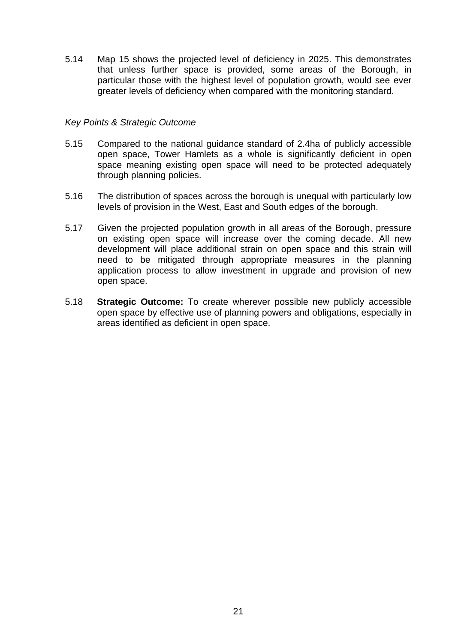5.14 Map 15 shows the projected level of deficiency in 2025. This demonstrates that unless further space is provided, some areas of the Borough, in particular those with the highest level of population growth, would see ever greater levels of deficiency when compared with the monitoring standard.

### *Key Points & Strategic Outcome*

- 5.15 Compared to the national guidance standard of 2.4ha of publicly accessible open space, Tower Hamlets as a whole is significantly deficient in open space meaning existing open space will need to be protected adequately through planning policies.
- 5.16 The distribution of spaces across the borough is unequal with particularly low levels of provision in the West, East and South edges of the borough.
- 5.17 Given the projected population growth in all areas of the Borough, pressure on existing open space will increase over the coming decade. All new development will place additional strain on open space and this strain will need to be mitigated through appropriate measures in the planning application process to allow investment in upgrade and provision of new open space.
- 5.18 **Strategic Outcome:** To create wherever possible new publicly accessible open space by effective use of planning powers and obligations, especially in areas identified as deficient in open space.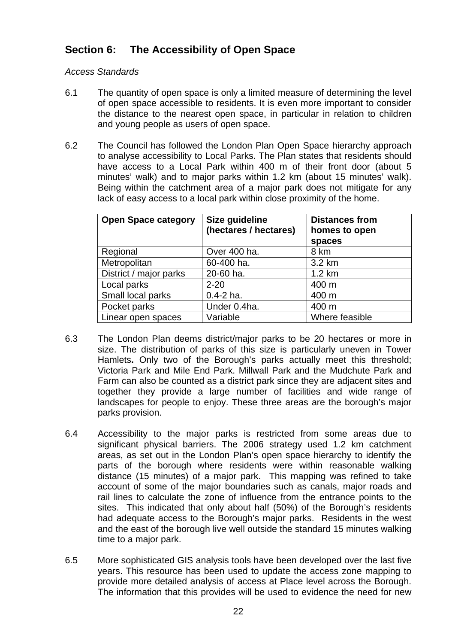# **Section 6: The Accessibility of Open Space**

### *Access Standards*

- 6.1 The quantity of open space is only a limited measure of determining the level of open space accessible to residents. It is even more important to consider the distance to the nearest open space, in particular in relation to children and young people as users of open space.
- 6.2 The Council has followed the London Plan Open Space hierarchy approach to analyse accessibility to Local Parks. The Plan states that residents should have access to a Local Park within 400 m of their front door (about 5 minutes' walk) and to major parks within 1.2 km (about 15 minutes' walk). Being within the catchment area of a major park does not mitigate for any lack of easy access to a local park within close proximity of the home.

| <b>Open Space category</b> | Size guideline<br>(hectares / hectares) | <b>Distances from</b><br>homes to open<br>spaces |
|----------------------------|-----------------------------------------|--------------------------------------------------|
| Regional                   | Over 400 ha.                            | 8 km                                             |
| Metropolitan               | 60-400 ha.                              | 3.2 km                                           |
| District / major parks     | 20-60 ha.                               | $1.2 \text{ km}$                                 |
| Local parks                | $2 - 20$                                | 400 m                                            |
| Small local parks          | $0.4 - 2$ ha.                           | 400 m                                            |
| Pocket parks               | Under 0.4ha.                            | 400 m                                            |
| Linear open spaces         | Variable                                | Where feasible                                   |

- 6.3 The London Plan deems district/major parks to be 20 hectares or more in size. The distribution of parks of this size is particularly uneven in Tower Hamlets**.** Only two of the Borough's parks actually meet this threshold; Victoria Park and Mile End Park. Millwall Park and the Mudchute Park and Farm can also be counted as a district park since they are adjacent sites and together they provide a large number of facilities and wide range of landscapes for people to enjoy. These three areas are the borough's major parks provision.
- 6.4 Accessibility to the major parks is restricted from some areas due to significant physical barriers. The 2006 strategy used 1.2 km catchment areas, as set out in the London Plan's open space hierarchy to identify the parts of the borough where residents were within reasonable walking distance (15 minutes) of a major park. This mapping was refined to take account of some of the major boundaries such as canals, major roads and rail lines to calculate the zone of influence from the entrance points to the sites. This indicated that only about half (50%) of the Borough's residents had adequate access to the Borough's major parks. Residents in the west and the east of the borough live well outside the standard 15 minutes walking time to a major park.
- 6.5 More sophisticated GIS analysis tools have been developed over the last five years. This resource has been used to update the access zone mapping to provide more detailed analysis of access at Place level across the Borough. The information that this provides will be used to evidence the need for new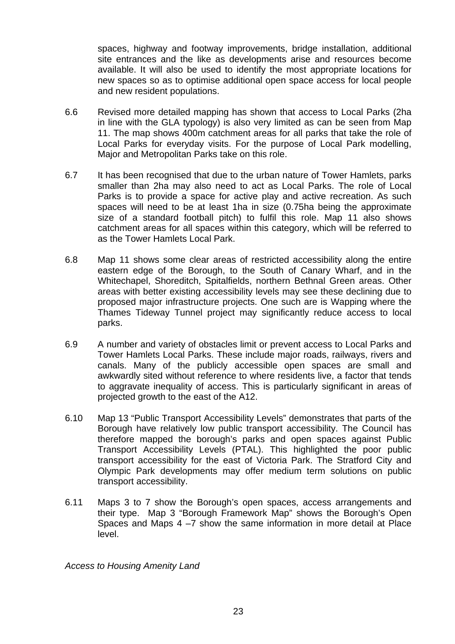spaces, highway and footway improvements, bridge installation, additional site entrances and the like as developments arise and resources become available. It will also be used to identify the most appropriate locations for new spaces so as to optimise additional open space access for local people and new resident populations.

- 6.6 Revised more detailed mapping has shown that access to Local Parks (2ha in line with the GLA typology) is also very limited as can be seen from Map 11. The map shows 400m catchment areas for all parks that take the role of Local Parks for everyday visits. For the purpose of Local Park modelling, Major and Metropolitan Parks take on this role.
- 6.7 It has been recognised that due to the urban nature of Tower Hamlets, parks smaller than 2ha may also need to act as Local Parks. The role of Local Parks is to provide a space for active play and active recreation. As such spaces will need to be at least 1ha in size (0.75ha being the approximate size of a standard football pitch) to fulfil this role. Map 11 also shows catchment areas for all spaces within this category, which will be referred to as the Tower Hamlets Local Park.
- 6.8 Map 11 shows some clear areas of restricted accessibility along the entire eastern edge of the Borough, to the South of Canary Wharf, and in the Whitechapel, Shoreditch, Spitalfields, northern Bethnal Green areas. Other areas with better existing accessibility levels may see these declining due to proposed major infrastructure projects. One such are is Wapping where the Thames Tideway Tunnel project may significantly reduce access to local parks.
- 6.9 A number and variety of obstacles limit or prevent access to Local Parks and Tower Hamlets Local Parks. These include major roads, railways, rivers and canals. Many of the publicly accessible open spaces are small and awkwardly sited without reference to where residents live, a factor that tends to aggravate inequality of access. This is particularly significant in areas of projected growth to the east of the A12.
- 6.10 Map 13 "Public Transport Accessibility Levels" demonstrates that parts of the Borough have relatively low public transport accessibility. The Council has therefore mapped the borough's parks and open spaces against Public Transport Accessibility Levels (PTAL). This highlighted the poor public transport accessibility for the east of Victoria Park. The Stratford City and Olympic Park developments may offer medium term solutions on public transport accessibility.
- 6.11 Maps 3 to 7 show the Borough's open spaces, access arrangements and their type. Map 3 "Borough Framework Map" shows the Borough's Open Spaces and Maps 4 –7 show the same information in more detail at Place level.

*Access to Housing Amenity Land*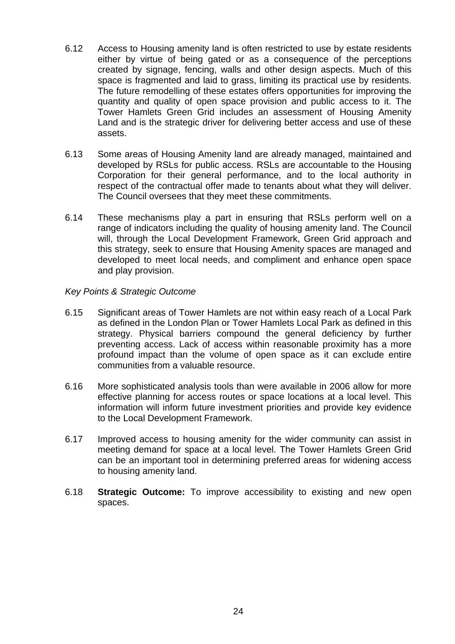- 6.12 Access to Housing amenity land is often restricted to use by estate residents either by virtue of being gated or as a consequence of the perceptions created by signage, fencing, walls and other design aspects. Much of this space is fragmented and laid to grass, limiting its practical use by residents. The future remodelling of these estates offers opportunities for improving the quantity and quality of open space provision and public access to it. The Tower Hamlets Green Grid includes an assessment of Housing Amenity Land and is the strategic driver for delivering better access and use of these assets.
- 6.13 Some areas of Housing Amenity land are already managed, maintained and developed by RSLs for public access. RSLs are accountable to the Housing Corporation for their general performance, and to the local authority in respect of the contractual offer made to tenants about what they will deliver. The Council oversees that they meet these commitments.
- 6.14 These mechanisms play a part in ensuring that RSLs perform well on a range of indicators including the quality of housing amenity land. The Council will, through the Local Development Framework, Green Grid approach and this strategy, seek to ensure that Housing Amenity spaces are managed and developed to meet local needs, and compliment and enhance open space and play provision.

### *Key Points & Strategic Outcome*

- 6.15 Significant areas of Tower Hamlets are not within easy reach of a Local Park as defined in the London Plan or Tower Hamlets Local Park as defined in this strategy. Physical barriers compound the general deficiency by further preventing access. Lack of access within reasonable proximity has a more profound impact than the volume of open space as it can exclude entire communities from a valuable resource.
- 6.16 More sophisticated analysis tools than were available in 2006 allow for more effective planning for access routes or space locations at a local level. This information will inform future investment priorities and provide key evidence to the Local Development Framework.
- 6.17 Improved access to housing amenity for the wider community can assist in meeting demand for space at a local level. The Tower Hamlets Green Grid can be an important tool in determining preferred areas for widening access to housing amenity land.
- 6.18 **Strategic Outcome:** To improve accessibility to existing and new open spaces.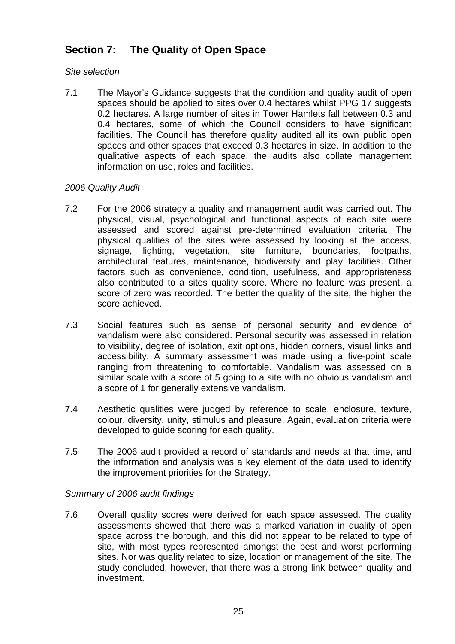# **Section 7: The Quality of Open Space**

# *Site selection*

7.1 The Mayor's Guidance suggests that the condition and quality audit of open spaces should be applied to sites over 0.4 hectares whilst PPG 17 suggests 0.2 hectares. A large number of sites in Tower Hamlets fall between 0.3 and 0.4 hectares, some of which the Council considers to have significant facilities. The Council has therefore quality audited all its own public open spaces and other spaces that exceed 0.3 hectares in size. In addition to the qualitative aspects of each space, the audits also collate management information on use, roles and facilities.

# *2006 Quality Audit*

- 7.2 For the 2006 strategy a quality and management audit was carried out. The physical, visual, psychological and functional aspects of each site were assessed and scored against pre-determined evaluation criteria. The physical qualities of the sites were assessed by looking at the access, signage, lighting, vegetation, site furniture, boundaries, footpaths, architectural features, maintenance, biodiversity and play facilities. Other factors such as convenience, condition, usefulness, and appropriateness also contributed to a sites quality score. Where no feature was present, a score of zero was recorded. The better the quality of the site, the higher the score achieved.
- 7.3 Social features such as sense of personal security and evidence of vandalism were also considered. Personal security was assessed in relation to visibility, degree of isolation, exit options, hidden corners, visual links and accessibility. A summary assessment was made using a five-point scale ranging from threatening to comfortable. Vandalism was assessed on a similar scale with a score of 5 going to a site with no obvious vandalism and a score of 1 for generally extensive vandalism.
- 7.4 Aesthetic qualities were judged by reference to scale, enclosure, texture, colour, diversity, unity, stimulus and pleasure. Again, evaluation criteria were developed to guide scoring for each quality.
- 7.5 The 2006 audit provided a record of standards and needs at that time, and the information and analysis was a key element of the data used to identify the improvement priorities for the Strategy.

### *Summary of 2006 audit findings*

7.6 Overall quality scores were derived for each space assessed. The quality assessments showed that there was a marked variation in quality of open space across the borough, and this did not appear to be related to type of site, with most types represented amongst the best and worst performing sites. Nor was quality related to size, location or management of the site. The study concluded, however, that there was a strong link between quality and investment.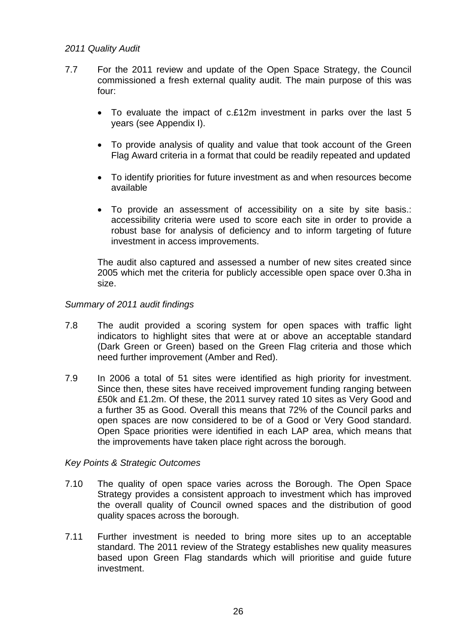#### *2011 Quality Audit*

- 7.7 For the 2011 review and update of the Open Space Strategy, the Council commissioned a fresh external quality audit. The main purpose of this was four:
	- To evaluate the impact of c.£12m investment in parks over the last 5 years (see Appendix I).
	- To provide analysis of quality and value that took account of the Green Flag Award criteria in a format that could be readily repeated and updated
	- To identify priorities for future investment as and when resources become available
	- To provide an assessment of accessibility on a site by site basis.: accessibility criteria were used to score each site in order to provide a robust base for analysis of deficiency and to inform targeting of future investment in access improvements.

The audit also captured and assessed a number of new sites created since 2005 which met the criteria for publicly accessible open space over 0.3ha in size.

### *Summary of 2011 audit findings*

- 7.8 The audit provided a scoring system for open spaces with traffic light indicators to highlight sites that were at or above an acceptable standard (Dark Green or Green) based on the Green Flag criteria and those which need further improvement (Amber and Red).
- 7.9 In 2006 a total of 51 sites were identified as high priority for investment. Since then, these sites have received improvement funding ranging between £50k and £1.2m. Of these, the 2011 survey rated 10 sites as Very Good and a further 35 as Good. Overall this means that 72% of the Council parks and open spaces are now considered to be of a Good or Very Good standard. Open Space priorities were identified in each LAP area, which means that the improvements have taken place right across the borough.

#### *Key Points & Strategic Outcomes*

- 7.10 The quality of open space varies across the Borough. The Open Space Strategy provides a consistent approach to investment which has improved the overall quality of Council owned spaces and the distribution of good quality spaces across the borough.
- 7.11 Further investment is needed to bring more sites up to an acceptable standard. The 2011 review of the Strategy establishes new quality measures based upon Green Flag standards which will prioritise and guide future investment.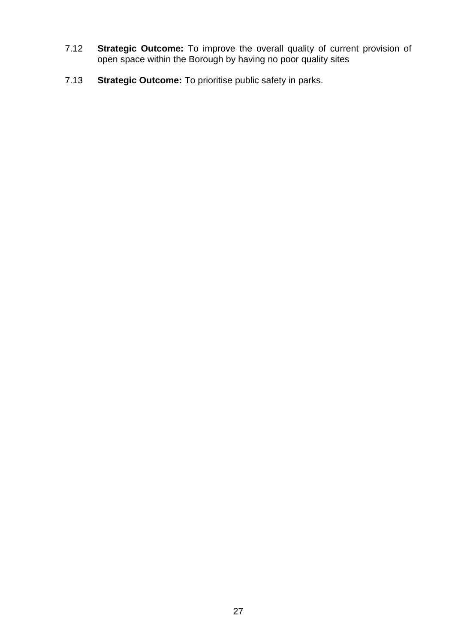- 7.12 **Strategic Outcome:** To improve the overall quality of current provision of open space within the Borough by having no poor quality sites
- 7.13 **Strategic Outcome:** To prioritise public safety in parks.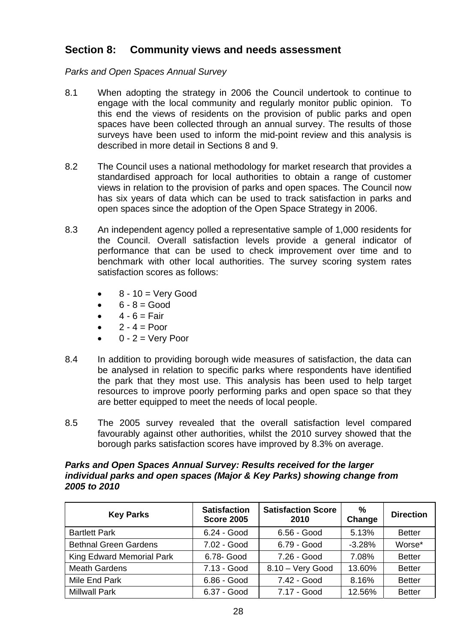# **Section 8: Community views and needs assessment**

*Parks and Open Spaces Annual Survey* 

- 8.1 When adopting the strategy in 2006 the Council undertook to continue to engage with the local community and regularly monitor public opinion. To this end the views of residents on the provision of public parks and open spaces have been collected through an annual survey. The results of those surveys have been used to inform the mid-point review and this analysis is described in more detail in Sections 8 and 9.
- 8.2 The Council uses a national methodology for market research that provides a standardised approach for local authorities to obtain a range of customer views in relation to the provision of parks and open spaces. The Council now has six years of data which can be used to track satisfaction in parks and open spaces since the adoption of the Open Space Strategy in 2006.
- 8.3 An independent agency polled a representative sample of 1,000 residents for the Council. Overall satisfaction levels provide a general indicator of performance that can be used to check improvement over time and to benchmark with other local authorities. The survey scoring system rates satisfaction scores as follows:
	- 8 10 = Very Good
	- $6 8 = Good$
	- $\bullet$  4 6 = Fair
	- $2 4 = P$ oor
	- $0 2 =$  Very Poor
- 8.4 In addition to providing borough wide measures of satisfaction, the data can be analysed in relation to specific parks where respondents have identified the park that they most use. This analysis has been used to help target resources to improve poorly performing parks and open space so that they are better equipped to meet the needs of local people.
- 8.5 The 2005 survey revealed that the overall satisfaction level compared favourably against other authorities, whilst the 2010 survey showed that the borough parks satisfaction scores have improved by 8.3% on average.

#### *Parks and Open Spaces Annual Survey: Results received for the larger individual parks and open spaces (Major & Key Parks) showing change from 2005 to 2010*

| <b>Key Parks</b>             | <b>Satisfaction</b><br><b>Score 2005</b> | <b>Satisfaction Score</b><br>2010 | %<br>Change | <b>Direction</b> |
|------------------------------|------------------------------------------|-----------------------------------|-------------|------------------|
| <b>Bartlett Park</b>         | 6.24 - Good                              | 6.56 - Good                       | 5.13%       | <b>Better</b>    |
| <b>Bethnal Green Gardens</b> | 7.02 - Good                              | 6.79 - Good                       | $-3.28%$    | Worse*           |
| King Edward Memorial Park    | 6.78- Good                               | 7.26 - Good                       | 7.08%       | <b>Better</b>    |
| <b>Meath Gardens</b>         | 7.13 - Good                              | 8.10 - Very Good                  | 13.60%      | <b>Better</b>    |
| Mile End Park                | 6.86 - Good                              | 7.42 - Good                       | 8.16%       | <b>Better</b>    |
| <b>Millwall Park</b>         | 6.37 - Good                              | 7.17 - Good                       | 12.56%      | <b>Better</b>    |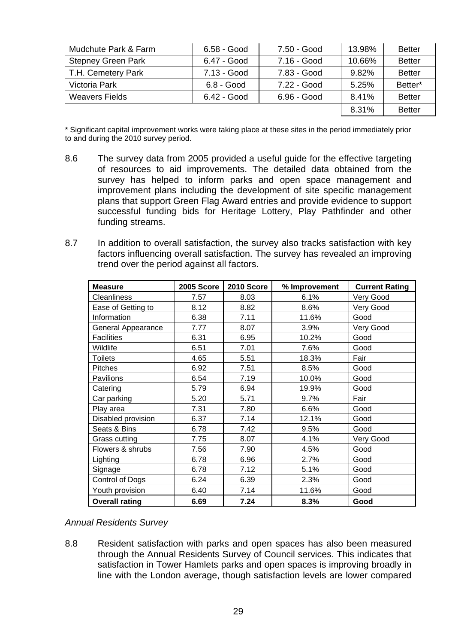| Mudchute Park & Farm      | 6.58 - Good  | 7.50 - Good | 13.98% | <b>Better</b> |
|---------------------------|--------------|-------------|--------|---------------|
| <b>Stepney Green Park</b> | 6.47 - Good  | 7.16 - Good | 10.66% | <b>Better</b> |
| T.H. Cemetery Park        | 7.13 - Good  | 7.83 - Good | 9.82%  | <b>Better</b> |
| Victoria Park             | $6.8 - Good$ | 7.22 - Good | 5.25%  | Better*       |
| <b>Weavers Fields</b>     | 6.42 - Good  | 6.96 - Good | 8.41%  | <b>Better</b> |
|                           |              |             | 8.31%  | <b>Better</b> |

\* Significant capital improvement works were taking place at these sites in the period immediately prior to and during the 2010 survey period.

- 8.6 The survey data from 2005 provided a useful guide for the effective targeting of resources to aid improvements. The detailed data obtained from the survey has helped to inform parks and open space management and improvement plans including the development of site specific management plans that support Green Flag Award entries and provide evidence to support successful funding bids for Heritage Lottery, Play Pathfinder and other funding streams.
- 8.7 In addition to overall satisfaction, the survey also tracks satisfaction with key factors influencing overall satisfaction. The survey has revealed an improving trend over the period against all factors.

| <b>Measure</b>        | 2005 Score | 2010 Score | % Improvement | <b>Current Rating</b> |
|-----------------------|------------|------------|---------------|-----------------------|
| <b>Cleanliness</b>    | 7.57       | 8.03       | 6.1%          | Very Good             |
| Ease of Getting to    | 8.12       | 8.82       | 8.6%          | Very Good             |
| Information           | 6.38       | 7.11       | 11.6%         | Good                  |
| General Appearance    | 7.77       | 8.07       | 3.9%          | Very Good             |
| <b>Facilities</b>     | 6.31       | 6.95       | 10.2%         | Good                  |
| Wildlife              | 6.51       | 7.01       | 7.6%          | Good                  |
| <b>Toilets</b>        | 4.65       | 5.51       | 18.3%         | Fair                  |
| <b>Pitches</b>        | 6.92       | 7.51       | 8.5%          | Good                  |
| Pavilions             | 6.54       | 7.19       | 10.0%         | Good                  |
| Catering              | 5.79       | 6.94       | 19.9%         | Good                  |
| Car parking           | 5.20       | 5.71       | 9.7%          | Fair                  |
| Play area             | 7.31       | 7.80       | 6.6%          | Good                  |
| Disabled provision    | 6.37       | 7.14       | 12.1%         | Good                  |
| Seats & Bins          | 6.78       | 7.42       | 9.5%          | Good                  |
| Grass cutting         | 7.75       | 8.07       | 4.1%          | Very Good             |
| Flowers & shrubs      | 7.56       | 7.90       | 4.5%          | Good                  |
| Lighting              | 6.78       | 6.96       | 2.7%          | Good                  |
| Signage               | 6.78       | 7.12       | 5.1%          | Good                  |
| Control of Dogs       | 6.24       | 6.39       | 2.3%          | Good                  |
| Youth provision       | 6.40       | 7.14       | 11.6%         | Good                  |
| <b>Overall rating</b> | 6.69       | 7.24       | 8.3%          | Good                  |

### *Annual Residents Survey*

8.8 Resident satisfaction with parks and open spaces has also been measured through the Annual Residents Survey of Council services. This indicates that satisfaction in Tower Hamlets parks and open spaces is improving broadly in line with the London average, though satisfaction levels are lower compared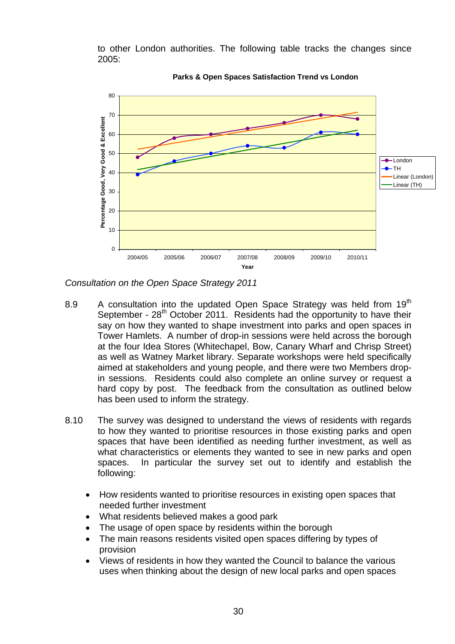to other London authorities. The following table tracks the changes since 2005:



**Parks & Open Spaces Satisfaction Trend vs London**

*Consultation on the Open Space Strategy 2011* 

- 8.9 A consultation into the updated Open Space Strategy was held from  $19<sup>th</sup>$ September - 28<sup>th</sup> October 2011. Residents had the opportunity to have their say on how they wanted to shape investment into parks and open spaces in Tower Hamlets. A number of drop-in sessions were held across the borough at the four Idea Stores (Whitechapel, Bow, Canary Wharf and Chrisp Street) as well as Watney Market library. Separate workshops were held specifically aimed at stakeholders and young people, and there were two Members dropin sessions. Residents could also complete an online survey or request a hard copy by post. The feedback from the consultation as outlined below has been used to inform the strategy.
- 8.10 The survey was designed to understand the views of residents with regards to how they wanted to prioritise resources in those existing parks and open spaces that have been identified as needing further investment, as well as what characteristics or elements they wanted to see in new parks and open spaces. In particular the survey set out to identify and establish the following:
	- How residents wanted to prioritise resources in existing open spaces that needed further investment
	- What residents believed makes a good park
	- The usage of open space by residents within the borough
	- The main reasons residents visited open spaces differing by types of provision
	- Views of residents in how they wanted the Council to balance the various uses when thinking about the design of new local parks and open spaces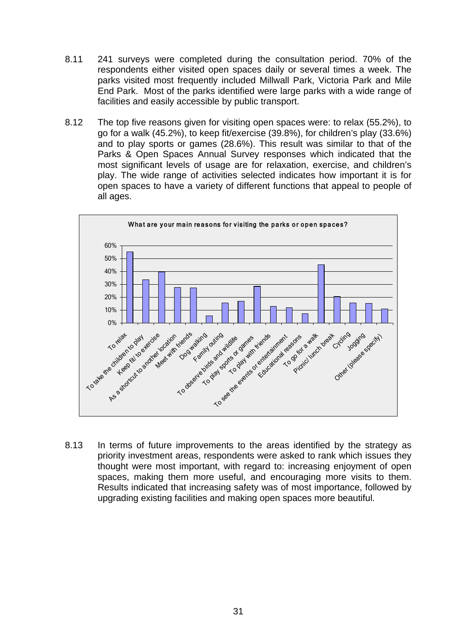- 8.11 241 surveys were completed during the consultation period. 70% of the respondents either visited open spaces daily or several times a week. The parks visited most frequently included Millwall Park, Victoria Park and Mile End Park. Most of the parks identified were large parks with a wide range of facilities and easily accessible by public transport.
- 8.12 The top five reasons given for visiting open spaces were: to relax (55.2%), to go for a walk (45.2%), to keep fit/exercise (39.8%), for children's play (33.6%) and to play sports or games (28.6%). This result was similar to that of the Parks & Open Spaces Annual Survey responses which indicated that the most significant levels of usage are for relaxation, exercise, and children's play. The wide range of activities selected indicates how important it is for open spaces to have a variety of different functions that appeal to people of all ages.



8.13 In terms of future improvements to the areas identified by the strategy as priority investment areas, respondents were asked to rank which issues they thought were most important, with regard to: increasing enjoyment of open spaces, making them more useful, and encouraging more visits to them. Results indicated that increasing safety was of most importance, followed by upgrading existing facilities and making open spaces more beautiful.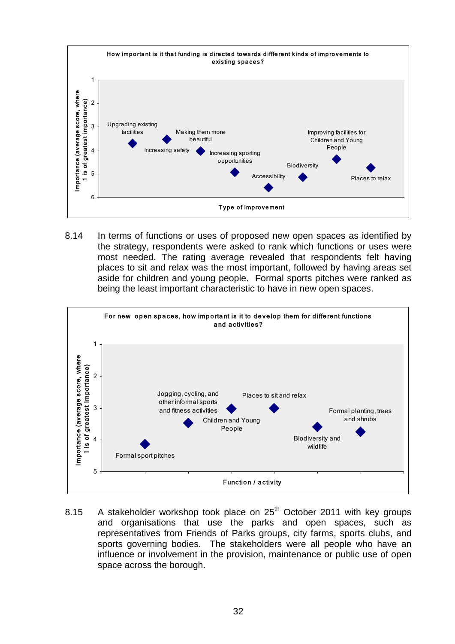

8.14 In terms of functions or uses of proposed new open spaces as identified by the strategy, respondents were asked to rank which functions or uses were most needed. The rating average revealed that respondents felt having places to sit and relax was the most important, followed by having areas set aside for children and young people. Formal sports pitches were ranked as being the least important characteristic to have in new open spaces.



8.15 A stakeholder workshop took place on  $25<sup>th</sup>$  October 2011 with key groups and organisations that use the parks and open spaces, such as representatives from Friends of Parks groups, city farms, sports clubs, and sports governing bodies. The stakeholders were all people who have an influence or involvement in the provision, maintenance or public use of open space across the borough.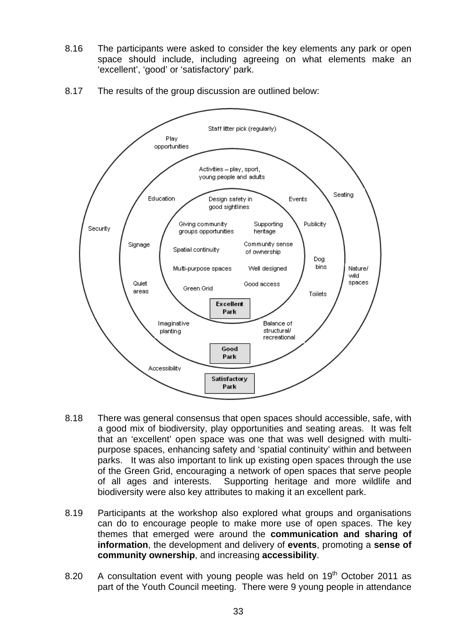8.16 The participants were asked to consider the key elements any park or open space should include, including agreeing on what elements make an 'excellent', 'good' or 'satisfactory' park.





- 8.18 There was general consensus that open spaces should accessible, safe, with a good mix of biodiversity, play opportunities and seating areas. It was felt that an 'excellent' open space was one that was well designed with multipurpose spaces, enhancing safety and 'spatial continuity' within and between parks. It was also important to link up existing open spaces through the use of the Green Grid, encouraging a network of open spaces that serve people of all ages and interests. Supporting heritage and more wildlife and biodiversity were also key attributes to making it an excellent park.
- 8.19 Participants at the workshop also explored what groups and organisations can do to encourage people to make more use of open spaces. The key themes that emerged were around the **communication and sharing of information**, the development and delivery of **events**, promoting a **sense of community ownership**, and increasing **accessibility**.
- 8.20 A consultation event with young people was held on  $19<sup>th</sup>$  October 2011 as part of the Youth Council meeting. There were 9 young people in attendance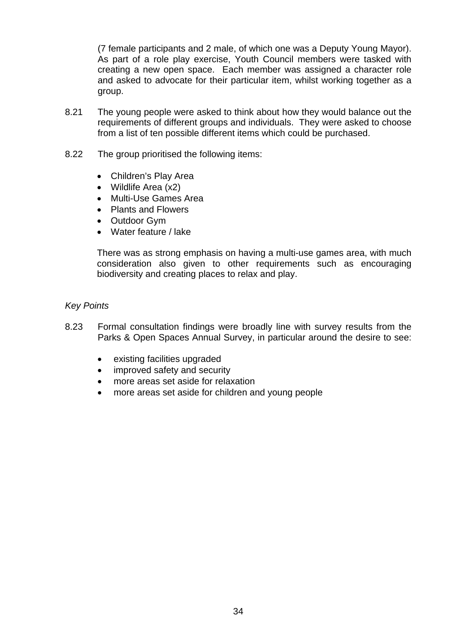(7 female participants and 2 male, of which one was a Deputy Young Mayor). As part of a role play exercise, Youth Council members were tasked with creating a new open space. Each member was assigned a character role and asked to advocate for their particular item, whilst working together as a group.

- 8.21 The young people were asked to think about how they would balance out the requirements of different groups and individuals. They were asked to choose from a list of ten possible different items which could be purchased.
- 8.22 The group prioritised the following items:
	- Children's Play Area
	- Wildlife Area (x2)
	- Multi-Use Games Area
	- Plants and Flowers
	- Outdoor Gym
	- Water feature / lake

There was as strong emphasis on having a multi-use games area, with much consideration also given to other requirements such as encouraging biodiversity and creating places to relax and play.

#### *Key Points*

- 8.23 Formal consultation findings were broadly line with survey results from the Parks & Open Spaces Annual Survey, in particular around the desire to see:
	- existing facilities upgraded
	- improved safety and security
	- more areas set aside for relaxation
	- more areas set aside for children and young people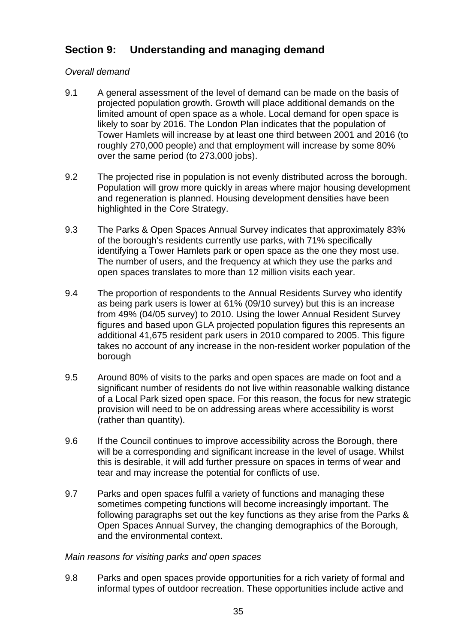# **Section 9: Understanding and managing demand**

# *Overall demand*

- 9.1 A general assessment of the level of demand can be made on the basis of projected population growth. Growth will place additional demands on the limited amount of open space as a whole. Local demand for open space is likely to soar by 2016. The London Plan indicates that the population of Tower Hamlets will increase by at least one third between 2001 and 2016 (to roughly 270,000 people) and that employment will increase by some 80% over the same period (to 273,000 jobs).
- 9.2 The projected rise in population is not evenly distributed across the borough. Population will grow more quickly in areas where major housing development and regeneration is planned. Housing development densities have been highlighted in the Core Strategy.
- 9.3 The Parks & Open Spaces Annual Survey indicates that approximately 83% of the borough's residents currently use parks, with 71% specifically identifying a Tower Hamlets park or open space as the one they most use. The number of users, and the frequency at which they use the parks and open spaces translates to more than 12 million visits each year.
- 9.4 The proportion of respondents to the Annual Residents Survey who identify as being park users is lower at 61% (09/10 survey) but this is an increase from 49% (04/05 survey) to 2010. Using the lower Annual Resident Survey figures and based upon GLA projected population figures this represents an additional 41,675 resident park users in 2010 compared to 2005. This figure takes no account of any increase in the non-resident worker population of the borough
- 9.5 Around 80% of visits to the parks and open spaces are made on foot and a significant number of residents do not live within reasonable walking distance of a Local Park sized open space. For this reason, the focus for new strategic provision will need to be on addressing areas where accessibility is worst (rather than quantity).
- 9.6 If the Council continues to improve accessibility across the Borough, there will be a corresponding and significant increase in the level of usage. Whilst this is desirable, it will add further pressure on spaces in terms of wear and tear and may increase the potential for conflicts of use.
- 9.7 Parks and open spaces fulfil a variety of functions and managing these sometimes competing functions will become increasingly important. The following paragraphs set out the key functions as they arise from the Parks & Open Spaces Annual Survey, the changing demographics of the Borough, and the environmental context.

### *Main reasons for visiting parks and open spaces*

9.8 Parks and open spaces provide opportunities for a rich variety of formal and informal types of outdoor recreation. These opportunities include active and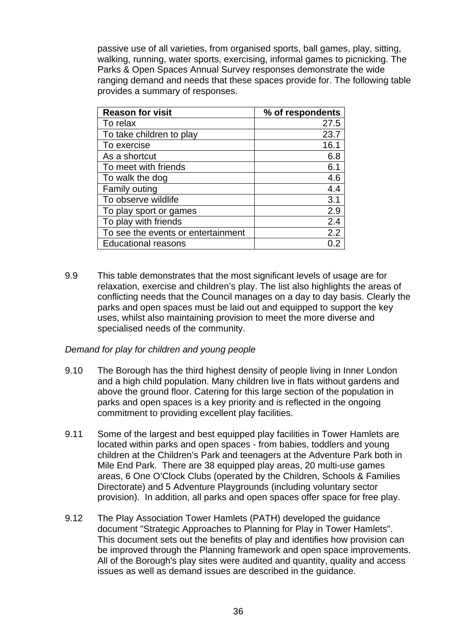passive use of all varieties, from organised sports, ball games, play, sitting, walking, running, water sports, exercising, informal games to picnicking. The Parks & Open Spaces Annual Survey responses demonstrate the wide ranging demand and needs that these spaces provide for. The following table provides a summary of responses.

| <b>Reason for visit</b>            | % of respondents |
|------------------------------------|------------------|
| To relax                           | 27.5             |
| To take children to play           | 23.7             |
| To exercise                        | 16.1             |
| As a shortcut                      | 6.8              |
| To meet with friends               | 6.1              |
| To walk the dog                    | 4.6              |
| Family outing                      | 4.4              |
| To observe wildlife                | 3.1              |
| To play sport or games             | 2.9              |
| To play with friends               | 2.4              |
| To see the events or entertainment | 2.2              |
| <b>Educational reasons</b>         |                  |

9.9 This table demonstrates that the most significant levels of usage are for relaxation, exercise and children's play. The list also highlights the areas of conflicting needs that the Council manages on a day to day basis. Clearly the parks and open spaces must be laid out and equipped to support the key uses, whilst also maintaining provision to meet the more diverse and specialised needs of the community.

### *Demand for play for children and young people*

- 9.10 The Borough has the third highest density of people living in Inner London and a high child population. Many children live in flats without gardens and above the ground floor. Catering for this large section of the population in parks and open spaces is a key priority and is reflected in the ongoing commitment to providing excellent play facilities.
- 9.11 Some of the largest and best equipped play facilities in Tower Hamlets are located within parks and open spaces - from babies, toddlers and young children at the Children's Park and teenagers at the Adventure Park both in Mile End Park. There are 38 equipped play areas, 20 multi-use games areas, 6 One O'Clock Clubs (operated by the Children, Schools & Families Directorate) and 5 Adventure Playgrounds (including voluntary sector provision). In addition, all parks and open spaces offer space for free play.
- 9.12 The Play Association Tower Hamlets (PATH) developed the guidance document "Strategic Approaches to Planning for Play in Tower Hamlets". This document sets out the benefits of play and identifies how provision can be improved through the Planning framework and open space improvements. All of the Borough's play sites were audited and quantity, quality and access issues as well as demand issues are described in the guidance.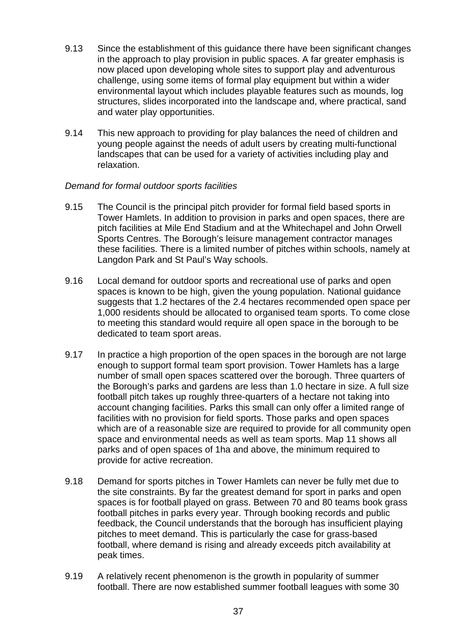- 9.13 Since the establishment of this guidance there have been significant changes in the approach to play provision in public spaces. A far greater emphasis is now placed upon developing whole sites to support play and adventurous challenge, using some items of formal play equipment but within a wider environmental layout which includes playable features such as mounds, log structures, slides incorporated into the landscape and, where practical, sand and water play opportunities.
- 9.14 This new approach to providing for play balances the need of children and young people against the needs of adult users by creating multi-functional landscapes that can be used for a variety of activities including play and relaxation.

## *Demand for formal outdoor sports facilities*

- 9.15 The Council is the principal pitch provider for formal field based sports in Tower Hamlets. In addition to provision in parks and open spaces, there are pitch facilities at Mile End Stadium and at the Whitechapel and John Orwell Sports Centres. The Borough's leisure management contractor manages these facilities. There is a limited number of pitches within schools, namely at Langdon Park and St Paul's Way schools.
- 9.16 Local demand for outdoor sports and recreational use of parks and open spaces is known to be high, given the young population. National guidance suggests that 1.2 hectares of the 2.4 hectares recommended open space per 1,000 residents should be allocated to organised team sports. To come close to meeting this standard would require all open space in the borough to be dedicated to team sport areas.
- 9.17 In practice a high proportion of the open spaces in the borough are not large enough to support formal team sport provision. Tower Hamlets has a large number of small open spaces scattered over the borough. Three quarters of the Borough's parks and gardens are less than 1.0 hectare in size. A full size football pitch takes up roughly three-quarters of a hectare not taking into account changing facilities. Parks this small can only offer a limited range of facilities with no provision for field sports. Those parks and open spaces which are of a reasonable size are required to provide for all community open space and environmental needs as well as team sports. Map 11 shows all parks and of open spaces of 1ha and above, the minimum required to provide for active recreation.
- 9.18 Demand for sports pitches in Tower Hamlets can never be fully met due to the site constraints. By far the greatest demand for sport in parks and open spaces is for football played on grass. Between 70 and 80 teams book grass football pitches in parks every year. Through booking records and public feedback, the Council understands that the borough has insufficient playing pitches to meet demand. This is particularly the case for grass-based football, where demand is rising and already exceeds pitch availability at peak times.
- 9.19 A relatively recent phenomenon is the growth in popularity of summer football. There are now established summer football leagues with some 30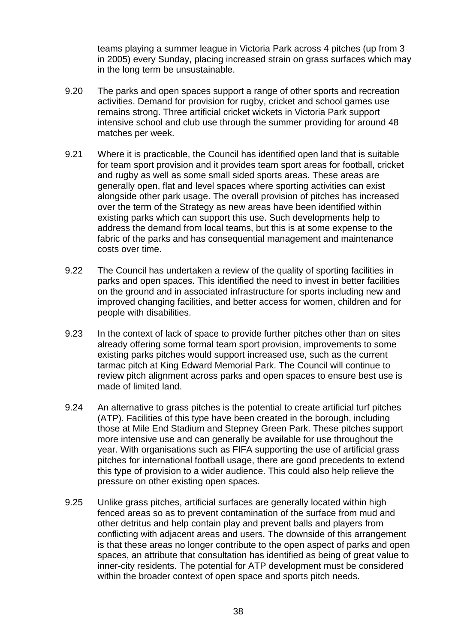teams playing a summer league in Victoria Park across 4 pitches (up from 3 in 2005) every Sunday, placing increased strain on grass surfaces which may in the long term be unsustainable.

- 9.20 The parks and open spaces support a range of other sports and recreation activities. Demand for provision for rugby, cricket and school games use remains strong. Three artificial cricket wickets in Victoria Park support intensive school and club use through the summer providing for around 48 matches per week.
- 9.21 Where it is practicable, the Council has identified open land that is suitable for team sport provision and it provides team sport areas for football, cricket and rugby as well as some small sided sports areas. These areas are generally open, flat and level spaces where sporting activities can exist alongside other park usage. The overall provision of pitches has increased over the term of the Strategy as new areas have been identified within existing parks which can support this use. Such developments help to address the demand from local teams, but this is at some expense to the fabric of the parks and has consequential management and maintenance costs over time.
- 9.22 The Council has undertaken a review of the quality of sporting facilities in parks and open spaces. This identified the need to invest in better facilities on the ground and in associated infrastructure for sports including new and improved changing facilities, and better access for women, children and for people with disabilities.
- 9.23 In the context of lack of space to provide further pitches other than on sites already offering some formal team sport provision, improvements to some existing parks pitches would support increased use, such as the current tarmac pitch at King Edward Memorial Park. The Council will continue to review pitch alignment across parks and open spaces to ensure best use is made of limited land.
- 9.24 An alternative to grass pitches is the potential to create artificial turf pitches (ATP). Facilities of this type have been created in the borough, including those at Mile End Stadium and Stepney Green Park. These pitches support more intensive use and can generally be available for use throughout the year. With organisations such as FIFA supporting the use of artificial grass pitches for international football usage, there are good precedents to extend this type of provision to a wider audience. This could also help relieve the pressure on other existing open spaces.
- 9.25 Unlike grass pitches, artificial surfaces are generally located within high fenced areas so as to prevent contamination of the surface from mud and other detritus and help contain play and prevent balls and players from conflicting with adjacent areas and users. The downside of this arrangement is that these areas no longer contribute to the open aspect of parks and open spaces, an attribute that consultation has identified as being of great value to inner-city residents. The potential for ATP development must be considered within the broader context of open space and sports pitch needs.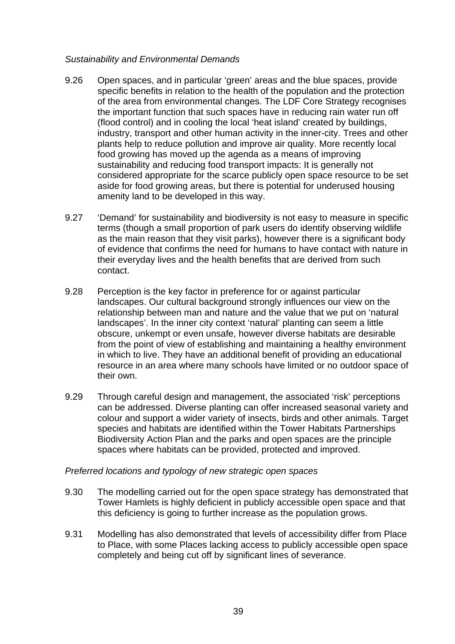## *Sustainability and Environmental Demands*

- 9.26 Open spaces, and in particular 'green' areas and the blue spaces, provide specific benefits in relation to the health of the population and the protection of the area from environmental changes. The LDF Core Strategy recognises the important function that such spaces have in reducing rain water run off (flood control) and in cooling the local 'heat island' created by buildings, industry, transport and other human activity in the inner-city. Trees and other plants help to reduce pollution and improve air quality. More recently local food growing has moved up the agenda as a means of improving sustainability and reducing food transport impacts: It is generally not considered appropriate for the scarce publicly open space resource to be set aside for food growing areas, but there is potential for underused housing amenity land to be developed in this way.
- 9.27 'Demand' for sustainability and biodiversity is not easy to measure in specific terms (though a small proportion of park users do identify observing wildlife as the main reason that they visit parks), however there is a significant body of evidence that confirms the need for humans to have contact with nature in their everyday lives and the health benefits that are derived from such contact.
- 9.28 Perception is the key factor in preference for or against particular landscapes. Our cultural background strongly influences our view on the relationship between man and nature and the value that we put on 'natural landscapes'. In the inner city context 'natural' planting can seem a little obscure, unkempt or even unsafe, however diverse habitats are desirable from the point of view of establishing and maintaining a healthy environment in which to live. They have an additional benefit of providing an educational resource in an area where many schools have limited or no outdoor space of their own.
- 9.29 Through careful design and management, the associated 'risk' perceptions can be addressed. Diverse planting can offer increased seasonal variety and colour and support a wider variety of insects, birds and other animals. Target species and habitats are identified within the Tower Habitats Partnerships Biodiversity Action Plan and the parks and open spaces are the principle spaces where habitats can be provided, protected and improved.

### *Preferred locations and typology of new strategic open spaces*

- 9.30 The modelling carried out for the open space strategy has demonstrated that Tower Hamlets is highly deficient in publicly accessible open space and that this deficiency is going to further increase as the population grows.
- 9.31 Modelling has also demonstrated that levels of accessibility differ from Place to Place, with some Places lacking access to publicly accessible open space completely and being cut off by significant lines of severance.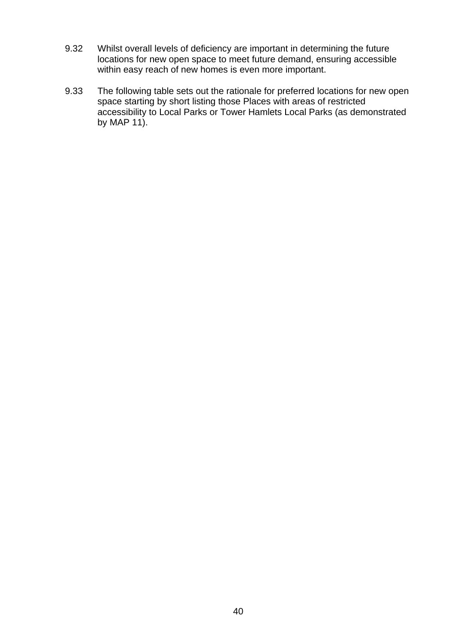- 9.32 Whilst overall levels of deficiency are important in determining the future locations for new open space to meet future demand, ensuring accessible within easy reach of new homes is even more important.
- 9.33 The following table sets out the rationale for preferred locations for new open space starting by short listing those Places with areas of restricted accessibility to Local Parks or Tower Hamlets Local Parks (as demonstrated by MAP 11).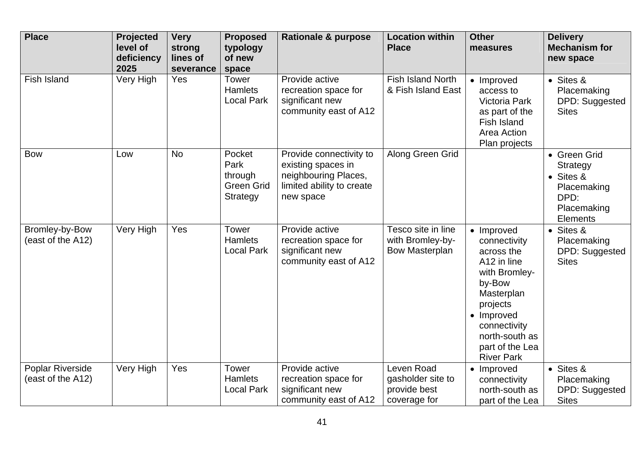| <b>Place</b>                          | Projected<br>level of<br>deficiency<br>2025 | <b>Very</b><br>strong<br>lines of<br>severance | <b>Proposed</b><br>typology<br>of new<br>space             | <b>Rationale &amp; purpose</b>                                                                                  | <b>Location within</b><br><b>Place</b>                          | <b>Other</b><br>measures                                                                                                                                                                             | <b>Delivery</b><br><b>Mechanism for</b><br>new space                                           |
|---------------------------------------|---------------------------------------------|------------------------------------------------|------------------------------------------------------------|-----------------------------------------------------------------------------------------------------------------|-----------------------------------------------------------------|------------------------------------------------------------------------------------------------------------------------------------------------------------------------------------------------------|------------------------------------------------------------------------------------------------|
| <b>Fish Island</b>                    | Very High                                   | Yes                                            | <b>Tower</b><br>Hamlets<br><b>Local Park</b>               | Provide active<br>recreation space for<br>significant new<br>community east of A12                              | <b>Fish Island North</b><br>& Fish Island East                  | • Improved<br>access to<br>Victoria Park<br>as part of the<br>Fish Island<br>Area Action<br>Plan projects                                                                                            | • Sites &<br>Placemaking<br>DPD: Suggested<br><b>Sites</b>                                     |
| <b>Bow</b>                            | Low                                         | <b>No</b>                                      | Pocket<br>Park<br>through<br><b>Green Grid</b><br>Strategy | Provide connectivity to<br>existing spaces in<br>neighbouring Places,<br>limited ability to create<br>new space | Along Green Grid                                                |                                                                                                                                                                                                      | • Green Grid<br>Strategy<br>• Sites &<br>Placemaking<br>DPD:<br>Placemaking<br><b>Elements</b> |
| Bromley-by-Bow<br>(east of the A12)   | Very High                                   | Yes                                            | <b>Tower</b><br><b>Hamlets</b><br><b>Local Park</b>        | Provide active<br>recreation space for<br>significant new<br>community east of A12                              | Tesco site in line<br>with Bromley-by-<br><b>Bow Masterplan</b> | • Improved<br>connectivity<br>across the<br>A12 in line<br>with Bromley-<br>by-Bow<br>Masterplan<br>projects<br>• Improved<br>connectivity<br>north-south as<br>part of the Lea<br><b>River Park</b> | • Sites &<br>Placemaking<br>DPD: Suggested<br><b>Sites</b>                                     |
| Poplar Riverside<br>(east of the A12) | Very High                                   | Yes                                            | <b>Tower</b><br><b>Hamlets</b><br><b>Local Park</b>        | Provide active<br>recreation space for<br>significant new<br>community east of A12                              | Leven Road<br>gasholder site to<br>provide best<br>coverage for | • Improved<br>connectivity<br>north-south as<br>part of the Lea                                                                                                                                      | • Sites &<br>Placemaking<br>DPD: Suggested<br><b>Sites</b>                                     |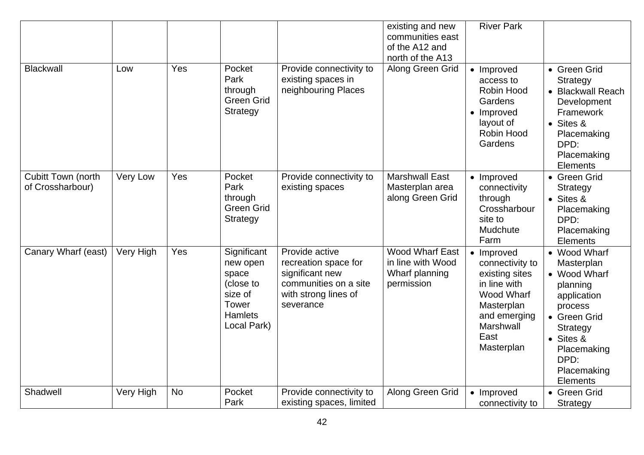|                                               |           |           |                                                                                                    |                                                                                                                         | existing and new<br>communities east<br>of the A12 and<br>north of the A13  | <b>River Park</b>                                                                                                                                         |                                                                                                                                                                                     |
|-----------------------------------------------|-----------|-----------|----------------------------------------------------------------------------------------------------|-------------------------------------------------------------------------------------------------------------------------|-----------------------------------------------------------------------------|-----------------------------------------------------------------------------------------------------------------------------------------------------------|-------------------------------------------------------------------------------------------------------------------------------------------------------------------------------------|
| <b>Blackwall</b>                              | Low       | Yes       | Pocket<br>Park<br>through<br><b>Green Grid</b><br>Strategy                                         | Provide connectivity to<br>existing spaces in<br>neighbouring Places                                                    | Along Green Grid                                                            | • Improved<br>access to<br>Robin Hood<br>Gardens<br>• Improved<br>layout of<br>Robin Hood<br>Gardens                                                      | • Green Grid<br><b>Strategy</b><br>• Blackwall Reach<br>Development<br>Framework<br>$\bullet$ Sites &<br>Placemaking<br>DPD:<br>Placemaking<br>Elements                             |
| <b>Cubitt Town (north</b><br>of Crossharbour) | Very Low  | Yes       | Pocket<br>Park<br>through<br>Green Grid<br><b>Strategy</b>                                         | Provide connectivity to<br>existing spaces                                                                              | <b>Marshwall East</b><br>Masterplan area<br>along Green Grid                | • Improved<br>connectivity<br>through<br>Crossharbour<br>site to<br>Mudchute<br>Farm                                                                      | • Green Grid<br><b>Strategy</b><br>• Sites &<br>Placemaking<br>DPD:<br>Placemaking<br>Elements                                                                                      |
| Canary Wharf (east)                           | Very High | Yes       | Significant<br>new open<br>space<br>(close to<br>size of<br>Tower<br><b>Hamlets</b><br>Local Park) | Provide active<br>recreation space for<br>significant new<br>communities on a site<br>with strong lines of<br>severance | <b>Wood Wharf East</b><br>in line with Wood<br>Wharf planning<br>permission | Improved<br>$\bullet$<br>connectivity to<br>existing sites<br>in line with<br>Wood Wharf<br>Masterplan<br>and emerging<br>Marshwall<br>East<br>Masterplan | • Wood Wharf<br>Masterplan<br>• Wood Wharf<br>planning<br>application<br>process<br>• Green Grid<br>Strategy<br>$\bullet$ Sites &<br>Placemaking<br>DPD:<br>Placemaking<br>Elements |
| Shadwell                                      | Very High | <b>No</b> | Pocket<br>Park                                                                                     | Provide connectivity to<br>existing spaces, limited                                                                     | Along Green Grid                                                            | • Improved<br>connectivity to                                                                                                                             | • Green Grid<br>Strategy                                                                                                                                                            |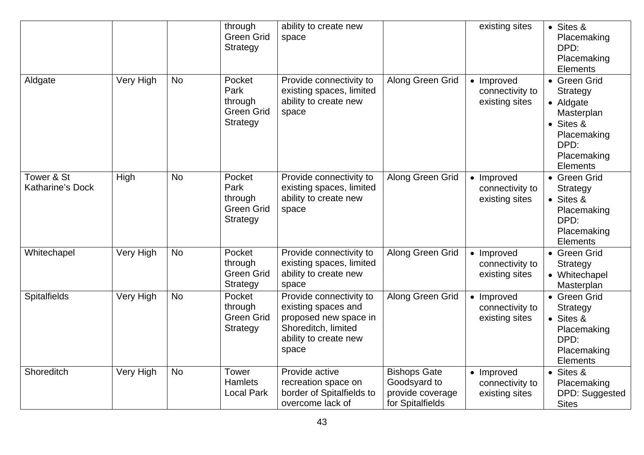|                                       |           |           | through<br><b>Green Grid</b><br>Strategy                          | ability to create new<br>space                                                                                                   |                                                                             | existing sites                                  | • Sites &<br>Placemaking<br>DPD:<br>Placemaking<br><b>Elements</b>                                                 |
|---------------------------------------|-----------|-----------|-------------------------------------------------------------------|----------------------------------------------------------------------------------------------------------------------------------|-----------------------------------------------------------------------------|-------------------------------------------------|--------------------------------------------------------------------------------------------------------------------|
| Aldgate                               | Very High | <b>No</b> | Pocket<br>Park<br>through<br><b>Green Grid</b><br><b>Strategy</b> | Provide connectivity to<br>existing spaces, limited<br>ability to create new<br>space                                            | Along Green Grid                                                            | • Improved<br>connectivity to<br>existing sites | • Green Grid<br>Strategy<br>• Aldgate<br>Masterplan<br>• Sites &<br>Placemaking<br>DPD:<br>Placemaking<br>Elements |
| Tower & St<br><b>Katharine's Dock</b> | High      | <b>No</b> | Pocket<br>Park<br>through<br><b>Green Grid</b><br>Strategy        | Provide connectivity to<br>existing spaces, limited<br>ability to create new<br>space                                            | Along Green Grid                                                            | • Improved<br>connectivity to<br>existing sites | • Green Grid<br>Strategy<br>• Sites &<br>Placemaking<br>DPD:<br>Placemaking<br><b>Elements</b>                     |
| Whitechapel                           | Very High | <b>No</b> | Pocket<br>through<br><b>Green Grid</b><br>Strategy                | Provide connectivity to<br>existing spaces, limited<br>ability to create new<br>space                                            | Along Green Grid                                                            | • Improved<br>connectivity to<br>existing sites | • Green Grid<br>Strategy<br>• Whitechapel<br>Masterplan                                                            |
| <b>Spitalfields</b>                   | Very High | <b>No</b> | Pocket<br>through<br><b>Green Grid</b><br><b>Strategy</b>         | Provide connectivity to<br>existing spaces and<br>proposed new space in<br>Shoreditch, limited<br>ability to create new<br>space | Along Green Grid                                                            | • Improved<br>connectivity to<br>existing sites | • Green Grid<br><b>Strategy</b><br>• Sites &<br>Placemaking<br>DPD:<br>Placemaking<br><b>Elements</b>              |
| Shoreditch                            | Very High | <b>No</b> | <b>Tower</b><br><b>Hamlets</b><br><b>Local Park</b>               | Provide active<br>recreation space on<br>border of Spitalfields to<br>overcome lack of                                           | <b>Bishops Gate</b><br>Goodsyard to<br>provide coverage<br>for Spitalfields | • Improved<br>connectivity to<br>existing sites | • Sites &<br>Placemaking<br>DPD: Suggested<br><b>Sites</b>                                                         |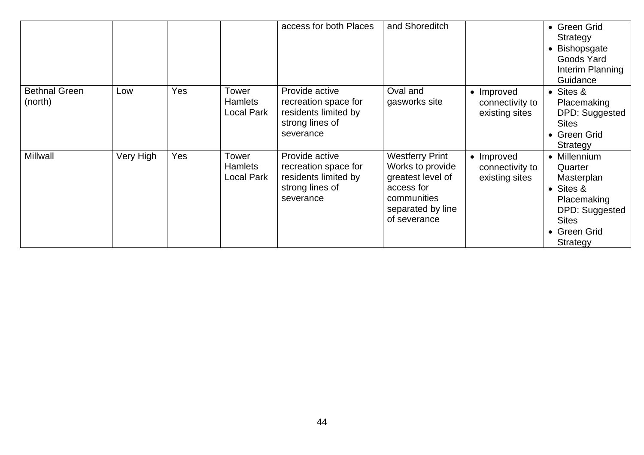|                                 |           |            |                                       | access for both Places                                                                         | and Shoreditch                                                                                                                    |                                                 | • Green Grid<br>Strategy<br>Bishopsgate<br>Goods Yard<br>Interim Planning<br>Guidance                                           |
|---------------------------------|-----------|------------|---------------------------------------|------------------------------------------------------------------------------------------------|-----------------------------------------------------------------------------------------------------------------------------------|-------------------------------------------------|---------------------------------------------------------------------------------------------------------------------------------|
| <b>Bethnal Green</b><br>(north) | Low       | <b>Yes</b> | Tower<br><b>Hamlets</b><br>Local Park | Provide active<br>recreation space for<br>residents limited by<br>strong lines of<br>severance | Oval and<br>gasworks site                                                                                                         | • Improved<br>connectivity to<br>existing sites | • Sites &<br>Placemaking<br>DPD: Suggested<br><b>Sites</b><br>• Green Grid<br>Strategy                                          |
| <b>Millwall</b>                 | Very High | Yes        | Tower<br><b>Hamlets</b><br>Local Park | Provide active<br>recreation space for<br>residents limited by<br>strong lines of<br>severance | <b>Westferry Print</b><br>Works to provide<br>greatest level of<br>access for<br>communities<br>separated by line<br>of severance | Improved<br>connectivity to<br>existing sites   | • Millennium<br>Quarter<br>Masterplan<br>• Sites &<br>Placemaking<br>DPD: Suggested<br><b>Sites</b><br>• Green Grid<br>Strategy |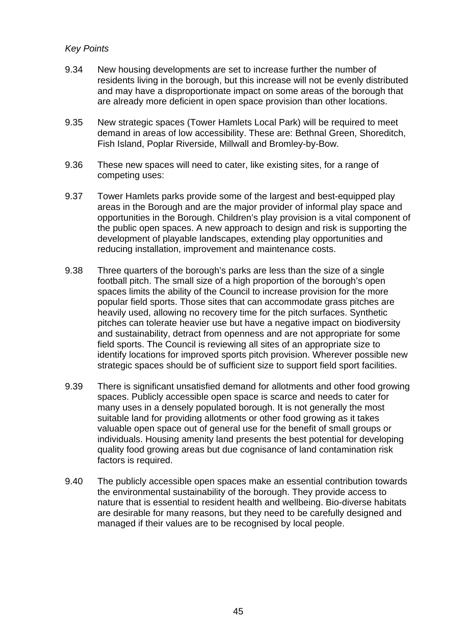## *Key Points*

- 9.34 New housing developments are set to increase further the number of residents living in the borough, but this increase will not be evenly distributed and may have a disproportionate impact on some areas of the borough that are already more deficient in open space provision than other locations.
- 9.35 New strategic spaces (Tower Hamlets Local Park) will be required to meet demand in areas of low accessibility. These are: Bethnal Green, Shoreditch, Fish Island, Poplar Riverside, Millwall and Bromley-by-Bow.
- 9.36 These new spaces will need to cater, like existing sites, for a range of competing uses:
- 9.37 Tower Hamlets parks provide some of the largest and best-equipped play areas in the Borough and are the major provider of informal play space and opportunities in the Borough. Children's play provision is a vital component of the public open spaces. A new approach to design and risk is supporting the development of playable landscapes, extending play opportunities and reducing installation, improvement and maintenance costs.
- 9.38 Three quarters of the borough's parks are less than the size of a single football pitch. The small size of a high proportion of the borough's open spaces limits the ability of the Council to increase provision for the more popular field sports. Those sites that can accommodate grass pitches are heavily used, allowing no recovery time for the pitch surfaces. Synthetic pitches can tolerate heavier use but have a negative impact on biodiversity and sustainability, detract from openness and are not appropriate for some field sports. The Council is reviewing all sites of an appropriate size to identify locations for improved sports pitch provision. Wherever possible new strategic spaces should be of sufficient size to support field sport facilities.
- 9.39 There is significant unsatisfied demand for allotments and other food growing spaces. Publicly accessible open space is scarce and needs to cater for many uses in a densely populated borough. It is not generally the most suitable land for providing allotments or other food growing as it takes valuable open space out of general use for the benefit of small groups or individuals. Housing amenity land presents the best potential for developing quality food growing areas but due cognisance of land contamination risk factors is required.
- 9.40 The publicly accessible open spaces make an essential contribution towards the environmental sustainability of the borough. They provide access to nature that is essential to resident health and wellbeing. Bio-diverse habitats are desirable for many reasons, but they need to be carefully designed and managed if their values are to be recognised by local people.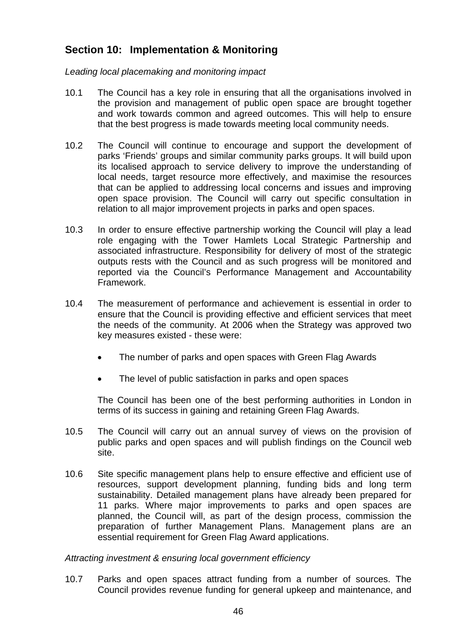# **Section 10: Implementation & Monitoring**

*Leading local placemaking and monitoring impact* 

- 10.1 The Council has a key role in ensuring that all the organisations involved in the provision and management of public open space are brought together and work towards common and agreed outcomes. This will help to ensure that the best progress is made towards meeting local community needs.
- 10.2 The Council will continue to encourage and support the development of parks 'Friends' groups and similar community parks groups. It will build upon its localised approach to service delivery to improve the understanding of local needs, target resource more effectively, and maximise the resources that can be applied to addressing local concerns and issues and improving open space provision. The Council will carry out specific consultation in relation to all major improvement projects in parks and open spaces.
- 10.3 In order to ensure effective partnership working the Council will play a lead role engaging with the Tower Hamlets Local Strategic Partnership and associated infrastructure. Responsibility for delivery of most of the strategic outputs rests with the Council and as such progress will be monitored and reported via the Council's Performance Management and Accountability Framework.
- 10.4 The measurement of performance and achievement is essential in order to ensure that the Council is providing effective and efficient services that meet the needs of the community. At 2006 when the Strategy was approved two key measures existed - these were:
	- The number of parks and open spaces with Green Flag Awards
	- The level of public satisfaction in parks and open spaces

The Council has been one of the best performing authorities in London in terms of its success in gaining and retaining Green Flag Awards.

- 10.5 The Council will carry out an annual survey of views on the provision of public parks and open spaces and will publish findings on the Council web site.
- 10.6 Site specific management plans help to ensure effective and efficient use of resources, support development planning, funding bids and long term sustainability. Detailed management plans have already been prepared for 11 parks. Where major improvements to parks and open spaces are planned, the Council will, as part of the design process, commission the preparation of further Management Plans. Management plans are an essential requirement for Green Flag Award applications.

*Attracting investment & ensuring local government efficiency* 

10.7 Parks and open spaces attract funding from a number of sources. The Council provides revenue funding for general upkeep and maintenance, and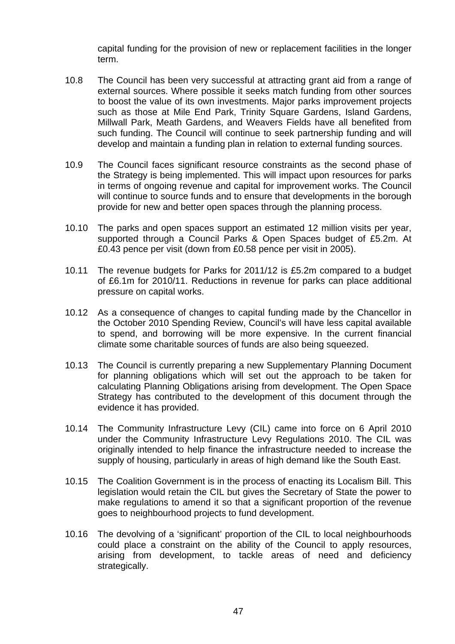capital funding for the provision of new or replacement facilities in the longer term.

- 10.8 The Council has been very successful at attracting grant aid from a range of external sources. Where possible it seeks match funding from other sources to boost the value of its own investments. Major parks improvement projects such as those at Mile End Park, Trinity Square Gardens, Island Gardens, Millwall Park, Meath Gardens, and Weavers Fields have all benefited from such funding. The Council will continue to seek partnership funding and will develop and maintain a funding plan in relation to external funding sources.
- 10.9 The Council faces significant resource constraints as the second phase of the Strategy is being implemented. This will impact upon resources for parks in terms of ongoing revenue and capital for improvement works. The Council will continue to source funds and to ensure that developments in the borough provide for new and better open spaces through the planning process.
- 10.10 The parks and open spaces support an estimated 12 million visits per year, supported through a Council Parks & Open Spaces budget of £5.2m. At £0.43 pence per visit (down from £0.58 pence per visit in 2005).
- 10.11 The revenue budgets for Parks for 2011/12 is £5.2m compared to a budget of £6.1m for 2010/11. Reductions in revenue for parks can place additional pressure on capital works.
- 10.12 As a consequence of changes to capital funding made by the Chancellor in the October 2010 Spending Review, Council's will have less capital available to spend, and borrowing will be more expensive. In the current financial climate some charitable sources of funds are also being squeezed.
- 10.13 The Council is currently preparing a new Supplementary Planning Document for planning obligations which will set out the approach to be taken for calculating Planning Obligations arising from development. The Open Space Strategy has contributed to the development of this document through the evidence it has provided.
- 10.14 The Community Infrastructure Levy (CIL) came into force on 6 April 2010 under the Community Infrastructure Levy Regulations 2010. The CIL was originally intended to help finance the infrastructure needed to increase the supply of housing, particularly in areas of high demand like the South East.
- 10.15 The Coalition Government is in the process of enacting its Localism Bill. This legislation would retain the CIL but gives the Secretary of State the power to make regulations to amend it so that a significant proportion of the revenue goes to neighbourhood projects to fund development.
- 10.16 The devolving of a 'significant' proportion of the CIL to local neighbourhoods could place a constraint on the ability of the Council to apply resources, arising from development, to tackle areas of need and deficiency strategically.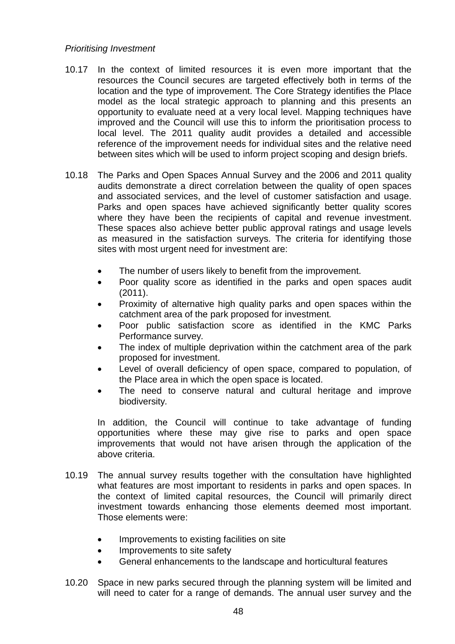### *Prioritising Investment*

- 10.17 In the context of limited resources it is even more important that the resources the Council secures are targeted effectively both in terms of the location and the type of improvement. The Core Strategy identifies the Place model as the local strategic approach to planning and this presents an opportunity to evaluate need at a very local level. Mapping techniques have improved and the Council will use this to inform the prioritisation process to local level. The 2011 quality audit provides a detailed and accessible reference of the improvement needs for individual sites and the relative need between sites which will be used to inform project scoping and design briefs.
- 10.18 The Parks and Open Spaces Annual Survey and the 2006 and 2011 quality audits demonstrate a direct correlation between the quality of open spaces and associated services, and the level of customer satisfaction and usage. Parks and open spaces have achieved significantly better quality scores where they have been the recipients of capital and revenue investment. These spaces also achieve better public approval ratings and usage levels as measured in the satisfaction surveys. The criteria for identifying those sites with most urgent need for investment are:
	- The number of users likely to benefit from the improvement.
	- Poor quality score as identified in the parks and open spaces audit (2011).
	- Proximity of alternative high quality parks and open spaces within the catchment area of the park proposed for investment*.*
	- Poor public satisfaction score as identified in the KMC Parks Performance survey*.*
	- The index of multiple deprivation within the catchment area of the park proposed for investment.
	- Level of overall deficiency of open space, compared to population, of the Place area in which the open space is located.
	- The need to conserve natural and cultural heritage and improve biodiversity*.*

In addition, the Council will continue to take advantage of funding opportunities where these may give rise to parks and open space improvements that would not have arisen through the application of the above criteria.

- 10.19 The annual survey results together with the consultation have highlighted what features are most important to residents in parks and open spaces. In the context of limited capital resources, the Council will primarily direct investment towards enhancing those elements deemed most important. Those elements were:
	- Improvements to existing facilities on site
	- Improvements to site safety
	- General enhancements to the landscape and horticultural features
- 10.20 Space in new parks secured through the planning system will be limited and will need to cater for a range of demands. The annual user survey and the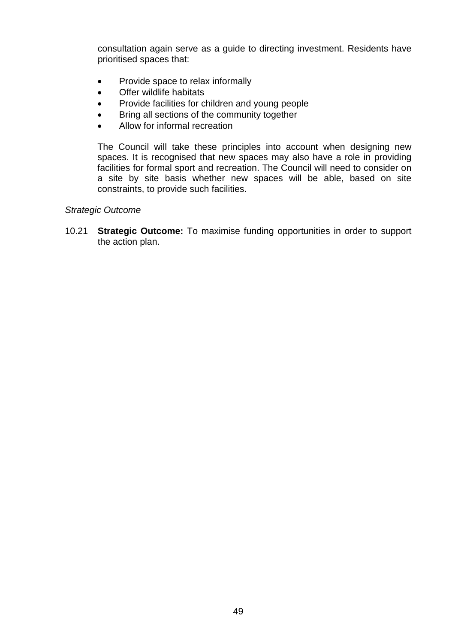consultation again serve as a guide to directing investment. Residents have prioritised spaces that:

- Provide space to relax informally
- Offer wildlife habitats
- Provide facilities for children and young people
- Bring all sections of the community together
- Allow for informal recreation

The Council will take these principles into account when designing new spaces. It is recognised that new spaces may also have a role in providing facilities for formal sport and recreation. The Council will need to consider on a site by site basis whether new spaces will be able, based on site constraints, to provide such facilities.

### *Strategic Outcome*

10.21 **Strategic Outcome:** To maximise funding opportunities in order to support the action plan.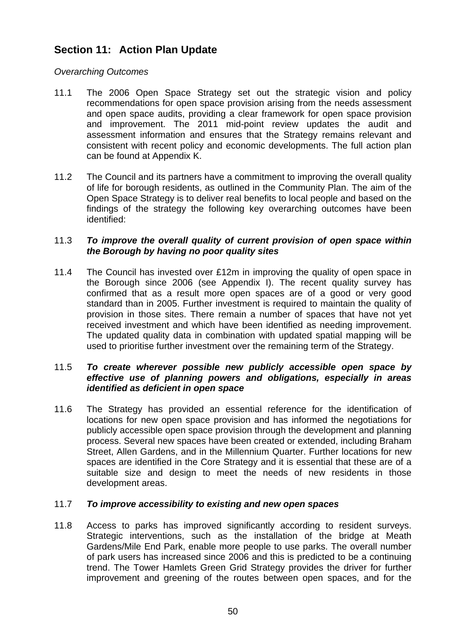# **Section 11: Action Plan Update**

## *Overarching Outcomes*

- 11.1 The 2006 Open Space Strategy set out the strategic vision and policy recommendations for open space provision arising from the needs assessment and open space audits, providing a clear framework for open space provision and improvement. The 2011 mid-point review updates the audit and assessment information and ensures that the Strategy remains relevant and consistent with recent policy and economic developments. The full action plan can be found at Appendix K.
- 11.2 The Council and its partners have a commitment to improving the overall quality of life for borough residents, as outlined in the Community Plan. The aim of the Open Space Strategy is to deliver real benefits to local people and based on the findings of the strategy the following key overarching outcomes have been identified:

## 11.3 *To improve the overall quality of current provision of open space within the Borough by having no poor quality sites*

11.4 The Council has invested over £12m in improving the quality of open space in the Borough since 2006 (see Appendix I). The recent quality survey has confirmed that as a result more open spaces are of a good or very good standard than in 2005. Further investment is required to maintain the quality of provision in those sites. There remain a number of spaces that have not yet received investment and which have been identified as needing improvement. The updated quality data in combination with updated spatial mapping will be used to prioritise further investment over the remaining term of the Strategy.

### 11.5 *To create wherever possible new publicly accessible open space by effective use of planning powers and obligations, especially in areas identified as deficient in open space*

11.6 The Strategy has provided an essential reference for the identification of locations for new open space provision and has informed the negotiations for publicly accessible open space provision through the development and planning process. Several new spaces have been created or extended, including Braham Street, Allen Gardens, and in the Millennium Quarter. Further locations for new spaces are identified in the Core Strategy and it is essential that these are of a suitable size and design to meet the needs of new residents in those development areas.

### 11.7 *To improve accessibility to existing and new open spaces*

11.8 Access to parks has improved significantly according to resident surveys. Strategic interventions, such as the installation of the bridge at Meath Gardens/Mile End Park, enable more people to use parks. The overall number of park users has increased since 2006 and this is predicted to be a continuing trend. The Tower Hamlets Green Grid Strategy provides the driver for further improvement and greening of the routes between open spaces, and for the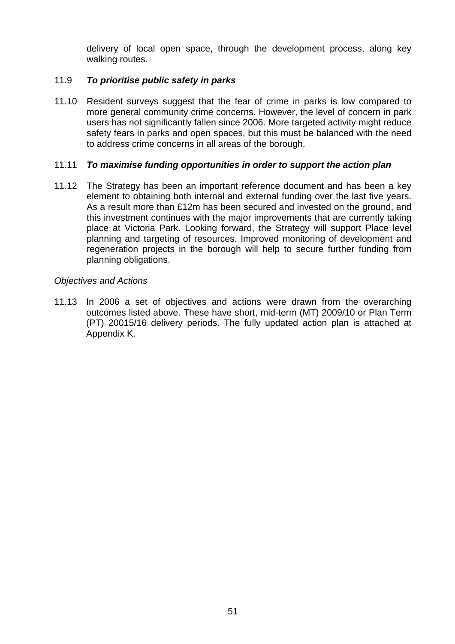delivery of local open space, through the development process, along key walking routes.

## 11.9 *To prioritise public safety in parks*

11.10 Resident surveys suggest that the fear of crime in parks is low compared to more general community crime concerns. However, the level of concern in park users has not significantly fallen since 2006. More targeted activity might reduce safety fears in parks and open spaces, but this must be balanced with the need to address crime concerns in all areas of the borough.

### 11.11 *To maximise funding opportunities in order to support the action plan*

11.12 The Strategy has been an important reference document and has been a key element to obtaining both internal and external funding over the last five years. As a result more than £12m has been secured and invested on the ground, and this investment continues with the major improvements that are currently taking place at Victoria Park. Looking forward, the Strategy will support Place level planning and targeting of resources. Improved monitoring of development and regeneration projects in the borough will help to secure further funding from planning obligations.

#### *Objectives and Actions*

11.13 In 2006 a set of objectives and actions were drawn from the overarching outcomes listed above. These have short, mid-term (MT) 2009/10 or Plan Term (PT) 20015/16 delivery periods. The fully updated action plan is attached at Appendix K.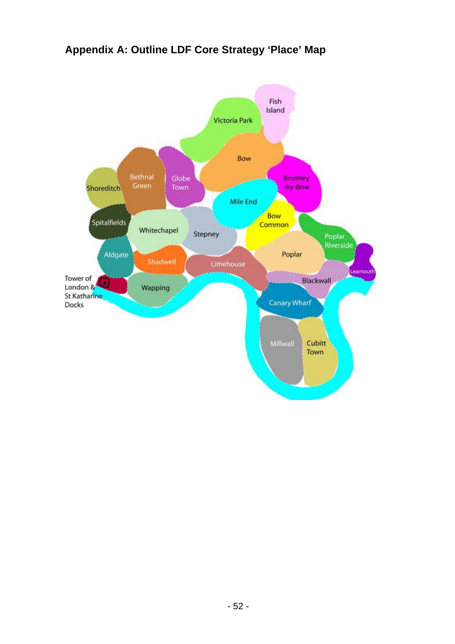# **Appendix A: Outline LDF Core Strategy 'Place' Map**

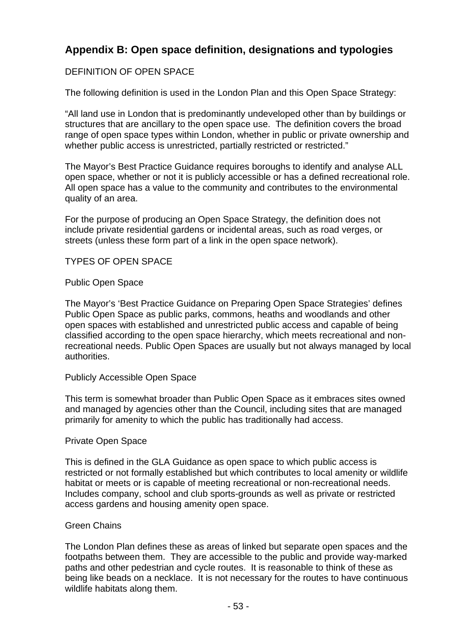# **Appendix B: Open space definition, designations and typologies**

# DEFINITION OF OPEN SPACE

The following definition is used in the London Plan and this Open Space Strategy:

"All land use in London that is predominantly undeveloped other than by buildings or structures that are ancillary to the open space use. The definition covers the broad range of open space types within London, whether in public or private ownership and whether public access is unrestricted, partially restricted or restricted."

The Mayor's Best Practice Guidance requires boroughs to identify and analyse ALL open space, whether or not it is publicly accessible or has a defined recreational role. All open space has a value to the community and contributes to the environmental quality of an area.

For the purpose of producing an Open Space Strategy, the definition does not include private residential gardens or incidental areas, such as road verges, or streets (unless these form part of a link in the open space network).

TYPES OF OPEN SPACE

### Public Open Space

The Mayor's 'Best Practice Guidance on Preparing Open Space Strategies' defines Public Open Space as public parks, commons, heaths and woodlands and other open spaces with established and unrestricted public access and capable of being classified according to the open space hierarchy, which meets recreational and nonrecreational needs. Public Open Spaces are usually but not always managed by local authorities.

### Publicly Accessible Open Space

This term is somewhat broader than Public Open Space as it embraces sites owned and managed by agencies other than the Council, including sites that are managed primarily for amenity to which the public has traditionally had access.

### Private Open Space

This is defined in the GLA Guidance as open space to which public access is restricted or not formally established but which contributes to local amenity or wildlife habitat or meets or is capable of meeting recreational or non-recreational needs. Includes company, school and club sports-grounds as well as private or restricted access gardens and housing amenity open space.

### Green Chains

The London Plan defines these as areas of linked but separate open spaces and the footpaths between them. They are accessible to the public and provide way-marked paths and other pedestrian and cycle routes. It is reasonable to think of these as being like beads on a necklace. It is not necessary for the routes to have continuous wildlife habitats along them.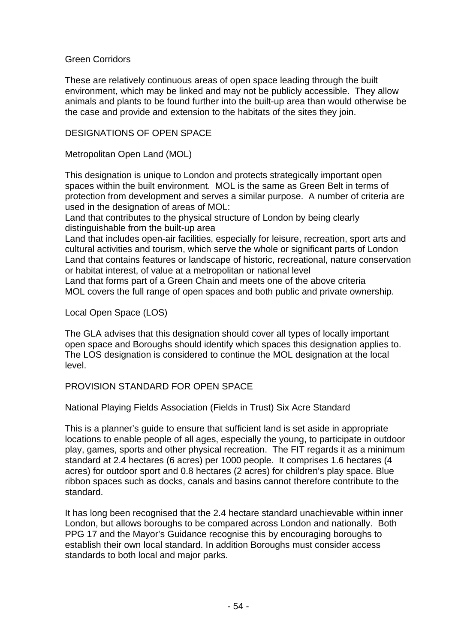## Green Corridors

These are relatively continuous areas of open space leading through the built environment, which may be linked and may not be publicly accessible. They allow animals and plants to be found further into the built-up area than would otherwise be the case and provide and extension to the habitats of the sites they join.

## DESIGNATIONS OF OPEN SPACE

Metropolitan Open Land (MOL)

This designation is unique to London and protects strategically important open spaces within the built environment. MOL is the same as Green Belt in terms of protection from development and serves a similar purpose. A number of criteria are used in the designation of areas of MOL:

Land that contributes to the physical structure of London by being clearly distinguishable from the built-up area

Land that includes open-air facilities, especially for leisure, recreation, sport arts and cultural activities and tourism, which serve the whole or significant parts of London Land that contains features or landscape of historic, recreational, nature conservation or habitat interest, of value at a metropolitan or national level

Land that forms part of a Green Chain and meets one of the above criteria MOL covers the full range of open spaces and both public and private ownership.

Local Open Space (LOS)

The GLA advises that this designation should cover all types of locally important open space and Boroughs should identify which spaces this designation applies to. The LOS designation is considered to continue the MOL designation at the local level.

PROVISION STANDARD FOR OPEN SPACE

National Playing Fields Association (Fields in Trust) Six Acre Standard

This is a planner's guide to ensure that sufficient land is set aside in appropriate locations to enable people of all ages, especially the young, to participate in outdoor play, games, sports and other physical recreation. The FIT regards it as a minimum standard at 2.4 hectares (6 acres) per 1000 people. It comprises 1.6 hectares (4 acres) for outdoor sport and 0.8 hectares (2 acres) for children's play space. Blue ribbon spaces such as docks, canals and basins cannot therefore contribute to the standard.

It has long been recognised that the 2.4 hectare standard unachievable within inner London, but allows boroughs to be compared across London and nationally. Both PPG 17 and the Mayor's Guidance recognise this by encouraging boroughs to establish their own local standard. In addition Boroughs must consider access standards to both local and major parks.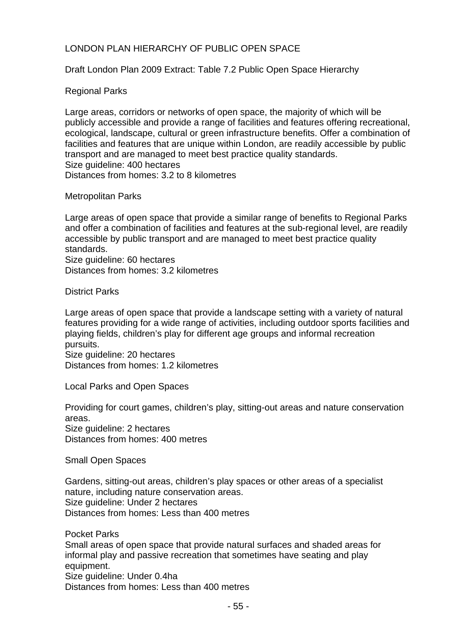## LONDON PLAN HIERARCHY OF PUBLIC OPEN SPACE

Draft London Plan 2009 Extract: Table 7.2 Public Open Space Hierarchy

## Regional Parks

Large areas, corridors or networks of open space, the majority of which will be publicly accessible and provide a range of facilities and features offering recreational, ecological, landscape, cultural or green infrastructure benefits. Offer a combination of facilities and features that are unique within London, are readily accessible by public transport and are managed to meet best practice quality standards. Size quideline: 400 hectares Distances from homes: 3.2 to 8 kilometres

#### Metropolitan Parks

Large areas of open space that provide a similar range of benefits to Regional Parks and offer a combination of facilities and features at the sub-regional level, are readily accessible by public transport and are managed to meet best practice quality standards.

Size guideline: 60 hectares Distances from homes: 3.2 kilometres

District Parks

Large areas of open space that provide a landscape setting with a variety of natural features providing for a wide range of activities, including outdoor sports facilities and playing fields, children's play for different age groups and informal recreation pursuits.

Size guideline: 20 hectares Distances from homes: 1.2 kilometres

Local Parks and Open Spaces

Providing for court games, children's play, sitting-out areas and nature conservation areas. Size guideline: 2 hectares

Distances from homes: 400 metres

Small Open Spaces

Gardens, sitting-out areas, children's play spaces or other areas of a specialist nature, including nature conservation areas. Size guideline: Under 2 hectares Distances from homes: Less than 400 metres

Pocket Parks

Small areas of open space that provide natural surfaces and shaded areas for informal play and passive recreation that sometimes have seating and play equipment.

Size guideline: Under 0.4ha

Distances from homes: Less than 400 metres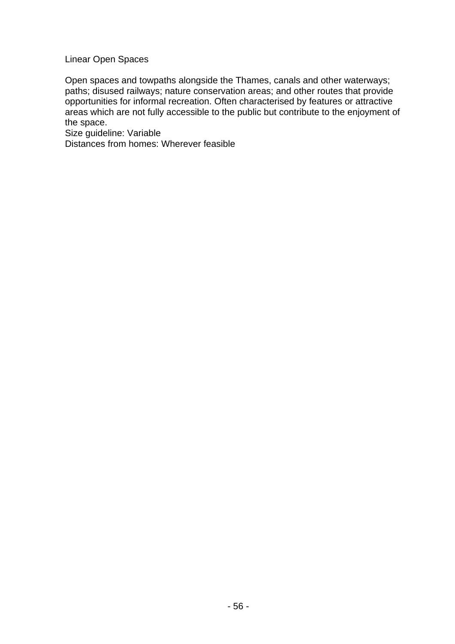Linear Open Spaces

Open spaces and towpaths alongside the Thames, canals and other waterways; paths; disused railways; nature conservation areas; and other routes that provide opportunities for informal recreation. Often characterised by features or attractive areas which are not fully accessible to the public but contribute to the enjoyment of the space.

Size guideline: Variable

Distances from homes: Wherever feasible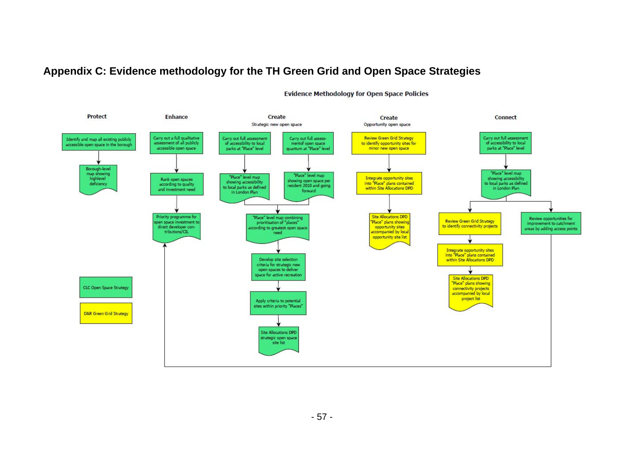# **Appendix C: Evidence methodology for the TH Green Grid and Open Space Strategies**



**Evidence Methodology for Open Space Policies**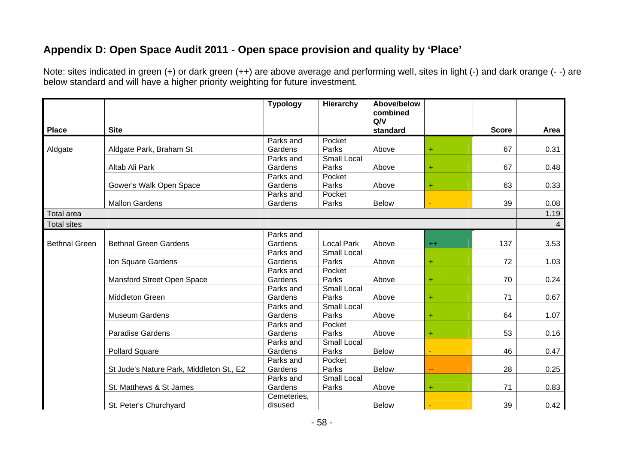# **Appendix D: Open Space Audit 2011 - Open space provision and quality by 'Place'**

Note: sites indicated in green (+) or dark green (++) are above average and performing well, sites in light (-) and dark orange (- -) are below standard and will have a higher priority weighting for future investment.

|                      |                                          | <b>Typology</b>        | Hierarchy          | Above/below<br>combined |           |              |      |
|----------------------|------------------------------------------|------------------------|--------------------|-------------------------|-----------|--------------|------|
|                      |                                          |                        |                    | Q/V                     |           |              |      |
| <b>Place</b>         | <b>Site</b>                              |                        |                    | standard                |           | <b>Score</b> | Area |
|                      |                                          | Parks and              | Pocket             |                         |           |              |      |
| Aldgate              | Aldgate Park, Braham St                  | Gardens                | Parks              | Above                   | $\ddot{}$ | 67           | 0.31 |
|                      |                                          | Parks and              | Small Local        |                         |           |              |      |
|                      | Altab Ali Park                           | Gardens                | Parks              | Above                   | $\ddot{}$ | 67           | 0.48 |
|                      |                                          | Parks and              | Pocket             |                         |           |              |      |
|                      | Gower's Walk Open Space                  | Gardens                | Parks              | Above                   | $\ddot{}$ | 63           | 0.33 |
|                      |                                          | Parks and              | Pocket             |                         |           |              |      |
|                      | <b>Mallon Gardens</b>                    | Gardens                | Parks              | <b>Below</b>            |           | 39           | 0.08 |
| <b>Total area</b>    |                                          |                        |                    |                         |           |              | 1.19 |
| <b>Total sites</b>   |                                          |                        |                    |                         |           |              | 4    |
|                      |                                          | Parks and              |                    |                         |           |              |      |
| <b>Bethnal Green</b> | <b>Bethnal Green Gardens</b>             | Gardens                | <b>Local Park</b>  | Above                   | $^{++}$   | 137          | 3.53 |
|                      |                                          | Parks and              | <b>Small Local</b> |                         |           |              |      |
|                      | Ion Square Gardens                       | Gardens                | Parks              | Above                   | $\ddot{}$ | 72           | 1.03 |
|                      |                                          | Parks and              | Pocket             |                         |           |              |      |
|                      | Mansford Street Open Space               | Gardens                | Parks              | Above                   | $\ddot{}$ | 70           | 0.24 |
|                      |                                          | Parks and              | Small Local        |                         |           |              |      |
|                      | <b>Middleton Green</b>                   | Gardens                | Parks              | Above                   | $\ddot{}$ | 71           | 0.67 |
|                      |                                          | Parks and              | <b>Small Local</b> |                         |           |              |      |
|                      | <b>Museum Gardens</b>                    | Gardens                | Parks              | Above                   | $\ddot{}$ | 64           | 1.07 |
|                      |                                          | Parks and              | Pocket             |                         |           |              |      |
|                      | Paradise Gardens                         | Gardens                | Parks              | Above                   | $\ddot{}$ | 53           | 0.16 |
|                      |                                          | Parks and              | <b>Small Local</b> |                         |           |              |      |
|                      | <b>Pollard Square</b>                    | Gardens                | Parks              | <b>Below</b>            |           | 46           | 0.47 |
|                      |                                          | Parks and              | Pocket             |                         |           |              |      |
|                      | St Jude's Nature Park, Middleton St., E2 | Gardens                | Parks              | <b>Below</b>            | 44        | 28           | 0.25 |
|                      |                                          | Parks and              | Small Local        |                         |           |              |      |
|                      | St. Matthews & St James                  | Gardens                | Parks              | Above                   | $\ddot{}$ | 71           | 0.83 |
|                      | St. Peter's Churchyard                   | Cemeteries,<br>disused |                    | <b>Below</b>            |           | 39           | 0.42 |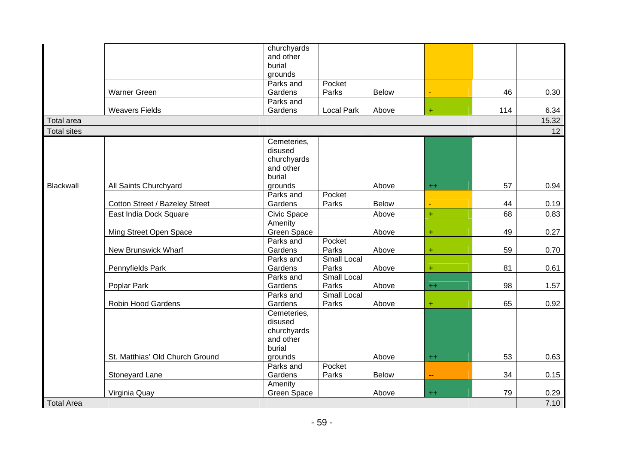|                    |                                 | churchyards        |                    |              |                          |     |       |
|--------------------|---------------------------------|--------------------|--------------------|--------------|--------------------------|-----|-------|
|                    |                                 | and other          |                    |              |                          |     |       |
|                    |                                 | burial             |                    |              |                          |     |       |
|                    |                                 | grounds            |                    |              |                          |     |       |
|                    |                                 | Parks and          | Pocket             |              |                          |     |       |
|                    | <b>Warner Green</b>             | Gardens            | Parks              | <b>Below</b> |                          | 46  | 0.30  |
|                    |                                 | Parks and          |                    |              |                          |     |       |
|                    | <b>Weavers Fields</b>           | Gardens            | <b>Local Park</b>  | Above        | $\ddot{}$                | 114 | 6.34  |
| <b>Total area</b>  |                                 |                    |                    |              |                          |     | 15.32 |
| <b>Total sites</b> |                                 |                    |                    |              |                          |     | 12    |
|                    |                                 | Cemeteries,        |                    |              |                          |     |       |
|                    |                                 | disused            |                    |              |                          |     |       |
|                    |                                 | churchyards        |                    |              |                          |     |       |
|                    |                                 | and other          |                    |              |                          |     |       |
|                    |                                 | burial             |                    |              |                          |     |       |
| <b>Blackwall</b>   | All Saints Churchyard           | grounds            |                    | Above        | $^{++}$                  | 57  | 0.94  |
|                    |                                 | Parks and          | Pocket             |              |                          |     |       |
|                    | Cotton Street / Bazeley Street  | Gardens            | Parks              | <b>Below</b> |                          | 44  | 0.19  |
|                    | East India Dock Square          | Civic Space        |                    | Above        | $+$                      | 68  | 0.83  |
|                    |                                 | Amenity            |                    |              |                          |     |       |
|                    | Ming Street Open Space          | Green Space        |                    | Above        | $\ddot{}$                | 49  | 0.27  |
|                    |                                 | Parks and          | Pocket             |              |                          |     |       |
|                    | New Brunswick Wharf             | Gardens            | Parks              | Above        | $\ddot{}$                | 59  | 0.70  |
|                    |                                 | Parks and          | <b>Small Local</b> |              |                          |     |       |
|                    | Pennyfields Park                | Gardens            | Parks              | Above        | $+$                      | 81  | 0.61  |
|                    |                                 | Parks and          | <b>Small Local</b> |              |                          |     |       |
|                    | Poplar Park                     | Gardens            | Parks              | Above        | $^{++}$                  | 98  | 1.57  |
|                    |                                 | Parks and          | <b>Small Local</b> |              |                          |     |       |
|                    | Robin Hood Gardens              | Gardens            | Parks              | Above        | $\ddot{}$                | 65  | 0.92  |
|                    |                                 | Cemeteries,        |                    |              |                          |     |       |
|                    |                                 | disused            |                    |              |                          |     |       |
|                    |                                 | churchyards        |                    |              |                          |     |       |
|                    |                                 | and other          |                    |              |                          |     |       |
|                    |                                 | burial             |                    |              |                          |     |       |
|                    | St. Matthias' Old Church Ground | grounds            |                    | Above        | $++$                     | 53  | 0.63  |
|                    |                                 | Parks and          | Pocket             |              |                          |     |       |
|                    | Stoneyard Lane                  | Gardens            | Parks              | <b>Below</b> | $\overline{\phantom{a}}$ | 34  | 0.15  |
|                    |                                 | Amenity            |                    |              |                          |     |       |
|                    | Virginia Quay                   | <b>Green Space</b> |                    | Above        | $++$                     | 79  | 0.29  |
| <b>Total Area</b>  |                                 |                    |                    |              |                          |     | 7.10  |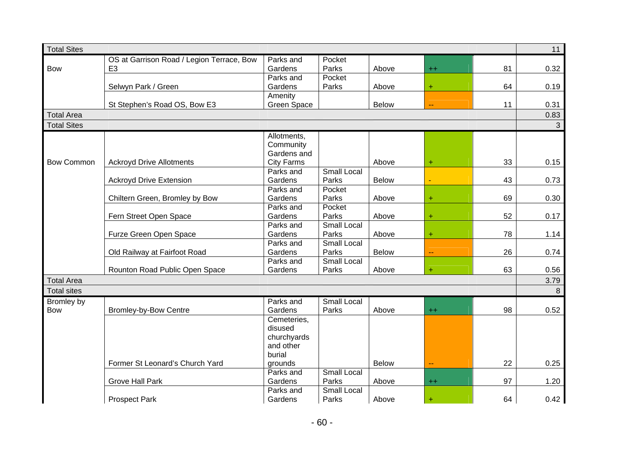| <b>Total Sites</b> |                                           |                   |                    |              |           |    | 11           |
|--------------------|-------------------------------------------|-------------------|--------------------|--------------|-----------|----|--------------|
|                    | OS at Garrison Road / Legion Terrace, Bow | Parks and         | Pocket             |              |           |    |              |
| <b>Bow</b>         | E <sub>3</sub>                            | Gardens           | Parks              | Above        | $++$      | 81 | 0.32         |
|                    |                                           | Parks and         | Pocket             |              |           |    |              |
|                    | Selwyn Park / Green                       | Gardens           | Parks              | Above        | $\ddot{}$ | 64 | 0.19         |
|                    |                                           | Amenity           |                    |              |           |    |              |
|                    | St Stephen's Road OS, Bow E3              | Green Space       |                    | <b>Below</b> | ۵.        | 11 | 0.31         |
| <b>Total Area</b>  |                                           |                   |                    |              |           |    | 0.83         |
| <b>Total Sites</b> |                                           |                   |                    |              |           |    | $\mathbf{3}$ |
|                    |                                           | Allotments,       |                    |              |           |    |              |
|                    |                                           | Community         |                    |              |           |    |              |
|                    |                                           | Gardens and       |                    |              |           |    |              |
| <b>Bow Common</b>  | <b>Ackroyd Drive Allotments</b>           | <b>City Farms</b> |                    | Above        | Ŧ         | 33 | 0.15         |
|                    |                                           | Parks and         | <b>Small Local</b> |              |           |    |              |
|                    | <b>Ackroyd Drive Extension</b>            | Gardens           | Parks              | <b>Below</b> |           | 43 | 0.73         |
|                    |                                           | Parks and         | Pocket             |              |           |    |              |
|                    | Chiltern Green, Bromley by Bow            | Gardens           | Parks              | Above        | $+$       | 69 | 0.30         |
|                    |                                           | Parks and         | Pocket             |              |           |    |              |
|                    | Fern Street Open Space                    | Gardens           | Parks              | Above        | $\ddot{}$ | 52 | 0.17         |
|                    |                                           | Parks and         | <b>Small Local</b> |              |           |    |              |
|                    | Furze Green Open Space                    | Gardens           | Parks              | Above        | ÷         | 78 | 1.14         |
|                    |                                           | Parks and         | <b>Small Local</b> |              |           |    |              |
|                    | Old Railway at Fairfoot Road              | Gardens           | Parks              | Below        |           | 26 | 0.74         |
|                    |                                           | Parks and         | Small Local        |              |           |    |              |
|                    | Rounton Road Public Open Space            | Gardens           | Parks              | Above        | ÷         | 63 | 0.56         |
| <b>Total Area</b>  |                                           |                   |                    |              |           |    | 3.79         |
| <b>Total sites</b> |                                           |                   |                    |              |           |    | 8            |
| Bromley by         |                                           | Parks and         | <b>Small Local</b> |              |           |    |              |
| <b>Bow</b>         | <b>Bromley-by-Bow Centre</b>              | Gardens           | Parks              | Above        | $^{++}$   | 98 | 0.52         |
|                    |                                           | Cemeteries,       |                    |              |           |    |              |
|                    |                                           | disused           |                    |              |           |    |              |
|                    |                                           | churchyards       |                    |              |           |    |              |
|                    |                                           | and other         |                    |              |           |    |              |
|                    |                                           | burial            |                    |              |           |    |              |
|                    | Former St Leonard's Church Yard           | grounds           |                    | <b>Below</b> | 44        | 22 | 0.25         |
|                    |                                           | Parks and         | <b>Small Local</b> |              |           |    |              |
|                    | <b>Grove Hall Park</b>                    | Gardens           | Parks              | Above        | $^{++}$   | 97 | 1.20         |
|                    |                                           | Parks and         | <b>Small Local</b> |              |           |    |              |
|                    | <b>Prospect Park</b>                      | Gardens           | Parks              | Above        | $\ddot{}$ | 64 | 0.42         |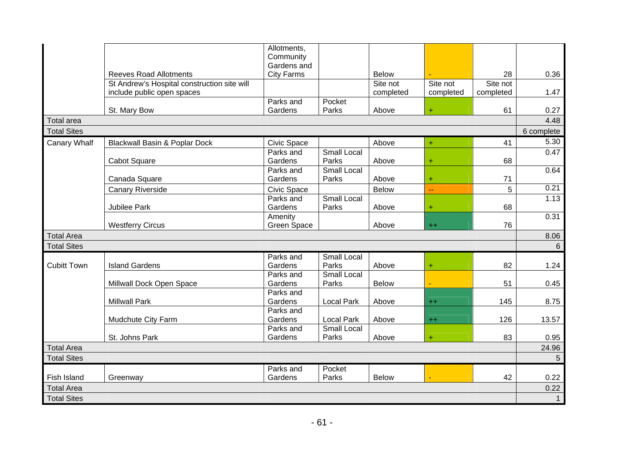|                    |                                             | Allotments,<br>Community |                    |              |           |           |                |
|--------------------|---------------------------------------------|--------------------------|--------------------|--------------|-----------|-----------|----------------|
|                    |                                             | Gardens and              |                    |              |           |           |                |
|                    | <b>Reeves Road Allotments</b>               | <b>City Farms</b>        |                    | <b>Below</b> |           | 28        | 0.36           |
|                    | St Andrew's Hospital construction site will |                          |                    | Site not     | Site not  | Site not  |                |
|                    | include public open spaces                  |                          |                    | completed    | completed | completed | 1.47           |
|                    | St. Mary Bow                                | Parks and<br>Gardens     | Pocket<br>Parks    | Above        | $\ddot{}$ | 61        | 0.27           |
| <b>Total area</b>  |                                             |                          |                    |              |           |           | 4.48           |
| <b>Total Sites</b> |                                             |                          |                    |              |           |           | 6 complete     |
|                    |                                             |                          |                    |              |           |           | 5.30           |
| Canary Whalf       | Blackwall Basin & Poplar Dock               | Civic Space<br>Parks and | <b>Small Local</b> | Above        | $\ddot{}$ | 41        | 0.47           |
|                    | Cabot Square                                | Gardens                  | Parks              | Above        | ÷         | 68        |                |
|                    |                                             | Parks and                | <b>Small Local</b> |              |           |           | 0.64           |
|                    | Canada Square                               | Gardens                  | Parks              | Above        | $\ddot{}$ | 71        |                |
|                    | <b>Canary Riverside</b>                     | Civic Space              |                    | <b>Below</b> | 44        | 5         | 0.21           |
|                    |                                             | Parks and                | <b>Small Local</b> |              |           |           | 1.13           |
|                    | Jubilee Park                                | Gardens                  | Parks              | Above        | $\ddot{}$ | 68        |                |
|                    |                                             | Amenity                  |                    |              |           |           | 0.31           |
|                    | <b>Westferry Circus</b>                     | Green Space              |                    | Above        | $++$      | 76        |                |
| <b>Total Area</b>  |                                             |                          |                    |              |           |           | 8.06           |
| <b>Total Sites</b> |                                             |                          |                    |              |           |           | 6              |
|                    |                                             | Parks and                | <b>Small Local</b> |              |           |           |                |
| <b>Cubitt Town</b> | <b>Island Gardens</b>                       | Gardens                  | Parks              | Above        | $\ddot{}$ | 82        | 1.24           |
|                    |                                             | Parks and                | <b>Small Local</b> |              |           |           |                |
|                    | Millwall Dock Open Space                    | Gardens<br>Parks and     | Parks              | <b>Below</b> |           | 51        | 0.45           |
|                    | <b>Millwall Park</b>                        | Gardens                  | <b>Local Park</b>  | Above        | $++$      | 145       | 8.75           |
|                    |                                             | Parks and                |                    |              |           |           |                |
|                    | Mudchute City Farm                          | Gardens                  | <b>Local Park</b>  | Above        | $^{++}$   | 126       | 13.57          |
|                    |                                             | Parks and                | Small Local        |              |           |           |                |
|                    | St. Johns Park                              | Gardens                  | Parks              | Above        | Ŧ         | 83        | 0.95           |
| <b>Total Area</b>  |                                             |                          |                    |              |           |           | 24.96          |
| <b>Total Sites</b> |                                             |                          |                    |              |           |           | $5\phantom{.}$ |
|                    |                                             | Parks and                | Pocket             |              |           |           |                |
| Fish Island        | Greenway                                    | Gardens                  | Parks              | <b>Below</b> |           | 42        | 0.22           |
| <b>Total Area</b>  |                                             |                          |                    |              |           |           | 0.22           |
| <b>Total Sites</b> |                                             |                          |                    |              |           |           | $\mathbf{1}$   |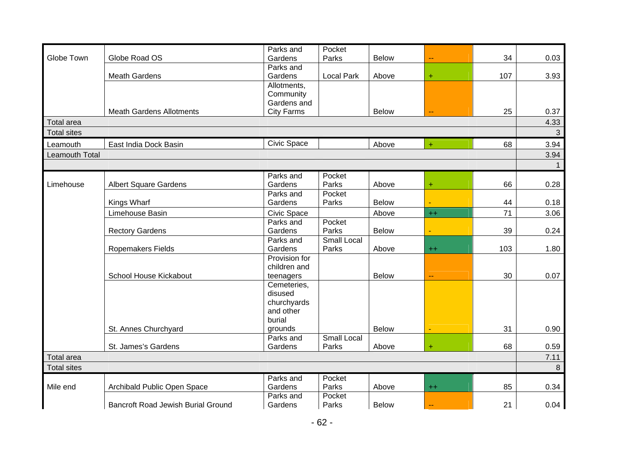|                    |                                           | Parks and          | Pocket             |              |           |     |              |
|--------------------|-------------------------------------------|--------------------|--------------------|--------------|-----------|-----|--------------|
| Globe Town         | Globe Road OS                             | Gardens            | Parks              | <b>Below</b> | ц.        | 34  | 0.03         |
|                    |                                           | Parks and          |                    |              |           |     |              |
|                    | <b>Meath Gardens</b>                      | Gardens            | <b>Local Park</b>  | Above        | ÷         | 107 | 3.93         |
|                    |                                           | Allotments,        |                    |              |           |     |              |
|                    |                                           | Community          |                    |              |           |     |              |
|                    |                                           | Gardens and        |                    |              |           |     |              |
|                    | <b>Meath Gardens Allotments</b>           | <b>City Farms</b>  |                    | <b>Below</b> |           | 25  | 0.37         |
| <b>Total area</b>  |                                           |                    |                    |              |           |     | 4.33         |
| <b>Total sites</b> |                                           |                    |                    |              |           |     | $\mathbf{3}$ |
| Leamouth           | East India Dock Basin                     | <b>Civic Space</b> |                    | Above        | $\ddot{}$ | 68  | 3.94         |
| Leamouth Total     |                                           |                    |                    |              |           |     | 3.94         |
|                    |                                           |                    |                    |              |           |     |              |
|                    |                                           | Parks and          | Pocket             |              |           |     |              |
| Limehouse          | <b>Albert Square Gardens</b>              | Gardens            | Parks              | Above        | $\ddot{}$ | 66  | 0.28         |
|                    |                                           | Parks and          | Pocket             |              |           |     |              |
|                    | Kings Wharf                               | Gardens            | Parks              | <b>Below</b> |           | 44  | 0.18         |
|                    | Limehouse Basin                           | <b>Civic Space</b> |                    | Above        | $^{++}$   | 71  | 3.06         |
|                    |                                           | Parks and          | Pocket             |              |           |     |              |
|                    | <b>Rectory Gardens</b>                    | Gardens            | Parks              | <b>Below</b> |           | 39  | 0.24         |
|                    |                                           | Parks and          | Small Local        |              |           |     |              |
|                    | Ropemakers Fields                         | Gardens            | Parks              | Above        | $^{++}$   | 103 | 1.80         |
|                    |                                           | Provision for      |                    |              |           |     |              |
|                    |                                           | children and       |                    |              |           |     |              |
|                    | School House Kickabout                    | teenagers          |                    | <b>Below</b> | 44        | 30  | 0.07         |
|                    |                                           | Cemeteries,        |                    |              |           |     |              |
|                    |                                           | disused            |                    |              |           |     |              |
|                    |                                           | churchyards        |                    |              |           |     |              |
|                    |                                           | and other          |                    |              |           |     |              |
|                    |                                           | burial             |                    |              |           |     |              |
|                    | St. Annes Churchyard                      | grounds            |                    | <b>Below</b> |           | 31  | 0.90         |
|                    |                                           | Parks and          | <b>Small Local</b> |              |           | 68  |              |
|                    | St. James's Gardens                       | Gardens            | Parks              | Above        | $\ddot{}$ |     | 0.59         |
| <b>Total area</b>  |                                           |                    |                    |              |           |     | 7.11         |
| <b>Total sites</b> |                                           |                    |                    |              |           |     | 8            |
|                    |                                           | Parks and          | Pocket             |              |           |     |              |
| Mile end           | Archibald Public Open Space               | Gardens            | Parks              | Above        | $^{++}$   | 85  | 0.34         |
|                    |                                           | Parks and          | Pocket             |              |           |     |              |
|                    | <b>Bancroft Road Jewish Burial Ground</b> | Gardens            | Parks              | <b>Below</b> |           | 21  | 0.04         |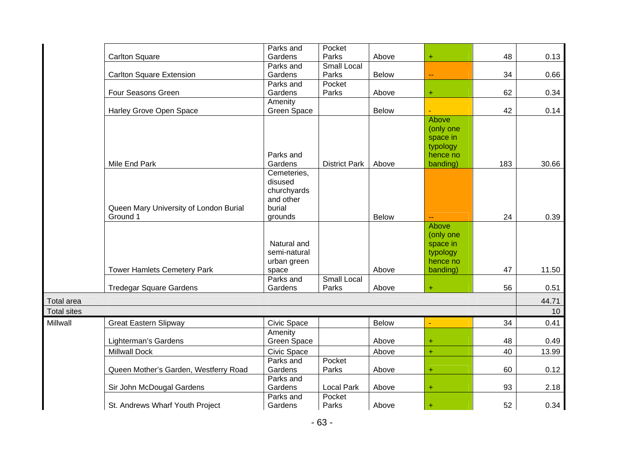|                    |                                        | Parks and            | Pocket               |              |                      |     |       |
|--------------------|----------------------------------------|----------------------|----------------------|--------------|----------------------|-----|-------|
|                    | <b>Carlton Square</b>                  | Gardens              | Parks                | Above        | $+$                  | 48  | 0.13  |
|                    |                                        | Parks and            | Small Local          |              |                      |     |       |
|                    | <b>Carlton Square Extension</b>        | Gardens              | Parks                | <b>Below</b> |                      | 34  | 0.66  |
|                    |                                        | Parks and            | Pocket               |              |                      |     |       |
|                    | Four Seasons Green                     | Gardens              | Parks                | Above        | Ŧ,                   | 62  | 0.34  |
|                    |                                        | Amenity              |                      |              |                      |     |       |
|                    | Harley Grove Open Space                | Green Space          |                      | <b>Below</b> |                      | 42  | 0.14  |
|                    |                                        |                      |                      |              | Above                |     |       |
|                    |                                        |                      |                      |              | (only one            |     |       |
|                    |                                        |                      |                      |              | space in             |     |       |
|                    |                                        |                      |                      |              | typology             |     |       |
|                    | Mile End Park                          | Parks and<br>Gardens | <b>District Park</b> | Above        | hence no<br>banding) | 183 | 30.66 |
|                    |                                        | Cemeteries,          |                      |              |                      |     |       |
|                    |                                        | disused              |                      |              |                      |     |       |
|                    |                                        | churchyards          |                      |              |                      |     |       |
|                    |                                        | and other            |                      |              |                      |     |       |
|                    | Queen Mary University of London Burial | burial               |                      |              |                      |     |       |
|                    | Ground 1                               | grounds              |                      | <b>Below</b> | --                   | 24  | 0.39  |
|                    |                                        |                      |                      |              | Above                |     |       |
|                    |                                        |                      |                      |              | (only one            |     |       |
|                    |                                        | Natural and          |                      |              | space in             |     |       |
|                    |                                        | semi-natural         |                      |              | typology             |     |       |
|                    |                                        | urban green          |                      |              | hence no             |     |       |
|                    | <b>Tower Hamlets Cemetery Park</b>     | space                |                      | Above        | banding)             | 47  | 11.50 |
|                    |                                        | Parks and            | Small Local          |              |                      |     |       |
|                    | <b>Tredegar Square Gardens</b>         | Gardens              | Parks                | Above        | Ŧ.                   | 56  | 0.51  |
| Total area         |                                        |                      |                      |              |                      |     | 44.71 |
| <b>Total sites</b> |                                        |                      |                      |              |                      |     | 10    |
| Millwall           | <b>Great Eastern Slipway</b>           | <b>Civic Space</b>   |                      | <b>Below</b> |                      | 34  | 0.41  |
|                    |                                        | Amenity              |                      |              |                      |     |       |
|                    | Lighterman's Gardens                   | Green Space          |                      | Above        | ÷                    | 48  | 0.49  |
|                    | <b>Millwall Dock</b>                   | Civic Space          |                      | Above        | $+$                  | 40  | 13.99 |
|                    |                                        | Parks and            | Pocket               |              |                      |     |       |
|                    | Queen Mother's Garden, Westferry Road  | Gardens              | Parks                | Above        | $+$                  | 60  | 0.12  |
|                    |                                        | Parks and            |                      |              |                      |     |       |
|                    | Sir John McDougal Gardens              | Gardens              | <b>Local Park</b>    | Above        | Ŧ                    | 93  | 2.18  |
|                    |                                        | Parks and            | Pocket               |              |                      |     |       |
|                    | St. Andrews Wharf Youth Project        | Gardens              | Parks                | Above        | $\ddot{}$            | 52  | 0.34  |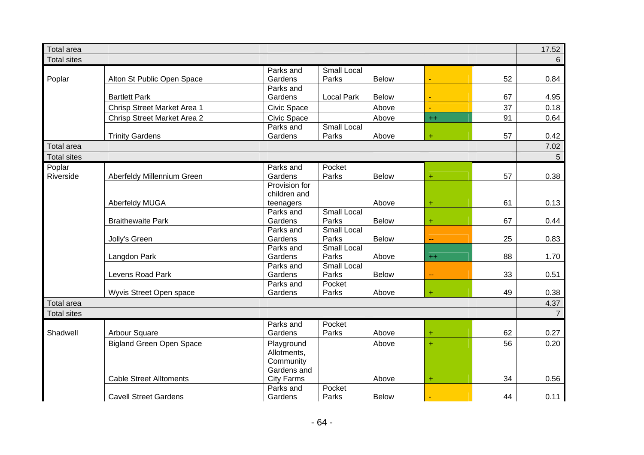| <b>Total area</b>  |                                    |                      |                             |              |      |    | 17.52          |
|--------------------|------------------------------------|----------------------|-----------------------------|--------------|------|----|----------------|
| <b>Total sites</b> |                                    |                      |                             |              |      |    | 6              |
|                    |                                    | Parks and            | Small Local                 |              |      |    |                |
| Poplar             | Alton St Public Open Space         | Gardens              | Parks                       | <b>Below</b> |      | 52 | 0.84           |
|                    |                                    | Parks and            |                             |              |      |    |                |
|                    | <b>Bartlett Park</b>               | Gardens              | <b>Local Park</b>           | <b>Below</b> |      | 67 | 4.95           |
|                    | Chrisp Street Market Area 1        | Civic Space          |                             | Above        |      | 37 | 0.18           |
|                    | <b>Chrisp Street Market Area 2</b> | Civic Space          |                             | Above        | $++$ | 91 | 0.64           |
|                    |                                    | Parks and            | <b>Small Local</b>          |              |      |    |                |
|                    | <b>Trinity Gardens</b>             | Gardens              | Parks                       | Above        | Ŧ    | 57 | 0.42           |
| <b>Total area</b>  |                                    |                      |                             |              |      |    | 7.02           |
| <b>Total sites</b> |                                    |                      |                             |              |      |    | 5              |
| Poplar             |                                    | Parks and            | Pocket                      |              |      |    |                |
| Riverside          | Aberfeldy Millennium Green         | Gardens              | Parks                       | <b>Below</b> | ÷    | 57 | 0.38           |
|                    |                                    | Provision for        |                             |              |      |    |                |
|                    |                                    | children and         |                             |              |      |    |                |
|                    | Aberfeldy MUGA                     | teenagers            |                             | Above        | ÷    | 61 | 0.13           |
|                    |                                    | Parks and            | <b>Small Local</b>          |              |      |    |                |
|                    | <b>Braithewaite Park</b>           | Gardens              | Parks                       | <b>Below</b> | ÷    | 67 | 0.44           |
|                    |                                    | Parks and            | <b>Small Local</b>          |              |      |    |                |
|                    | Jolly's Green                      | Gardens              | Parks                       | <b>Below</b> | ۵.   | 25 | 0.83           |
|                    |                                    | Parks and<br>Gardens | <b>Small Local</b><br>Parks |              |      | 88 | 1.70           |
|                    | Langdon Park                       | Parks and            | <b>Small Local</b>          | Above        | $++$ |    |                |
|                    | Levens Road Park                   | Gardens              | Parks                       | <b>Below</b> | ۵۵   | 33 | 0.51           |
|                    |                                    | Parks and            | Pocket                      |              |      |    |                |
|                    | Wyvis Street Open space            | Gardens              | Parks                       | Above        | ÷    | 49 | 0.38           |
| <b>Total area</b>  |                                    |                      |                             |              |      |    | 4.37           |
| <b>Total sites</b> |                                    |                      |                             |              |      |    | $\overline{7}$ |
|                    |                                    | Parks and            | Pocket                      |              |      |    |                |
| Shadwell           | <b>Arbour Square</b>               | Gardens              | Parks                       | Above        | ÷    | 62 | 0.27           |
|                    | <b>Bigland Green Open Space</b>    | Playground           |                             | Above        | Ŧ    | 56 | 0.20           |
|                    |                                    | Allotments,          |                             |              |      |    |                |
|                    |                                    | Community            |                             |              |      |    |                |
|                    |                                    | Gardens and          |                             |              |      |    |                |
|                    | <b>Cable Street Alltoments</b>     | <b>City Farms</b>    |                             | Above        | ÷    | 34 | 0.56           |
|                    |                                    | Parks and            | Pocket                      |              |      |    |                |
|                    | <b>Cavell Street Gardens</b>       | Gardens              | Parks                       | <b>Below</b> |      | 44 | 0.11           |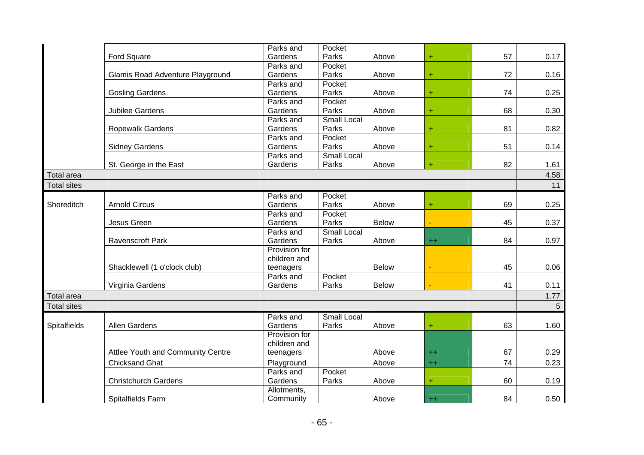|                     |                                   | Parks and     | Pocket             |              |           |    |      |
|---------------------|-----------------------------------|---------------|--------------------|--------------|-----------|----|------|
|                     | Ford Square                       | Gardens       | Parks              | Above        | $+$       | 57 | 0.17 |
|                     |                                   | Parks and     | Pocket             |              |           |    |      |
|                     | Glamis Road Adventure Playground  | Gardens       | Parks              | Above        | $\ddot{}$ | 72 | 0.16 |
|                     |                                   | Parks and     | Pocket             |              |           |    |      |
|                     | <b>Gosling Gardens</b>            | Gardens       | Parks              | Above        | $\ddot{}$ | 74 | 0.25 |
|                     |                                   | Parks and     | Pocket             |              |           |    |      |
|                     | <b>Jubilee Gardens</b>            | Gardens       | Parks              | Above        | $\ddot{}$ | 68 | 0.30 |
|                     |                                   | Parks and     | Small Local        |              |           |    |      |
|                     | Ropewalk Gardens                  | Gardens       | Parks              | Above        | $\ddot{}$ | 81 | 0.82 |
|                     |                                   | Parks and     | Pocket             |              |           |    |      |
|                     | <b>Sidney Gardens</b>             | Gardens       | Parks              | Above        | $\ddot{}$ | 51 | 0.14 |
|                     |                                   | Parks and     | <b>Small Local</b> |              |           |    |      |
|                     | St. George in the East            | Gardens       | Parks              | Above        | $\ddot{}$ | 82 | 1.61 |
| <b>Total area</b>   |                                   |               |                    |              |           |    | 4.58 |
| <b>Total sites</b>  |                                   |               |                    |              |           |    | 11   |
|                     |                                   | Parks and     | Pocket             |              |           |    |      |
| Shoreditch          | <b>Arnold Circus</b>              | Gardens       | Parks              | Above        | ÷         | 69 | 0.25 |
|                     |                                   | Parks and     | Pocket             |              |           |    |      |
|                     | Jesus Green                       | Gardens       | Parks              | <b>Below</b> |           | 45 | 0.37 |
|                     |                                   | Parks and     | <b>Small Local</b> |              |           |    |      |
|                     | Ravenscroft Park                  | Gardens       | Parks              | Above        | $++$      | 84 | 0.97 |
|                     |                                   | Provision for |                    |              |           |    |      |
|                     |                                   | children and  |                    |              |           |    |      |
|                     | Shacklewell (1 o'clock club)      | teenagers     |                    | <b>Below</b> |           | 45 | 0.06 |
|                     |                                   | Parks and     | Pocket             |              |           |    |      |
|                     | Virginia Gardens                  | Gardens       | Parks              | <b>Below</b> |           | 41 | 0.11 |
| <b>Total area</b>   |                                   |               |                    |              |           |    | 1.77 |
| <b>Total sites</b>  |                                   |               |                    |              |           |    | 5    |
|                     |                                   | Parks and     | Small Local        |              |           |    |      |
| <b>Spitalfields</b> | Allen Gardens                     | Gardens       | Parks              | Above        | $\ddot{}$ | 63 | 1.60 |
|                     |                                   | Provision for |                    |              |           |    |      |
|                     |                                   | children and  |                    |              |           |    |      |
|                     | Attlee Youth and Community Centre | teenagers     |                    | Above        | $++$      | 67 | 0.29 |
|                     | <b>Chicksand Ghat</b>             | Playground    |                    | Above        | $++$      | 74 | 0.23 |
|                     |                                   | Parks and     | Pocket             |              |           |    |      |
|                     | <b>Christchurch Gardens</b>       | Gardens       | Parks              | Above        | $\ddot{}$ | 60 | 0.19 |
|                     |                                   | Allotments,   |                    |              |           |    |      |
|                     | Spitalfields Farm                 | Community     |                    | Above        | $++$      | 84 | 0.50 |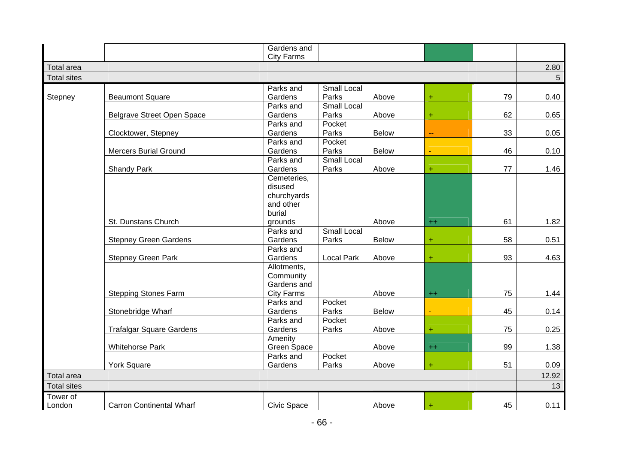|                    |                                 | Gardens and              |                    |              |           |    |       |
|--------------------|---------------------------------|--------------------------|--------------------|--------------|-----------|----|-------|
|                    |                                 | <b>City Farms</b>        |                    |              |           |    |       |
| <b>Total area</b>  |                                 |                          |                    |              |           |    | 2.80  |
| <b>Total sites</b> |                                 |                          |                    |              |           |    | 5     |
|                    |                                 | Parks and                | <b>Small Local</b> |              |           |    |       |
| Stepney            | <b>Beaumont Square</b>          | Gardens                  | Parks              | Above        | $+$       | 79 | 0.40  |
|                    |                                 | Parks and                | <b>Small Local</b> |              |           |    |       |
|                    | Belgrave Street Open Space      | Gardens                  | Parks              | Above        | ÷         | 62 | 0.65  |
|                    |                                 | Parks and                | Pocket             |              |           |    |       |
|                    | Clocktower, Stepney             | Gardens                  | Parks              | <b>Below</b> | ц.        | 33 | 0.05  |
|                    |                                 | Parks and                | Pocket             |              |           |    |       |
|                    | <b>Mercers Burial Ground</b>    | Gardens                  | Parks              | <b>Below</b> |           | 46 | 0.10  |
|                    |                                 | Parks and                | <b>Small Local</b> |              |           |    |       |
|                    | <b>Shandy Park</b>              | Gardens                  | Parks              | Above        | Ŧ         | 77 | 1.46  |
|                    |                                 | Cemeteries,              |                    |              |           |    |       |
|                    |                                 | disused                  |                    |              |           |    |       |
|                    |                                 | churchyards              |                    |              |           |    |       |
|                    |                                 | and other                |                    |              |           |    |       |
|                    |                                 | burial                   |                    |              |           |    |       |
|                    | St. Dunstans Church             | grounds                  |                    | Above        | $^{++}$   | 61 | 1.82  |
|                    |                                 | Parks and                | <b>Small Local</b> |              |           |    |       |
|                    | <b>Stepney Green Gardens</b>    | Gardens                  | Parks              | <b>Below</b> | ÷         | 58 | 0.51  |
|                    |                                 | Parks and                |                    |              |           |    |       |
|                    | <b>Stepney Green Park</b>       | Gardens                  | <b>Local Park</b>  | Above        | Ŧ         | 93 | 4.63  |
|                    |                                 | Allotments,              |                    |              |           |    |       |
|                    |                                 | Community<br>Gardens and |                    |              |           |    |       |
|                    |                                 | <b>City Farms</b>        |                    | Above        |           | 75 | 1.44  |
|                    | <b>Stepping Stones Farm</b>     | Parks and                | Pocket             |              | $^{++}$   |    |       |
|                    | Stonebridge Wharf               | Gardens                  | Parks              | <b>Below</b> |           | 45 | 0.14  |
|                    |                                 | Parks and                | Pocket             |              |           |    |       |
|                    | <b>Trafalgar Square Gardens</b> | Gardens                  | Parks              | Above        | $\ddot{}$ | 75 | 0.25  |
|                    |                                 | Amenity                  |                    |              |           |    |       |
|                    | <b>Whitehorse Park</b>          | Green Space              |                    | Above        | $^{++}$   | 99 | 1.38  |
|                    |                                 | Parks and                | Pocket             |              |           |    |       |
|                    | <b>York Square</b>              | Gardens                  | Parks              | Above        | ÷         | 51 | 0.09  |
| <b>Total area</b>  |                                 |                          |                    |              |           |    | 12.92 |
| <b>Total sites</b> |                                 |                          |                    |              |           |    | 13    |
| Tower of           |                                 |                          |                    |              |           |    |       |
| London             | <b>Carron Continental Wharf</b> | Civic Space              |                    | Above        | $\ddot{}$ | 45 | 0.11  |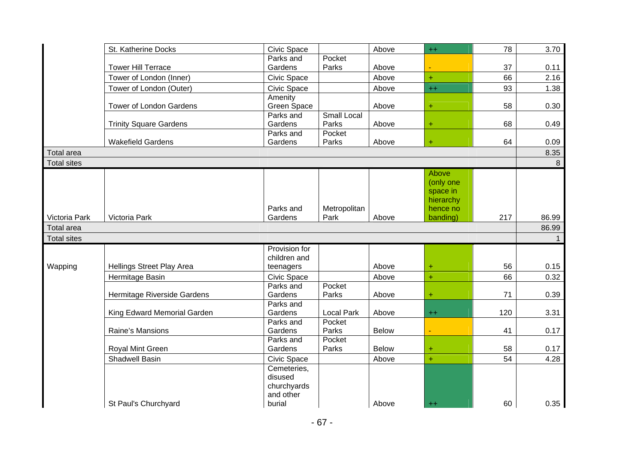|                    | St. Katherine Docks            | Civic Space                   |                      | Above        | $^{++}$              | 78  | 3.70         |
|--------------------|--------------------------------|-------------------------------|----------------------|--------------|----------------------|-----|--------------|
|                    |                                | Parks and                     | Pocket               |              |                      |     |              |
|                    | <b>Tower Hill Terrace</b>      | Gardens                       | Parks                | Above        |                      | 37  | 0.11         |
|                    | Tower of London (Inner)        | Civic Space                   |                      | Above        | $+$                  | 66  | 2.16         |
|                    | Tower of London (Outer)        | Civic Space                   |                      | Above        | $^{++}$              | 93  | 1.38         |
|                    |                                | Amenity                       |                      |              |                      |     |              |
|                    | <b>Tower of London Gardens</b> | Green Space                   |                      | Above        | $\ddot{}$            | 58  | 0.30         |
|                    |                                | Parks and                     | <b>Small Local</b>   |              |                      |     |              |
|                    | <b>Trinity Square Gardens</b>  | Gardens                       | Parks                | Above        | $\ddot{}$            | 68  | 0.49         |
|                    |                                | Parks and                     | Pocket               |              |                      |     |              |
|                    | <b>Wakefield Gardens</b>       | Gardens                       | Parks                | Above        | $\ddot{}$            | 64  | 0.09         |
| <b>Total area</b>  |                                |                               |                      |              |                      |     | 8.35         |
| <b>Total sites</b> |                                |                               |                      |              |                      |     | 8            |
|                    |                                |                               |                      |              | Above                |     |              |
|                    |                                |                               |                      |              | (only one            |     |              |
|                    |                                |                               |                      |              | space in             |     |              |
|                    |                                | Parks and                     |                      |              | hierarchy            |     |              |
| Victoria Park      | Victoria Park                  | Gardens                       | Metropolitan<br>Park | Above        | hence no<br>banding) | 217 | 86.99        |
| <b>Total area</b>  |                                |                               |                      |              |                      |     | 86.99        |
|                    |                                |                               |                      |              |                      |     |              |
| <b>Total sites</b> |                                |                               |                      |              |                      |     | $\mathbf{1}$ |
|                    |                                | Provision for<br>children and |                      |              |                      |     |              |
| Wapping            | Hellings Street Play Area      | teenagers                     |                      | Above        | $\ddot{}$            | 56  | 0.15         |
|                    |                                |                               |                      |              | $\ddot{}$            | 66  |              |
|                    | Hermitage Basin                | Civic Space<br>Parks and      | Pocket               | Above        |                      |     | 0.32         |
|                    | Hermitage Riverside Gardens    | Gardens                       | Parks                | Above        | ÷                    | 71  | 0.39         |
|                    |                                | Parks and                     |                      |              |                      |     |              |
|                    | King Edward Memorial Garden    | Gardens                       | <b>Local Park</b>    | Above        | $++$                 | 120 | 3.31         |
|                    |                                | Parks and                     | Pocket               |              |                      |     |              |
|                    | Raine's Mansions               | Gardens                       | Parks                | <b>Below</b> |                      | 41  | 0.17         |
|                    |                                | Parks and                     | Pocket               |              |                      |     |              |
|                    | Royal Mint Green               | Gardens                       | Parks                | <b>Below</b> | ÷                    | 58  | 0.17         |
|                    | <b>Shadwell Basin</b>          | Civic Space                   |                      | Above        | $\ddot{}$            | 54  | 4.28         |
|                    |                                | Cemeteries,                   |                      |              |                      |     |              |
|                    |                                | disused                       |                      |              |                      |     |              |
|                    |                                | churchyards                   |                      |              |                      |     |              |
|                    |                                | and other                     |                      |              |                      |     |              |
|                    | St Paul's Churchyard           | burial                        |                      | Above        | $^{++}$              | 60  | 0.35         |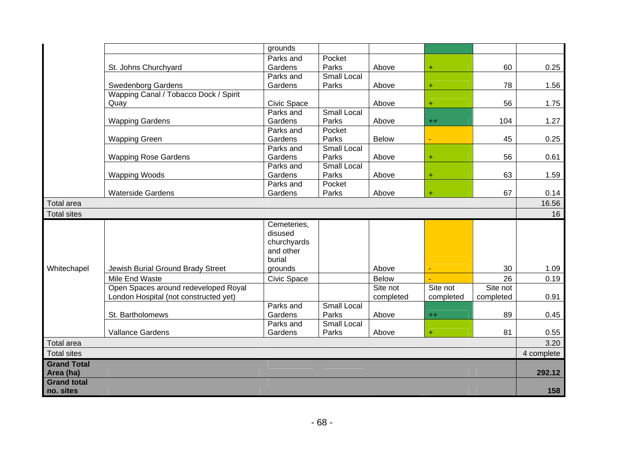|                                         |                                       | grounds            |                    |              |           |           |            |
|-----------------------------------------|---------------------------------------|--------------------|--------------------|--------------|-----------|-----------|------------|
|                                         |                                       |                    |                    |              |           |           |            |
|                                         |                                       | Parks and          | Pocket             |              |           |           |            |
|                                         | St. Johns Churchyard                  | Gardens            | Parks              | Above        | ÷         | 60        | 0.25       |
|                                         |                                       | Parks and          | <b>Small Local</b> |              |           |           |            |
|                                         | <b>Swedenborg Gardens</b>             | Gardens            | Parks              | Above        | ÷         | 78        | 1.56       |
|                                         | Wapping Canal / Tobacco Dock / Spirit |                    |                    |              |           |           |            |
|                                         | Quay                                  | Civic Space        |                    | Above        | Ŧ         | 56        | 1.75       |
|                                         |                                       | Parks and          | <b>Small Local</b> |              |           |           |            |
|                                         | <b>Wapping Gardens</b>                | Gardens            | Parks              | Above        | $^{++}$   | 104       | 1.27       |
|                                         |                                       | Parks and          | Pocket             |              |           |           |            |
|                                         | <b>Wapping Green</b>                  | Gardens            | Parks              | <b>Below</b> |           | 45        | 0.25       |
|                                         |                                       | Parks and          | <b>Small Local</b> |              |           |           |            |
|                                         | <b>Wapping Rose Gardens</b>           | Gardens            | Parks              | Above        | $\ddot{}$ | 56        | 0.61       |
|                                         |                                       | Parks and          | <b>Small Local</b> |              |           |           |            |
|                                         | <b>Wapping Woods</b>                  | Gardens            | Parks              | Above        | ÷         | 63        | 1.59       |
|                                         |                                       | Parks and          | Pocket             |              |           |           |            |
|                                         | <b>Waterside Gardens</b>              | Gardens            | Parks              | Above        | $\ddot{}$ | 67        | 0.14       |
| <b>Total area</b>                       |                                       |                    |                    |              |           |           | 16.56      |
| <b>Total sites</b>                      |                                       |                    |                    |              |           |           | 16         |
|                                         |                                       | Cemeteries,        |                    |              |           |           |            |
|                                         |                                       | disused            |                    |              |           |           |            |
|                                         |                                       | churchyards        |                    |              |           |           |            |
|                                         |                                       | and other          |                    |              |           |           |            |
|                                         |                                       | burial             |                    |              |           |           |            |
| Whitechapel                             | Jewish Burial Ground Brady Street     | grounds            |                    | Above        |           | 30        | 1.09       |
|                                         | Mile End Waste                        | <b>Civic Space</b> |                    | <b>Below</b> |           | 26        | 0.19       |
|                                         | Open Spaces around redeveloped Royal  |                    |                    | Site not     | Site not  | Site not  |            |
|                                         | London Hospital (not constructed yet) |                    |                    | completed    | completed | completed | 0.91       |
|                                         |                                       | Parks and          | <b>Small Local</b> |              |           |           |            |
|                                         | St. Bartholomews                      | Gardens            | Parks              | Above        | $++$      | 89        | 0.45       |
|                                         |                                       | Parks and          | Small Local        |              |           |           |            |
|                                         | <b>Vallance Gardens</b>               | Gardens            | Parks              | Above        | $\ddot{}$ | 81        | 0.55       |
|                                         |                                       |                    |                    |              |           |           |            |
|                                         |                                       |                    |                    |              |           |           |            |
| <b>Total area</b><br><b>Total sites</b> |                                       |                    |                    |              |           |           | 3.20       |
|                                         |                                       |                    |                    |              |           |           | 4 complete |
| <b>Grand Total</b>                      |                                       |                    |                    |              |           |           |            |
| Area (ha)                               |                                       |                    |                    |              |           |           | 292.12     |
| <b>Grand total</b><br>no. sites         |                                       |                    |                    |              |           |           | 158        |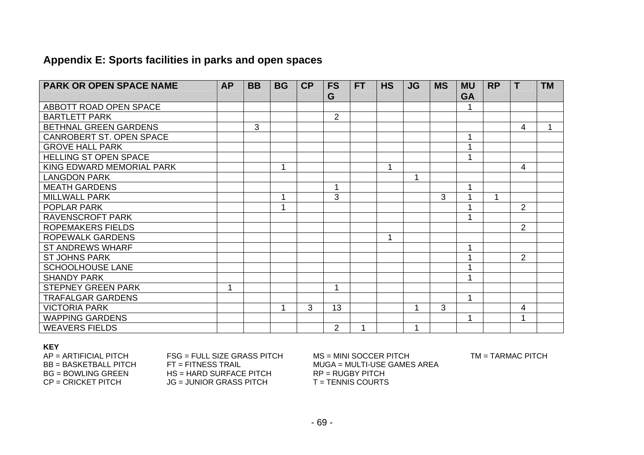# **Appendix E: Sports facilities in parks and open spaces**

| <b>PARK OR OPEN SPACE NAME</b> | <b>AP</b> | <b>BB</b> | <b>BG</b> | <b>CP</b> | <b>FS</b>      | <b>FT</b> | <b>HS</b>   | <b>JG</b> | <b>MS</b> | <b>MU</b> | <b>RP</b> | T              | <b>TM</b> |
|--------------------------------|-----------|-----------|-----------|-----------|----------------|-----------|-------------|-----------|-----------|-----------|-----------|----------------|-----------|
|                                |           |           |           |           | G              |           |             |           |           | <b>GA</b> |           |                |           |
| ABBOTT ROAD OPEN SPACE         |           |           |           |           |                |           |             |           |           |           |           |                |           |
| <b>BARTLETT PARK</b>           |           |           |           |           | $\overline{2}$ |           |             |           |           |           |           |                |           |
| BETHNAL GREEN GARDENS          |           | 3         |           |           |                |           |             |           |           |           |           | 4              |           |
| CANROBERT ST. OPEN SPACE       |           |           |           |           |                |           |             |           |           |           |           |                |           |
| <b>GROVE HALL PARK</b>         |           |           |           |           |                |           |             |           |           |           |           |                |           |
| <b>HELLING ST OPEN SPACE</b>   |           |           |           |           |                |           |             |           |           |           |           |                |           |
| KING EDWARD MEMORIAL PARK      |           |           | 1         |           |                |           | 1           |           |           |           |           | 4              |           |
| <b>LANGDON PARK</b>            |           |           |           |           |                |           |             |           |           |           |           |                |           |
| <b>MEATH GARDENS</b>           |           |           |           |           | $\mathbf 1$    |           |             |           |           | 4         |           |                |           |
| <b>MILLWALL PARK</b>           |           |           | -1        |           | 3              |           |             |           | 3         |           | 1         |                |           |
| POPLAR PARK                    |           |           | 4         |           |                |           |             |           |           |           |           | $\overline{2}$ |           |
| RAVENSCROFT PARK               |           |           |           |           |                |           |             |           |           | -1        |           |                |           |
| <b>ROPEMAKERS FIELDS</b>       |           |           |           |           |                |           |             |           |           |           |           | $\overline{2}$ |           |
| <b>ROPEWALK GARDENS</b>        |           |           |           |           |                |           | $\mathbf 1$ |           |           |           |           |                |           |
| <b>ST ANDREWS WHARF</b>        |           |           |           |           |                |           |             |           |           | 1         |           |                |           |
| <b>ST JOHNS PARK</b>           |           |           |           |           |                |           |             |           |           |           |           | $\overline{2}$ |           |
| <b>SCHOOLHOUSE LANE</b>        |           |           |           |           |                |           |             |           |           |           |           |                |           |
| <b>SHANDY PARK</b>             |           |           |           |           |                |           |             |           |           |           |           |                |           |
| <b>STEPNEY GREEN PARK</b>      | 1         |           |           |           | 1              |           |             |           |           |           |           |                |           |
| <b>TRAFALGAR GARDENS</b>       |           |           |           |           |                |           |             |           |           | 1         |           |                |           |
| <b>VICTORIA PARK</b>           |           |           |           | 3         | 13             |           |             |           | 3         |           |           | 4              |           |
| <b>WAPPING GARDENS</b>         |           |           |           |           |                |           |             |           |           | 1         |           | 4              |           |
| <b>WEAVERS FIELDS</b>          |           |           |           |           | 2              | 1         |             |           |           |           |           |                |           |

#### **KEY**

| $AP = ARTIFICIAL PITCH$ | $FSG = FULL$ SIZE GRASS PITCH | $MS = MINI SOCCER PITCH$    |
|-------------------------|-------------------------------|-----------------------------|
| BB = BASKETBALL PITCH   | $FT = FITNESS TRAIL$          | MUGA = MULTI-USE GAMES AREA |
| $BG = BOWLING GREEN$    | $HS = HARD$ SURFACE PITCH     | $RP = RUGBY$ PITCH          |
| $CP = CRICKET$ PITCH    | JG = JUNIOR GRASS PITCH       | $T = TENNIS COURTS$         |

 $\,$  MINI SOCCER PITCH **FENNIS COURTS** 

TM = TARMAC PITCH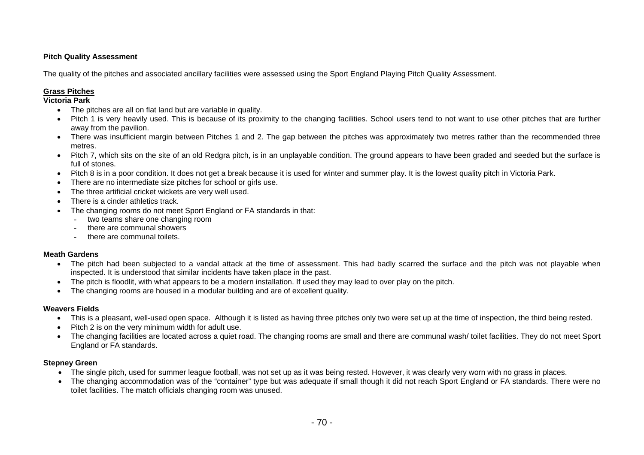#### **Pitch Quality Assessment**

The quality of the pitches and associated ancillary facilities were assessed using the Sport England Playing Pitch Quality Assessment.

#### **Grass Pitches**

#### **Victoria Park**

- The pitches are all on flat land but are variable in quality.
- Pitch 1 is very heavily used. This is because of its proximity to the changing facilities. School users tend to not want to use other pitches that are further away from the pavilion.
- There was insufficient margin between Pitches 1 and 2. The gap between the pitches was approximately two metres rather than the recommended three metres.
- Pitch 7, which sits on the site of an old Redgra pitch, is in an unplayable condition. The ground appears to have been graded and seeded but the surface is full of stones.
- Pitch 8 is in a poor condition. It does not get a break because it is used for winter and summer play. It is the lowest quality pitch in Victoria Park.
- There are no intermediate size pitches for school or girls use.
- The three artificial cricket wickets are very well used.
- There is a cinder athletics track.
- The changing rooms do not meet Sport England or FA standards in that:
	- two teams share one changing room
	- there are communal showers
	- there are communal toilets.

#### **Meath Gardens**

- The pitch had been subjected to a vandal attack at the time of assessment. This had badly scarred the surface and the pitch was not playable when inspected. It is understood that similar incidents have taken place in the past.
- The pitch is floodlit, with what appears to be a modern installation. If used they may lead to over play on the pitch.
- The changing rooms are housed in a modular building and are of excellent quality.

#### **Weavers Fields**

- This is a pleasant, well-used open space. Although it is listed as having three pitches only two were set up at the time of inspection, the third being rested.
- Pitch 2 is on the very minimum width for adult use.
- The changing facilities are located across a quiet road. The changing rooms are small and there are communal wash/ toilet facilities. They do not meet Sport England or FA standards.

#### **Stepney Green**

- The single pitch, used for summer league football, was not set up as it was being rested. However, it was clearly very worn with no grass in places.
- The changing accommodation was of the "container" type but was adequate if small though it did not reach Sport England or FA standards. There were no toilet facilities. The match officials changing room was unused.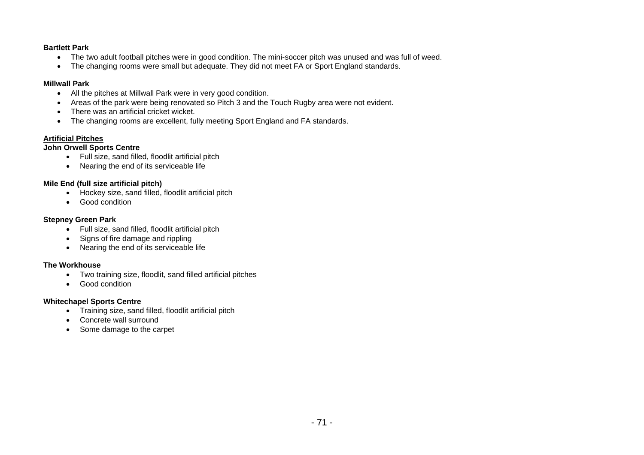#### **Bartlett Park**

- The two adult football pitches were in good condition. The mini-soccer pitch was unused and was full of weed.
- The changing rooms were small but adequate. They did not meet FA or Sport England standards.

#### **Millwall Park**

- All the pitches at Millwall Park were in very good condition.
- Areas of the park were being renovated so Pitch 3 and the Touch Rugby area were not evident.
- There was an artificial cricket wicket.
- The changing rooms are excellent, fully meeting Sport England and FA standards.

#### **Artificial Pitches**

#### **John Orwell Sports Centre**

- Full size, sand filled, floodlit artificial pitch
- Nearing the end of its serviceable life

#### **Mile End (full size artificial pitch)**

- Hockey size, sand filled, floodlit artificial pitch
- Good condition

#### **Stepney Green Park**

- Full size, sand filled, floodlit artificial pitch
- Signs of fire damage and rippling
- Nearing the end of its serviceable life

#### **The Workhouse**

- Two training size, floodlit, sand filled artificial pitches
- Good condition

#### **Whitechapel Sports Centre**

- Training size, sand filled, floodlit artificial pitch
- Concrete wall surround
- Some damage to the carpet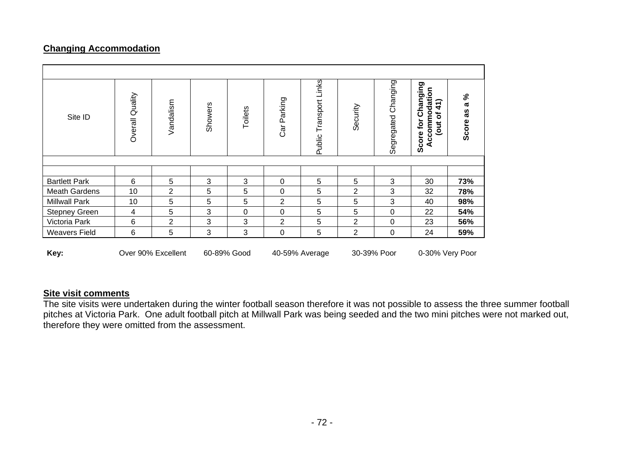## **Changing Accommodation**

| Site ID              | Overall Quality | Vandalism      | Showers | Toilets        | Car Parking    | Public Transport Links | Security        | Segregated Changing | Changing<br>Accommodation<br>∽<br>$\mathbf{A}$<br>$\mathbf{\ddot{o}}$<br>Score for<br><b>Jout</b> | వి<br><b>L</b><br>8g<br>Score |
|----------------------|-----------------|----------------|---------|----------------|----------------|------------------------|-----------------|---------------------|---------------------------------------------------------------------------------------------------|-------------------------------|
|                      |                 |                |         |                |                |                        |                 |                     |                                                                                                   |                               |
| <b>Bartlett Park</b> | 6               | 5              | 3       | 3              | $\mathbf 0$    | 5                      | 5               | 3                   | 30                                                                                                | 73%                           |
| <b>Meath Gardens</b> | 10              | 2              | 5       | 5              | $\mathbf 0$    | 5                      | 2               | 3                   | 32                                                                                                | 78%                           |
| <b>Millwall Park</b> | 10              | 5              | 5       | 5              | $\overline{c}$ | 5                      | 5               | 3                   | 40                                                                                                | 98%                           |
| <b>Stepney Green</b> | 4               | 5              | 3       | 0              | $\mathbf 0$    | $\sqrt{5}$             | 5               | $\pmb{0}$           | 22                                                                                                | 54%                           |
| Victoria Park        | 6               | $\overline{2}$ | 3       | 3              | $\overline{2}$ | 5                      | $\overline{2}$  | $\mathbf 0$         | 23                                                                                                | 56%                           |
| <b>Weavers Field</b> | 6               | 5              | 3       | 3              | $\mathbf 0$    | 5                      | 2               | $\mathbf 0$         | 24                                                                                                | 59%                           |
| Key:                 |                 | 60-89% Good    |         | 40-59% Average |                | 30-39% Poor            | 0-30% Very Poor |                     |                                                                                                   |                               |

### **Site visit comments**

The site visits were undertaken during the winter football season therefore it was not possible to assess the three summer football pitches at Victoria Park. One adult football pitch at Millwall Park was being seeded and the two mini pitches were not marked out, therefore they were omitted from the assessment.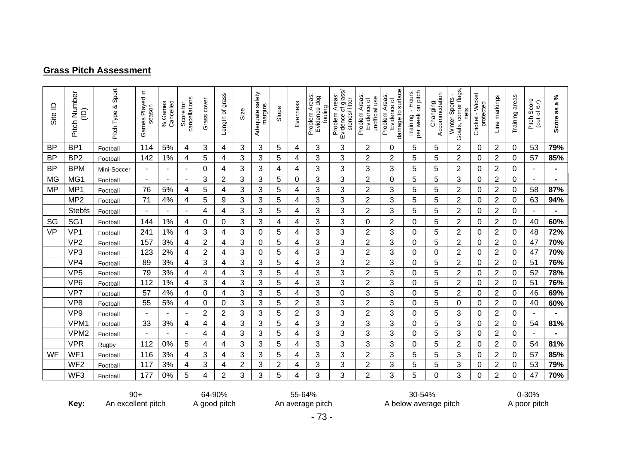#### **Grass Pitch Assessment**

| Site ID   | Pitch Number<br>$\widehat{\Xi}$ | Sport<br>Pitch Type & | ⊇.<br>Games Played<br>season | Cancelled<br>Games<br>$\%$ | cancellations<br>Score for | cover<br>Grass | grass<br>Length of | Size | Adequate safety<br>margins | Slope | Evenness       | Problem Areas:<br>Evidence dog<br>fouling | Evidence of glass/<br>Problem Areas:<br>stones/litter | Problem Areas<br>unofficial use<br>Evidence of | damage to surface<br>Problem Areas:<br>Evidence of | - Hours<br>on pitch<br>per week<br>Training | Accommodation<br>Changing | Goals, corner flags,<br>Winter Sports<br>nets | Cricket - Wicket<br>protected | Line markings  | Training areas | Pitch Score<br>67)<br>(out of | ళ<br>æ<br>æ<br>Score |
|-----------|---------------------------------|-----------------------|------------------------------|----------------------------|----------------------------|----------------|--------------------|------|----------------------------|-------|----------------|-------------------------------------------|-------------------------------------------------------|------------------------------------------------|----------------------------------------------------|---------------------------------------------|---------------------------|-----------------------------------------------|-------------------------------|----------------|----------------|-------------------------------|----------------------|
| <b>BP</b> | BP <sub>1</sub>                 | Football              | 114                          | 5%                         | 4                          | 3              | 4                  | 3    | 3                          | 5     | 4              | 3                                         | 3                                                     | $\overline{2}$                                 | 0                                                  | 5                                           | 5                         | 2                                             | 0                             | $\overline{2}$ | 0              | 53                            | 79%                  |
| <b>BP</b> | BP <sub>2</sub>                 | Football              | 142                          | 1%                         | 4                          | 5              | 4                  | 3    | 3                          | 5     | 4              | 3                                         | 3                                                     | $\overline{c}$                                 | 2                                                  | 5                                           | 5                         | 2                                             | 0                             | $\overline{2}$ | 0              | 57                            | 85%                  |
| <b>BP</b> | <b>BPM</b>                      | Mini-Soccer           |                              |                            | ٠                          | 0              | 4                  | 3    | 3                          | 4     | 4              | 3                                         | 3                                                     | 3                                              | 3                                                  | 5                                           | 5                         | 2                                             | 0                             | 2              | 0              |                               |                      |
| <b>MG</b> | MG1                             | Football              | ٠                            |                            | $\blacksquare$             | 3              | 2                  | 3    | 3                          | 5     | 0              | 3                                         | 3                                                     | 2                                              | 0                                                  | 5                                           | 5                         | 3                                             | 0                             | $\overline{2}$ | 0              |                               | $\blacksquare$       |
| <b>MP</b> | MP <sub>1</sub>                 | Football              | 76                           | 5%                         | 4                          | 5              | 4                  | 3    | 3                          | 5     | 4              | 3                                         | 3                                                     | $\overline{2}$                                 | 3                                                  | 5                                           | 5                         | 2                                             | 0                             | $\overline{2}$ | 0              | 58                            | 87%                  |
|           | MP <sub>2</sub>                 | Football              | 71                           | 4%                         | 4                          | 5              | 9                  | 3    | 3                          | 5     | 4              | 3                                         | 3                                                     | $\overline{2}$                                 | 3                                                  | 5                                           | 5                         | 2                                             | 0                             | 2              | 0              | 63                            | 94%                  |
|           | <b>Stebfs</b>                   | Football              |                              |                            | ٠                          | 4              | 4                  | 3    | 3                          | 5     | 4              | 3                                         | 3                                                     | 2                                              | 3                                                  | 5                                           | 5                         | 2                                             | 0                             | $\overline{2}$ | 0              |                               |                      |
| SG        | SG <sub>1</sub>                 | Footbal               | 144                          | 1%                         | 4                          | $\Omega$       | 0                  | 3    | 3                          | 4     | 4              | 3                                         | 3                                                     | 0                                              | $\overline{2}$                                     | $\Omega$                                    | 5                         | $\overline{2}$                                | 0                             | $\overline{2}$ | 0              | 40                            | 60%                  |
| <b>VP</b> | VP1                             | Football              | 241                          | 1%                         | 4                          | 3              | 4                  | 3    | 0                          | 5     | 4              | 3                                         | 3                                                     | 2                                              | 3                                                  | 0                                           | 5                         | 2                                             | 0                             | 2              | 0              | 48                            | 72%                  |
|           | VP <sub>2</sub>                 | Football              | 157                          | 3%                         | 4                          | 2              | 4                  | 3    | 0                          | 5     | 4              | 3                                         | 3                                                     | 2                                              | 3                                                  | 0                                           | 5                         | 2                                             | 0                             | $\overline{2}$ | 0              | 47                            | 70%                  |
|           | VP <sub>3</sub>                 | Football              | 123                          | 2%                         | 4                          | $\overline{2}$ | 4                  | 3    | 0                          | 5     | 4              | 3                                         | 3                                                     | $\overline{2}$                                 | 3                                                  | 0                                           | 0                         | $\overline{2}$                                | $\Omega$                      | $\overline{2}$ | 0              | 47                            | 70%                  |
|           | VP4                             | Football              | 89                           | 3%                         | 4                          | 3              | 4                  | 3    | 3                          | 5     | 4              | 3                                         | 3                                                     | 2                                              | 3                                                  | $\Omega$                                    | 5                         | 2                                             | 0                             | $\overline{2}$ | 0              | 51                            | 76%                  |
|           | VP <sub>5</sub>                 | Football              | 79                           | 3%                         | 4                          | 4              | 4                  | 3    | 3                          | 5     | 4              | 3                                         | 3                                                     | $\overline{2}$                                 | 3                                                  | 0                                           | 5                         | 2                                             | 0                             | 2              | 0              | 52                            | 78%                  |
|           | VP <sub>6</sub>                 | Football              | 112                          | 1%                         | 4                          | 3              | 4                  | 3    | 3                          | 5     | 4              | 3                                         | 3                                                     | 2                                              | 3                                                  | 0                                           | 5                         | 2                                             | 0                             | $\overline{2}$ | 0              | 51                            | 76%                  |
|           | VP7                             | Football              | 57                           | 4%                         | 4                          | 0              | 4                  | 3    | 3                          | 5     | 4              | 3                                         | 0                                                     | 3                                              | 3                                                  | 0                                           | 5                         | 2                                             | 0                             | 2              | 0              | 46                            | 69%                  |
|           | VP <sub>8</sub>                 | Football              | 55                           | 5%                         | 4                          | 0              | 0                  | 3    | 3                          | 5     | 2              | 3                                         | 3                                                     | 2                                              | 3                                                  | 0                                           | 5                         | 0                                             | 0                             | 2              | 0              | 40                            | 60%                  |
|           | VP <sub>9</sub>                 | Football              |                              |                            | $\blacksquare$             | $\overline{2}$ | 2                  | 3    | 3                          | 5     | $\overline{2}$ | 3                                         | 3                                                     | $\overline{2}$                                 | 3                                                  | 0                                           | 5                         | 3                                             | 0                             | 2              | 0              |                               |                      |
|           | VPM <sup>4</sup>                | Football              | 33                           | 3%                         | 4                          | 4              | 4                  | 3    | 3                          | 5     | 4              | 3                                         | 3                                                     | 3                                              | 3                                                  | 0                                           | 5                         | 3                                             | 0                             | $\overline{2}$ | 0              | 54                            | 81%                  |
|           | VPM <sub>2</sub>                | Football              |                              |                            | $\blacksquare$             | 4              | 4                  | 3    | 3                          | 5     | 4              | 3                                         | 3                                                     | 3                                              | 3                                                  | $\Omega$                                    | 5                         | 3                                             | 0                             | $\overline{2}$ | 0              |                               |                      |
|           | <b>VPR</b>                      | Rugby                 | 112                          | 0%                         | 5                          | 4              | 4                  | 3    | 3                          | 5     | 4              | 3                                         | 3                                                     | 3                                              | 3                                                  | 0                                           | 5                         | 2                                             | 0                             | 2              | 0              | 54                            | 81%                  |
| WF        | WF1                             | Football              | 116                          | 3%                         | 4                          | 3              | 4                  | 3    | 3                          | 5     | 4              | 3                                         | 3                                                     | 2                                              | 3                                                  | 5                                           | 5                         | 3                                             | 0                             | $\overline{2}$ | 0              | 57                            | 85%                  |
|           | WF <sub>2</sub>                 | Football              | 117                          | 3%                         | 4                          | 3              | 4                  | 2    | 3                          | 2     | 4              | 3                                         | 3                                                     | $\overline{2}$                                 | 3                                                  | 5                                           | 5                         | 3                                             | 0                             | 2              | 0              | 53                            | 79%                  |
|           | WF3                             | Football              | 177                          | 0%                         | 5                          | 4              | 2                  | 3    | 3                          | 5     | 4              | 3                                         | 3                                                     | $\overline{2}$                                 | 3                                                  | 5                                           | 0                         | 3                                             | 0                             | $\overline{2}$ | 0              | 47                            | 70%                  |

**Key:** 

90+ An excellent pitch 64-90% A good pitch

55-64% An average pitch

30-54% A below average pitch

0-30% A poor pitch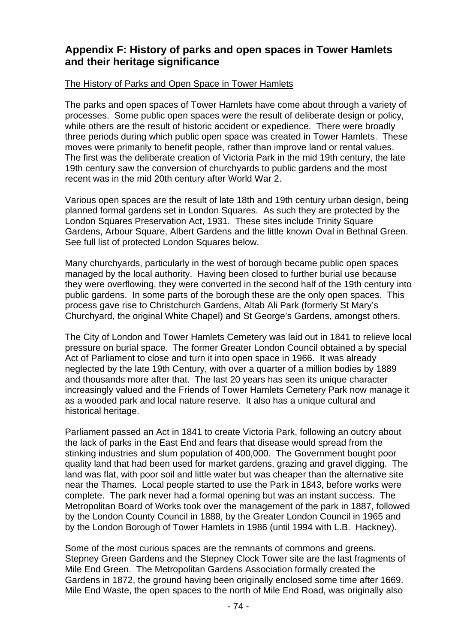### **Appendix F: History of parks and open spaces in Tower Hamlets and their heritage significance**

#### The History of Parks and Open Space in Tower Hamlets

The parks and open spaces of Tower Hamlets have come about through a variety of processes. Some public open spaces were the result of deliberate design or policy, while others are the result of historic accident or expedience. There were broadly three periods during which public open space was created in Tower Hamlets. These moves were primarily to benefit people, rather than improve land or rental values. The first was the deliberate creation of Victoria Park in the mid 19th century, the late 19th century saw the conversion of churchyards to public gardens and the most recent was in the mid 20th century after World War 2.

Various open spaces are the result of late 18th and 19th century urban design, being planned formal gardens set in London Squares. As such they are protected by the London Squares Preservation Act, 1931. These sites include Trinity Square Gardens, Arbour Square, Albert Gardens and the little known Oval in Bethnal Green. See full list of protected London Squares below.

Many churchyards, particularly in the west of borough became public open spaces managed by the local authority. Having been closed to further burial use because they were overflowing, they were converted in the second half of the 19th century into public gardens. In some parts of the borough these are the only open spaces. This process gave rise to Christchurch Gardens, Altab Ali Park (formerly St Mary's Churchyard, the original White Chapel) and St George's Gardens, amongst others.

The City of London and Tower Hamlets Cemetery was laid out in 1841 to relieve local pressure on burial space. The former Greater London Council obtained a by special Act of Parliament to close and turn it into open space in 1966. It was already neglected by the late 19th Century, with over a quarter of a million bodies by 1889 and thousands more after that. The last 20 years has seen its unique character increasingly valued and the Friends of Tower Hamlets Cemetery Park now manage it as a wooded park and local nature reserve. It also has a unique cultural and historical heritage.

Parliament passed an Act in 1841 to create Victoria Park, following an outcry about the lack of parks in the East End and fears that disease would spread from the stinking industries and slum population of 400,000. The Government bought poor quality land that had been used for market gardens, grazing and gravel digging. The land was flat, with poor soil and little water but was cheaper than the alternative site near the Thames. Local people started to use the Park in 1843, before works were complete. The park never had a formal opening but was an instant success. The Metropolitan Board of Works took over the management of the park in 1887, followed by the London County Council in 1888, by the Greater London Council in 1965 and by the London Borough of Tower Hamlets in 1986 (until 1994 with L.B. Hackney).

Some of the most curious spaces are the remnants of commons and greens. Stepney Green Gardens and the Stepney Clock Tower site are the last fragments of Mile End Green. The Metropolitan Gardens Association formally created the Gardens in 1872, the ground having been originally enclosed some time after 1669. Mile End Waste, the open spaces to the north of Mile End Road, was originally also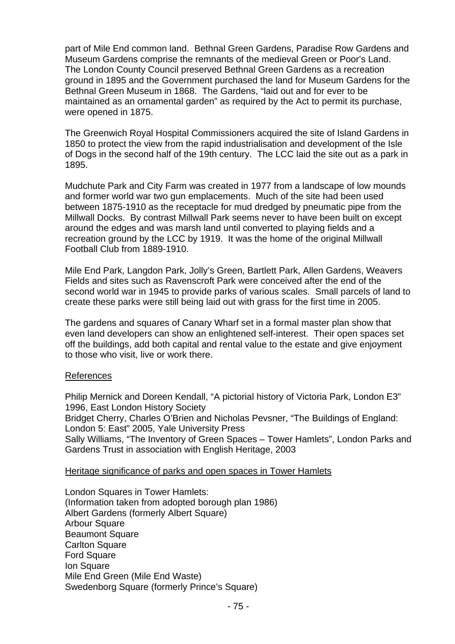part of Mile End common land. Bethnal Green Gardens, Paradise Row Gardens and Museum Gardens comprise the remnants of the medieval Green or Poor's Land. The London County Council preserved Bethnal Green Gardens as a recreation ground in 1895 and the Government purchased the land for Museum Gardens for the Bethnal Green Museum in 1868. The Gardens, "laid out and for ever to be maintained as an ornamental garden" as required by the Act to permit its purchase, were opened in 1875.

The Greenwich Royal Hospital Commissioners acquired the site of Island Gardens in 1850 to protect the view from the rapid industrialisation and development of the Isle of Dogs in the second half of the 19th century. The LCC laid the site out as a park in 1895.

Mudchute Park and City Farm was created in 1977 from a landscape of low mounds and former world war two gun emplacements. Much of the site had been used between 1875-1910 as the receptacle for mud dredged by pneumatic pipe from the Millwall Docks. By contrast Millwall Park seems never to have been built on except around the edges and was marsh land until converted to playing fields and a recreation ground by the LCC by 1919. It was the home of the original Millwall Football Club from 1889-1910.

Mile End Park, Langdon Park, Jolly's Green, Bartlett Park, Allen Gardens, Weavers Fields and sites such as Ravenscroft Park were conceived after the end of the second world war in 1945 to provide parks of various scales. Small parcels of land to create these parks were still being laid out with grass for the first time in 2005.

The gardens and squares of Canary Wharf set in a formal master plan show that even land developers can show an enlightened self-interest. Their open spaces set off the buildings, add both capital and rental value to the estate and give enjoyment to those who visit, live or work there.

#### References

Philip Mernick and Doreen Kendall, "A pictorial history of Victoria Park, London E3" 1996, East London History Society Bridget Cherry, Charles O'Brien and Nicholas Pevsner, "The Buildings of England: London 5: East" 2005, Yale University Press Sally Williams, "The Inventory of Green Spaces – Tower Hamlets", London Parks and Gardens Trust in association with English Heritage, 2003

#### Heritage significance of parks and open spaces in Tower Hamlets

London Squares in Tower Hamlets: (Information taken from adopted borough plan 1986) Albert Gardens (formerly Albert Square) Arbour Square Beaumont Square **Carlton Square** Ford Square Ion Square Mile End Green (Mile End Waste) Swedenborg Square (formerly Prince's Square)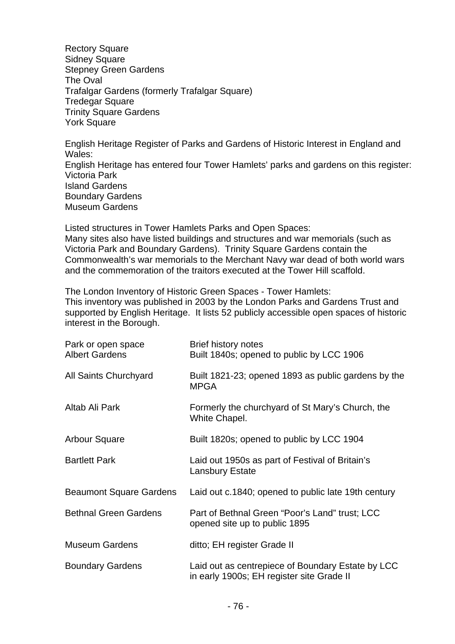**Rectory Square** Sidney Square Stepney Green Gardens The Oval Trafalgar Gardens (formerly Trafalgar Square) Tredegar Square Trinity Square Gardens York Square

English Heritage Register of Parks and Gardens of Historic Interest in England and Wales: English Heritage has entered four Tower Hamlets' parks and gardens on this register: Victoria Park Island Gardens Boundary Gardens Museum Gardens

Listed structures in Tower Hamlets Parks and Open Spaces: Many sites also have listed buildings and structures and war memorials (such as Victoria Park and Boundary Gardens). Trinity Square Gardens contain the Commonwealth's war memorials to the Merchant Navy war dead of both world wars and the commemoration of the traitors executed at the Tower Hill scaffold.

The London Inventory of Historic Green Spaces - Tower Hamlets:

This inventory was published in 2003 by the London Parks and Gardens Trust and supported by English Heritage. It lists 52 publicly accessible open spaces of historic interest in the Borough.

| Park or open space<br><b>Albert Gardens</b> | Brief history notes<br>Built 1840s; opened to public by LCC 1906                               |
|---------------------------------------------|------------------------------------------------------------------------------------------------|
| All Saints Churchyard                       | Built 1821-23; opened 1893 as public gardens by the<br><b>MPGA</b>                             |
| Altab Ali Park                              | Formerly the churchyard of St Mary's Church, the<br>White Chapel.                              |
| <b>Arbour Square</b>                        | Built 1820s; opened to public by LCC 1904                                                      |
| <b>Bartlett Park</b>                        | Laid out 1950s as part of Festival of Britain's<br><b>Lansbury Estate</b>                      |
| <b>Beaumont Square Gardens</b>              | Laid out c.1840; opened to public late 19th century                                            |
| <b>Bethnal Green Gardens</b>                | Part of Bethnal Green "Poor's Land" trust; LCC<br>opened site up to public 1895                |
| <b>Museum Gardens</b>                       | ditto; EH register Grade II                                                                    |
| <b>Boundary Gardens</b>                     | Laid out as centrepiece of Boundary Estate by LCC<br>in early 1900s; EH register site Grade II |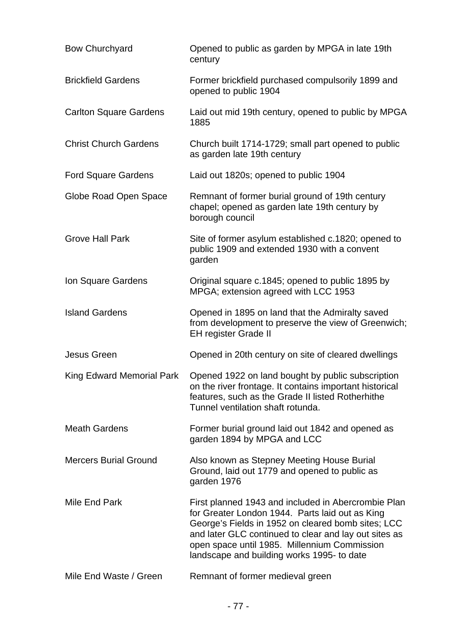| <b>Bow Churchyard</b>            | Opened to public as garden by MPGA in late 19th<br>century                                                                                                                                                                                                                                                          |
|----------------------------------|---------------------------------------------------------------------------------------------------------------------------------------------------------------------------------------------------------------------------------------------------------------------------------------------------------------------|
| <b>Brickfield Gardens</b>        | Former brickfield purchased compulsorily 1899 and<br>opened to public 1904                                                                                                                                                                                                                                          |
| <b>Carlton Square Gardens</b>    | Laid out mid 19th century, opened to public by MPGA<br>1885                                                                                                                                                                                                                                                         |
| <b>Christ Church Gardens</b>     | Church built 1714-1729; small part opened to public<br>as garden late 19th century                                                                                                                                                                                                                                  |
| <b>Ford Square Gardens</b>       | Laid out 1820s; opened to public 1904                                                                                                                                                                                                                                                                               |
| Globe Road Open Space            | Remnant of former burial ground of 19th century<br>chapel; opened as garden late 19th century by<br>borough council                                                                                                                                                                                                 |
| <b>Grove Hall Park</b>           | Site of former asylum established c.1820; opened to<br>public 1909 and extended 1930 with a convent<br>garden                                                                                                                                                                                                       |
| Ion Square Gardens               | Original square c.1845; opened to public 1895 by<br>MPGA; extension agreed with LCC 1953                                                                                                                                                                                                                            |
| <b>Island Gardens</b>            | Opened in 1895 on land that the Admiralty saved<br>from development to preserve the view of Greenwich;<br><b>EH register Grade II</b>                                                                                                                                                                               |
| Jesus Green                      | Opened in 20th century on site of cleared dwellings                                                                                                                                                                                                                                                                 |
| <b>King Edward Memorial Park</b> | Opened 1922 on land bought by public subscription<br>on the river frontage. It contains important historical<br>features, such as the Grade II listed Rotherhithe<br>Tunnel ventilation shaft rotunda.                                                                                                              |
| <b>Meath Gardens</b>             | Former burial ground laid out 1842 and opened as<br>garden 1894 by MPGA and LCC                                                                                                                                                                                                                                     |
| <b>Mercers Burial Ground</b>     | Also known as Stepney Meeting House Burial<br>Ground, laid out 1779 and opened to public as<br>garden 1976                                                                                                                                                                                                          |
| Mile End Park                    | First planned 1943 and included in Abercrombie Plan<br>for Greater London 1944. Parts laid out as King<br>George's Fields in 1952 on cleared bomb sites; LCC<br>and later GLC continued to clear and lay out sites as<br>open space until 1985. Millennium Commission<br>landscape and building works 1995- to date |
| Mile End Waste / Green           | Remnant of former medieval green                                                                                                                                                                                                                                                                                    |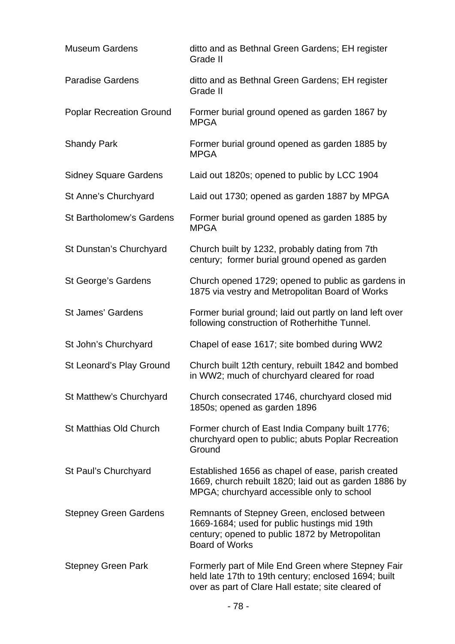| <b>Museum Gardens</b>           | ditto and as Bethnal Green Gardens; EH register<br>Grade II                                                                                                            |
|---------------------------------|------------------------------------------------------------------------------------------------------------------------------------------------------------------------|
| <b>Paradise Gardens</b>         | ditto and as Bethnal Green Gardens; EH register<br>Grade II                                                                                                            |
| <b>Poplar Recreation Ground</b> | Former burial ground opened as garden 1867 by<br><b>MPGA</b>                                                                                                           |
| <b>Shandy Park</b>              | Former burial ground opened as garden 1885 by<br><b>MPGA</b>                                                                                                           |
| <b>Sidney Square Gardens</b>    | Laid out 1820s; opened to public by LCC 1904                                                                                                                           |
| St Anne's Churchyard            | Laid out 1730; opened as garden 1887 by MPGA                                                                                                                           |
| <b>St Bartholomew's Gardens</b> | Former burial ground opened as garden 1885 by<br><b>MPGA</b>                                                                                                           |
| St Dunstan's Churchyard         | Church built by 1232, probably dating from 7th<br>century; former burial ground opened as garden                                                                       |
| St George's Gardens             | Church opened 1729; opened to public as gardens in<br>1875 via vestry and Metropolitan Board of Works                                                                  |
| <b>St James' Gardens</b>        | Former burial ground; laid out partly on land left over<br>following construction of Rotherhithe Tunnel.                                                               |
| St John's Churchyard            | Chapel of ease 1617; site bombed during WW2                                                                                                                            |
| St Leonard's Play Ground        | Church built 12th century, rebuilt 1842 and bombed<br>in WW2; much of churchyard cleared for road                                                                      |
| St Matthew's Churchyard         | Church consecrated 1746, churchyard closed mid<br>1850s; opened as garden 1896                                                                                         |
| <b>St Matthias Old Church</b>   | Former church of East India Company built 1776;<br>churchyard open to public; abuts Poplar Recreation<br>Ground                                                        |
| St Paul's Churchyard            | Established 1656 as chapel of ease, parish created<br>1669, church rebuilt 1820; laid out as garden 1886 by<br>MPGA; churchyard accessible only to school              |
| <b>Stepney Green Gardens</b>    | Remnants of Stepney Green, enclosed between<br>1669-1684; used for public hustings mid 19th<br>century; opened to public 1872 by Metropolitan<br><b>Board of Works</b> |
| <b>Stepney Green Park</b>       | Formerly part of Mile End Green where Stepney Fair<br>held late 17th to 19th century; enclosed 1694; built<br>over as part of Clare Hall estate; site cleared of       |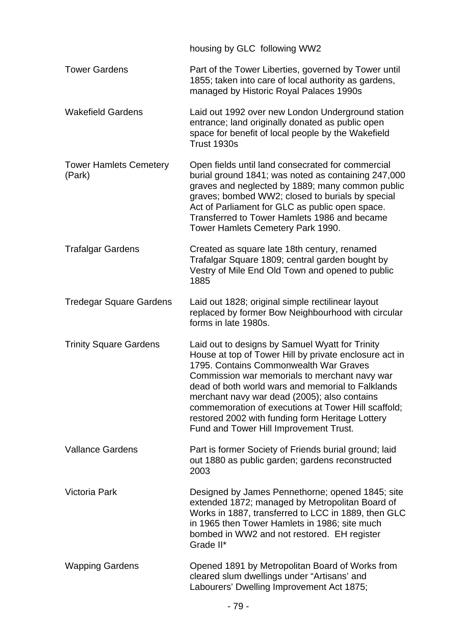|                                         | housing by GLC following WW2                                                                                                                                                                                                                                                                                                                                                                                                                                   |
|-----------------------------------------|----------------------------------------------------------------------------------------------------------------------------------------------------------------------------------------------------------------------------------------------------------------------------------------------------------------------------------------------------------------------------------------------------------------------------------------------------------------|
| <b>Tower Gardens</b>                    | Part of the Tower Liberties, governed by Tower until<br>1855; taken into care of local authority as gardens,<br>managed by Historic Royal Palaces 1990s                                                                                                                                                                                                                                                                                                        |
| <b>Wakefield Gardens</b>                | Laid out 1992 over new London Underground station<br>entrance; land originally donated as public open<br>space for benefit of local people by the Wakefield<br>Trust 1930s                                                                                                                                                                                                                                                                                     |
| <b>Tower Hamlets Cemetery</b><br>(Park) | Open fields until land consecrated for commercial<br>burial ground 1841; was noted as containing 247,000<br>graves and neglected by 1889; many common public<br>graves; bombed WW2; closed to burials by special<br>Act of Parliament for GLC as public open space.<br>Transferred to Tower Hamlets 1986 and became<br>Tower Hamlets Cemetery Park 1990.                                                                                                       |
| <b>Trafalgar Gardens</b>                | Created as square late 18th century, renamed<br>Trafalgar Square 1809; central garden bought by<br>Vestry of Mile End Old Town and opened to public<br>1885                                                                                                                                                                                                                                                                                                    |
| <b>Tredegar Square Gardens</b>          | Laid out 1828; original simple rectilinear layout<br>replaced by former Bow Neighbourhood with circular<br>forms in late 1980s.                                                                                                                                                                                                                                                                                                                                |
| <b>Trinity Square Gardens</b>           | Laid out to designs by Samuel Wyatt for Trinity<br>House at top of Tower Hill by private enclosure act in<br>1795. Contains Commonwealth War Graves<br>Commission war memorials to merchant navy war<br>dead of both world wars and memorial to Falklands<br>merchant navy war dead (2005); also contains<br>commemoration of executions at Tower Hill scaffold;<br>restored 2002 with funding form Heritage Lottery<br>Fund and Tower Hill Improvement Trust. |
| <b>Vallance Gardens</b>                 | Part is former Society of Friends burial ground; laid<br>out 1880 as public garden; gardens reconstructed<br>2003                                                                                                                                                                                                                                                                                                                                              |
| Victoria Park                           | Designed by James Pennethorne; opened 1845; site<br>extended 1872; managed by Metropolitan Board of<br>Works in 1887, transferred to LCC in 1889, then GLC<br>in 1965 then Tower Hamlets in 1986; site much<br>bombed in WW2 and not restored. EH register<br>Grade II*                                                                                                                                                                                        |
| <b>Wapping Gardens</b>                  | Opened 1891 by Metropolitan Board of Works from<br>cleared slum dwellings under "Artisans' and<br>Labourers' Dwelling Improvement Act 1875;                                                                                                                                                                                                                                                                                                                    |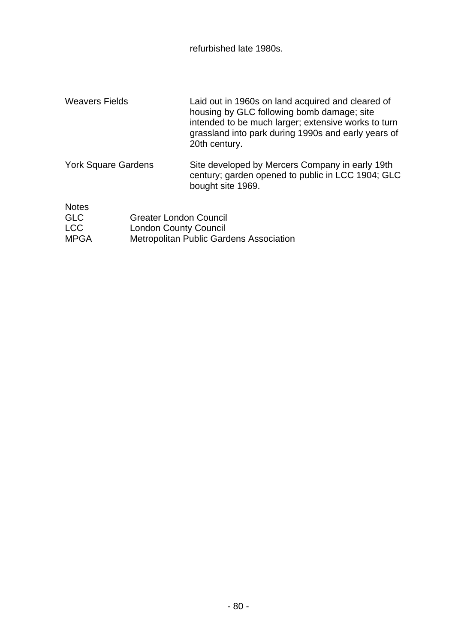refurbished late 1980s.

| <b>Weavers Fields</b>      | Laid out in 1960s on land acquired and cleared of<br>housing by GLC following bomb damage; site<br>intended to be much larger; extensive works to turn<br>grassland into park during 1990s and early years of<br>20th century. |
|----------------------------|--------------------------------------------------------------------------------------------------------------------------------------------------------------------------------------------------------------------------------|
| <b>York Square Gardens</b> | Site developed by Mercers Company in early 19th<br>century; garden opened to public in LCC 1904; GLC<br>bought site 1969.                                                                                                      |
| <b>Notes</b>               |                                                                                                                                                                                                                                |

| <b>GLC</b>  | <b>Greater London Council</b>           |
|-------------|-----------------------------------------|
| <b>LCC</b>  | <b>London County Council</b>            |
| <b>MPGA</b> | Metropolitan Public Gardens Association |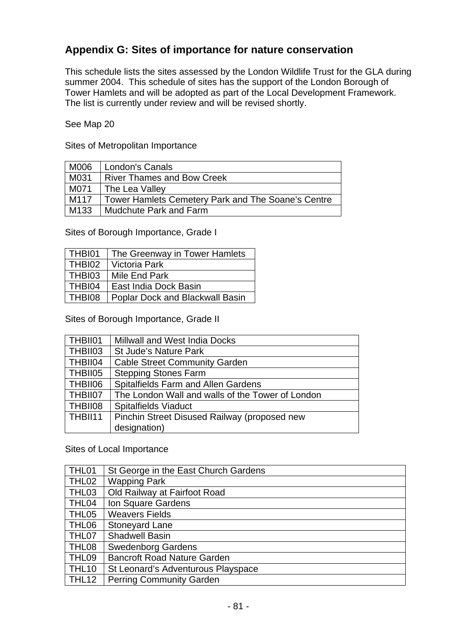### **Appendix G: Sites of importance for nature conservation**

This schedule lists the sites assessed by the London Wildlife Trust for the GLA during summer 2004. This schedule of sites has the support of the London Borough of Tower Hamlets and will be adopted as part of the Local Development Framework. The list is currently under review and will be revised shortly.

See Map 20

Sites of Metropolitan Importance

| M006             | London's Canals                                    |
|------------------|----------------------------------------------------|
| M031             | <b>River Thames and Bow Creek</b>                  |
| M071             | The Lea Valley                                     |
| M117             | Tower Hamlets Cemetery Park and The Soane's Centre |
| M <sub>133</sub> | <b>Mudchute Park and Farm</b>                      |

Sites of Borough Importance, Grade I

| THBI01        | The Greenway in Tower Hamlets          |
|---------------|----------------------------------------|
| THBI02        | Victoria Park                          |
| THBI03        | Mile End Park                          |
| THBI04        | East India Dock Basin                  |
| <b>THBI08</b> | <b>Poplar Dock and Blackwall Basin</b> |

Sites of Borough Importance, Grade II

| THBII01 | Millwall and West India Docks                    |
|---------|--------------------------------------------------|
| THBII03 | <b>St Jude's Nature Park</b>                     |
| THBII04 | <b>Cable Street Community Garden</b>             |
| THBII05 | <b>Stepping Stones Farm</b>                      |
| THBII06 | <b>Spitalfields Farm and Allen Gardens</b>       |
| THBII07 | The London Wall and walls of the Tower of London |
| THBII08 | <b>Spitalfields Viaduct</b>                      |
| THBII11 | Pinchin Street Disused Railway (proposed new     |
|         | designation)                                     |

Sites of Local Importance

| THL01             | St George in the East Church Gardens |
|-------------------|--------------------------------------|
| THL <sub>02</sub> | <b>Wapping Park</b>                  |
| THL03             | Old Railway at Fairfoot Road         |
| THL04             | Ion Square Gardens                   |
| THL05             | <b>Weavers Fields</b>                |
| THL06             | <b>Stoneyard Lane</b>                |
| THL07             | <b>Shadwell Basin</b>                |
| THL08             | <b>Swedenborg Gardens</b>            |
| THL09             | <b>Bancroft Road Nature Garden</b>   |
| THL <sub>10</sub> | St Leonard's Adventurous Playspace   |
| THL12             | <b>Perring Community Garden</b>      |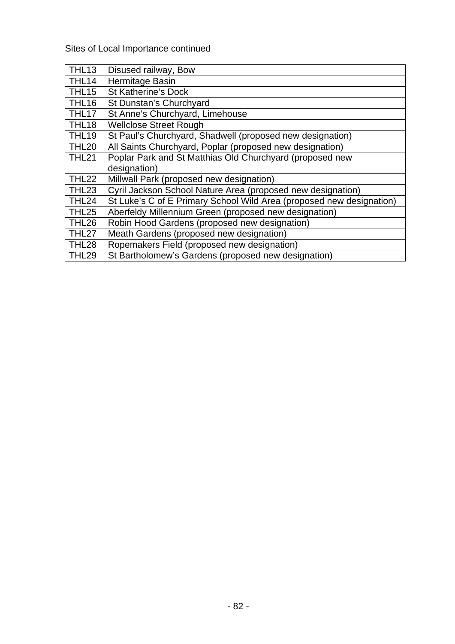Sites of Local Importance continued

| <b>THL13</b>      | Disused railway, Bow                                                 |
|-------------------|----------------------------------------------------------------------|
| THL14             | Hermitage Basin                                                      |
| THL <sub>15</sub> | <b>St Katherine's Dock</b>                                           |
| THL16             | St Dunstan's Churchyard                                              |
| THL17             | St Anne's Churchyard, Limehouse                                      |
| THL <sub>18</sub> | <b>Wellclose Street Rough</b>                                        |
| <b>THL19</b>      | St Paul's Churchyard, Shadwell (proposed new designation)            |
| <b>THL20</b>      | All Saints Churchyard, Poplar (proposed new designation)             |
| <b>THL21</b>      | Poplar Park and St Matthias Old Churchyard (proposed new             |
|                   | designation)                                                         |
| <b>THL22</b>      | Millwall Park (proposed new designation)                             |
| THL23             | Cyril Jackson School Nature Area (proposed new designation)          |
| THL <sub>24</sub> | St Luke's C of E Primary School Wild Area (proposed new designation) |
| THL <sub>25</sub> | Aberfeldy Millennium Green (proposed new designation)                |
| THL <sub>26</sub> | Robin Hood Gardens (proposed new designation)                        |
| THL27             | Meath Gardens (proposed new designation)                             |
| <b>THL28</b>      | Ropemakers Field (proposed new designation)                          |
| <b>THL29</b>      | St Bartholomew's Gardens (proposed new designation)                  |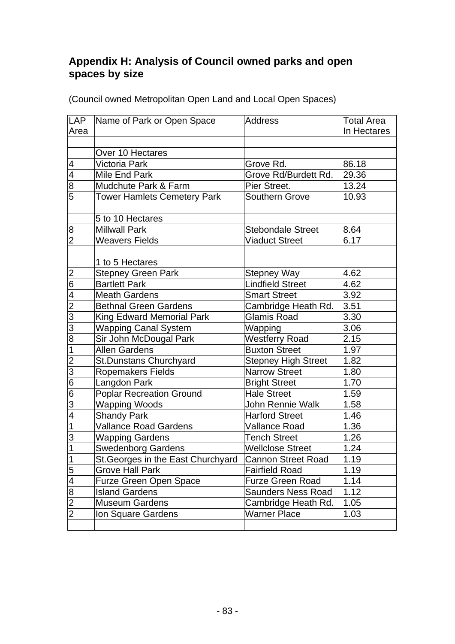### **Appendix H: Analysis of Council owned parks and open spaces by size**

| LAP              | Name of Park or Open Space         | <b>Address</b>             | <b>Total Area</b> |
|------------------|------------------------------------|----------------------------|-------------------|
| Area             |                                    |                            | In Hectares       |
|                  |                                    |                            |                   |
|                  | Over 10 Hectares                   |                            |                   |
| $\overline{4}$   | Victoria Park                      | Grove Rd.                  | 86.18             |
| 4                | Mile End Park                      | Grove Rd/Burdett Rd.       | 29.36             |
| 8                | Mudchute Park & Farm               | Pier Street.               | 13.24             |
| 5                | <b>Tower Hamlets Cemetery Park</b> | Southern Grove             | 10.93             |
|                  |                                    |                            |                   |
|                  | 5 to 10 Hectares                   |                            |                   |
| $\boldsymbol{8}$ | <b>Millwall Park</b>               | <b>Stebondale Street</b>   | 8.64              |
| $\overline{2}$   | <b>Weavers Fields</b>              | <b>Viaduct Street</b>      | 6.17              |
|                  |                                    |                            |                   |
|                  | 1 to 5 Hectares                    |                            |                   |
| 2                | <b>Stepney Green Park</b>          | <b>Stepney Way</b>         | 4.62              |
| $\overline{6}$   | <b>Bartlett Park</b>               | <b>Lindfield Street</b>    | 4.62              |
| $\overline{4}$   | <b>Meath Gardens</b>               | <b>Smart Street</b>        | 3.92              |
| $\overline{2}$   | <b>Bethnal Green Gardens</b>       | Cambridge Heath Rd.        | 3.51              |
| 3                | <b>King Edward Memorial Park</b>   | Glamis Road                | 3.30              |
| $\overline{3}$   | <b>Wapping Canal System</b>        | Wapping                    | 3.06              |
| 8                | Sir John McDougal Park             | <b>Westferry Road</b>      | 2.15              |
| 1                | Allen Gardens                      | <b>Buxton Street</b>       | 1.97              |
| $\overline{2}$   | <b>St.Dunstans Churchyard</b>      | <b>Stepney High Street</b> | 1.82              |
| 3                | <b>Ropemakers Fields</b>           | <b>Narrow Street</b>       | 1.80              |
| 6                | Langdon Park                       | <b>Bright Street</b>       | 1.70              |
| $\overline{6}$   | <b>Poplar Recreation Ground</b>    | Hale Street                | 1.59              |
| $\overline{3}$   | Wapping Woods                      | John Rennie Walk           | 1.58              |
| $\overline{4}$   | <b>Shandy Park</b>                 | <b>Harford Street</b>      | 1.46              |
| $\mathbf{1}$     | <b>Vallance Road Gardens</b>       | Vallance Road              | 1.36              |
| $\overline{3}$   | <b>Wapping Gardens</b>             | <b>Tench Street</b>        | 1.26              |
| $\overline{1}$   | <b>Swedenborg Gardens</b>          | <b>Wellclose Street</b>    | 1.24              |
| $\overline{1}$   | St. Georges in the East Churchyard | Cannon Street Road         | 1.19              |
| $\overline{5}$   | Grove Hall Park                    | <b>Fairfield Road</b>      | 1.19              |
| $\overline{4}$   | <b>Furze Green Open Space</b>      | <b>Furze Green Road</b>    | 1.14              |
| 8                | <b>Island Gardens</b>              | Saunders Ness Road         | 1.12              |
| $\overline{2}$   | <b>Museum Gardens</b>              | Cambridge Heath Rd.        | 1.05              |
| $\overline{2}$   | Ion Square Gardens                 | <b>Warner Place</b>        | 1.03              |
|                  |                                    |                            |                   |

(Council owned Metropolitan Open Land and Local Open Spaces)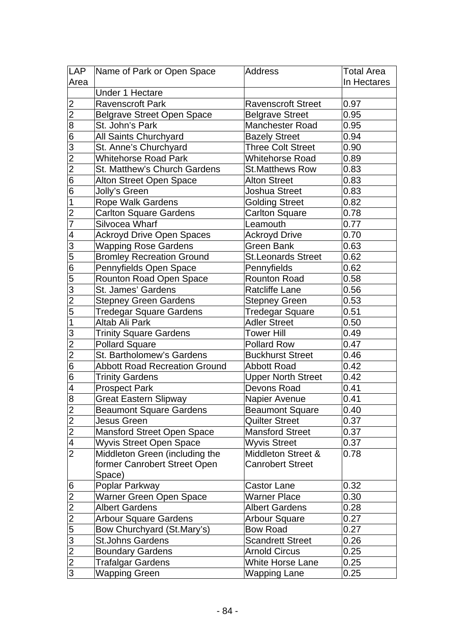| <b>LAP</b>                        | Name of Park or Open Space                                 | <b>Address</b>                          | Total Area   |
|-----------------------------------|------------------------------------------------------------|-----------------------------------------|--------------|
| Area                              |                                                            |                                         | In Hectares  |
|                                   | Under 1 Hectare                                            |                                         |              |
| 2                                 | <b>Ravenscroft Park</b>                                    | <b>Ravenscroft Street</b>               | 0.97         |
| $\overline{c}$                    | <b>Belgrave Street Open Space</b>                          | <b>Belgrave Street</b>                  | 0.95         |
| 8                                 | St. John's Park                                            | Manchester Road                         | 0.95         |
| 6                                 | All Saints Churchyard                                      | <b>Bazely Street</b>                    | 0.94         |
| 3                                 | St. Anne's Churchyard                                      | Three Colt Street                       | 0.90         |
| $\overline{2}$                    | <b>Whitehorse Road Park</b>                                | Whitehorse Road                         | 0.89         |
| $\overline{c}$                    | St. Matthew's Church Gardens                               | <b>St.Matthews Row</b>                  | 0.83         |
| $\overline{6}$                    | Alton Street Open Space                                    | <b>Alton Street</b>                     | 0.83         |
| $\overline{6}$                    | Jolly's Green                                              | <b>Joshua Street</b>                    | 0.83         |
| $\overline{\mathbf{1}}$           | Rope Walk Gardens                                          | <b>Golding Street</b>                   | 0.82         |
| $\overline{2}$                    | <b>Carlton Square Gardens</b>                              | Carlton Square                          | 0.78         |
| $\overline{7}$                    | Silvocea Wharf                                             | Leamouth                                | 0.77         |
| $\overline{\mathbf{4}}$           | Ackroyd Drive Open Spaces                                  | <b>Ackroyd Drive</b>                    | 0.70         |
| $\overline{3}$                    | Wapping Rose Gardens                                       | <b>Green Bank</b>                       | 0.63         |
| 5                                 | <b>Bromley Recreation Ground</b>                           | <b>St.Leonards Street</b>               | 0.62         |
| $\overline{6}$                    | Pennyfields Open Space                                     | Pennyfields                             | 0.62         |
| 5                                 | <b>Rounton Road Open Space</b>                             | <b>Rounton Road</b>                     | 0.58         |
| 3                                 | St. James' Gardens                                         | <b>Ratcliffe Lane</b>                   | 0.56         |
| $\overline{2}$                    | <b>Stepney Green Gardens</b>                               | <b>Stepney Green</b>                    | 0.53         |
| 5                                 | Tredegar Square Gardens                                    | Tredegar Square                         | 0.51         |
| $\mathbf 1$                       | Altab Ali Park                                             | <b>Adler Street</b>                     | 0.50         |
| $\overline{3}$                    | <b>Trinity Square Gardens</b>                              | Tower Hill                              | 0.49         |
| $\overline{2}$                    | <b>Pollard Square</b>                                      | <b>Pollard Row</b>                      | 0.47         |
| $\overline{2}$                    | St. Bartholomew's Gardens                                  | <b>Buckhurst Street</b>                 | 0.46         |
| 6                                 | <b>Abbott Road Recreation Ground</b>                       | <b>Abbott Road</b>                      | 0.42         |
| $\overline{6}$                    | Trinity Gardens                                            | <b>Upper North Street</b>               | 0.42         |
| $\overline{\mathbf{4}}$           | <b>Prospect Park</b>                                       | Devons Road                             | 0.41         |
| 8                                 | <b>Great Eastern Slipway</b>                               | Napier Avenue                           | 0.41         |
| $\overline{2}$                    | <b>Beaumont Square Gardens</b>                             | <b>Beaumont Square</b>                  | 0.40         |
| 2                                 | <b>Jesus Green</b>                                         | <b>Quilter Street</b>                   | 0.37         |
| $\overline{2}$                    | <b>Mansford Street Open Space</b>                          | <b>Mansford Street</b>                  | 0.37         |
| $\overline{\mathcal{A}}$          | Wyvis Street Open Space                                    | <b>Wyvis Street</b>                     | 0.37         |
| $\overline{2}$                    | Middleton Green (including the                             | Middleton Street &                      | 0.78         |
|                                   | former Canrobert Street Open                               | <b>Canrobert Street</b>                 |              |
|                                   | Space)<br>Poplar Parkway                                   |                                         | 0.32         |
| $6\overline{6}$<br>$\overline{c}$ | Warner Green Open Space                                    | <b>Castor Lane</b><br>Warner Place      | 0.30         |
| $\overline{c}$                    | <b>Albert Gardens</b>                                      | <b>Albert Gardens</b>                   |              |
|                                   |                                                            |                                         | 0.28         |
| $\overline{2}$<br>$\overline{5}$  | <b>Arbour Square Gardens</b><br>Bow Churchyard (St.Mary's) | <b>Arbour Square</b><br><b>Bow Road</b> | 0.27<br>0.27 |
| $\overline{3}$                    | <b>St.Johns Gardens</b>                                    | <b>Scandrett Street</b>                 | 0.26         |
| $\overline{2}$                    | <b>Boundary Gardens</b>                                    | <b>Arnold Circus</b>                    | 0.25         |
| $\overline{2}$                    | <b>Trafalgar Gardens</b>                                   | White Horse Lane                        | 0.25         |
| $\overline{3}$                    |                                                            | Wapping Lane                            | 0.25         |
|                                   | Wapping Green                                              |                                         |              |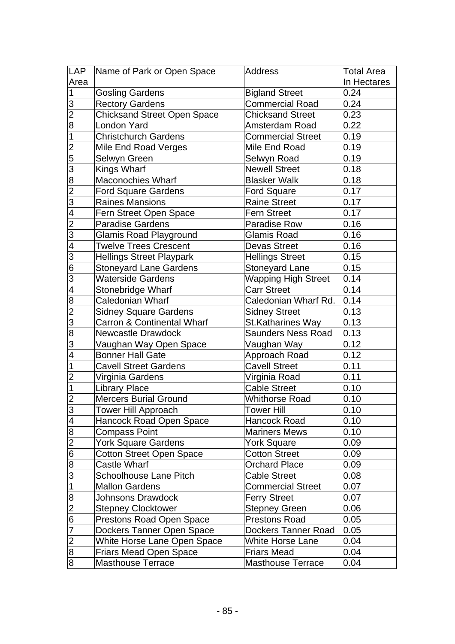| LAP                      | Name of Park or Open Space            | <b>Address</b>           | Total Area  |
|--------------------------|---------------------------------------|--------------------------|-------------|
| Area                     |                                       |                          | In Hectares |
| $\mathbf 1$              | <b>Gosling Gardens</b>                | <b>Bigland Street</b>    | 0.24        |
| 3                        | <b>Rectory Gardens</b>                | <b>Commercial Road</b>   | 0.24        |
| $\overline{2}$           | <b>Chicksand Street Open Space</b>    | <b>Chicksand Street</b>  | 0.23        |
| $\overline{8}$           | London Yard                           | Amsterdam Road           | 0.22        |
| $\overline{1}$           | <b>Christchurch Gardens</b>           | <b>Commercial Street</b> | 0.19        |
| $\overline{2}$           | Mile End Road Verges                  | Mile End Road            | 0.19        |
| $\overline{5}$           | Selwyn Green                          | Selwyn Road              | 0.19        |
| $\overline{3}$           | Kings Wharf                           | <b>Newell Street</b>     | 0.18        |
| 8                        | Maconochies Wharf                     | <b>Blasker Walk</b>      | 0.18        |
| $\overline{2}$           | <b>Ford Square Gardens</b>            | <b>Ford Square</b>       | 0.17        |
| 3                        | <b>Raines Mansions</b>                | <b>Raine Street</b>      | 0.17        |
| $\overline{\mathcal{A}}$ | Fern Street Open Space                | <b>Fern Street</b>       | 0.17        |
| $\overline{2}$           | <b>Paradise Gardens</b>               | <b>Paradise Row</b>      | 0.16        |
| 3                        | Glamis Road Playground                | Glamis Road              | 0.16        |
| 4                        | <b>Twelve Trees Crescent</b>          | <b>Devas Street</b>      | 0.16        |
| 3                        | <b>Hellings Street Playpark</b>       | <b>Hellings Street</b>   | 0.15        |
| $\overline{6}$           | <b>Stoneyard Lane Gardens</b>         | <b>Stoneyard Lane</b>    | 0.15        |
| $\overline{3}$           | <b>Waterside Gardens</b>              | Wapping High Street      | 0.14        |
| $\overline{4}$           | Stonebridge Wharf                     | <b>Carr Street</b>       | 0.14        |
| 8                        | Caledonian Wharf                      | Caledonian Wharf Rd.     | 0.14        |
| $\overline{2}$           | <b>Sidney Square Gardens</b>          | <b>Sidney Street</b>     | 0.13        |
| $\overline{3}$           | <b>Carron &amp; Continental Wharf</b> | <b>St.Katharines Way</b> | 0.13        |
| $\overline{8}$           | Newcastle Drawdock                    | Saunders Ness Road       | 0.13        |
| 3                        | Vaughan Way Open Space                | Vaughan Way              | 0.12        |
| $\overline{\mathcal{A}}$ | <b>Bonner Hall Gate</b>               | Approach Road            | 0.12        |
| $\mathbf 1$              | <b>Cavell Street Gardens</b>          | <b>Cavell Street</b>     | 0.11        |
| $\overline{c}$           | Virginia Gardens                      | Virginia Road            | 0.11        |
| $\mathbf{1}$             | <b>Library Place</b>                  | <b>Cable Street</b>      | 0.10        |
| $\overline{2}$           | <b>Mercers Burial Ground</b>          | <b>Whithorse Road</b>    | 0.10        |
| $\overline{3}$           | Tower Hill Approach                   | <b>Tower Hill</b>        | 0.10        |
| $\overline{\mathcal{A}}$ | Hancock Road Open Space               | Hancock Road             | 0.10        |
| 8                        | Compass Point                         | <b>Mariners Mews</b>     | 0.10        |
| $\overline{2}$           | York Square Gardens                   | York Square              | 0.09        |
| $\overline{6}$           | <b>Cotton Street Open Space</b>       | <b>Cotton Street</b>     | 0.09        |
| $\overline{8}$           | Castle Wharf                          | Orchard Place            | 0.09        |
| $\overline{3}$           | <b>Schoolhouse Lane Pitch</b>         | <b>Cable Street</b>      | 0.08        |
| $\mathbf 1$              | <b>Mallon Gardens</b>                 | <b>Commercial Street</b> | 0.07        |
| 8                        | <b>Johnsons Drawdock</b>              | <b>Ferry Street</b>      | 0.07        |
| $\overline{c}$           | <b>Stepney Clocktower</b>             | <b>Stepney Green</b>     | 0.06        |
| 6                        | <b>Prestons Road Open Space</b>       | <b>Prestons Road</b>     | 0.05        |
| 7                        | Dockers Tanner Open Space             | Dockers Tanner Road      | 0.05        |
| $\overline{c}$           | White Horse Lane Open Space           | <b>White Horse Lane</b>  | 0.04        |
| 8                        | Friars Mead Open Space                | <b>Friars Mead</b>       | 0.04        |
| $\overline{8}$           | <b>Masthouse Terrace</b>              | <b>Masthouse Terrace</b> | 0.04        |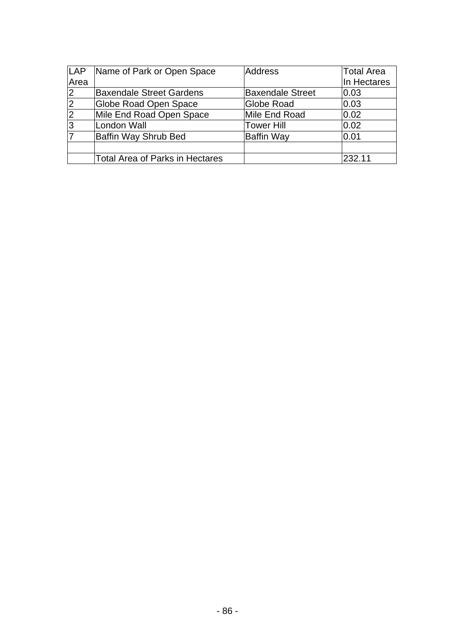| LAP            | Name of Park or Open Space             | <b>Address</b>          | <b>Total Area</b> |
|----------------|----------------------------------------|-------------------------|-------------------|
| Area           |                                        |                         | In Hectares       |
| $\overline{2}$ | <b>Baxendale Street Gardens</b>        | <b>Baxendale Street</b> | 0.03              |
|                | <b>Globe Road Open Space</b>           | Globe Road              | 0.03              |
| $\frac{2}{3}$  | Mile End Road Open Space               | Mile End Road           | 0.02              |
|                | <b>London Wall</b>                     | <b>Tower Hill</b>       | 0.02              |
| $\overline{7}$ | Baffin Way Shrub Bed                   | Baffin Way              | 0.01              |
|                |                                        |                         |                   |
|                | <b>Total Area of Parks in Hectares</b> |                         | 232.11            |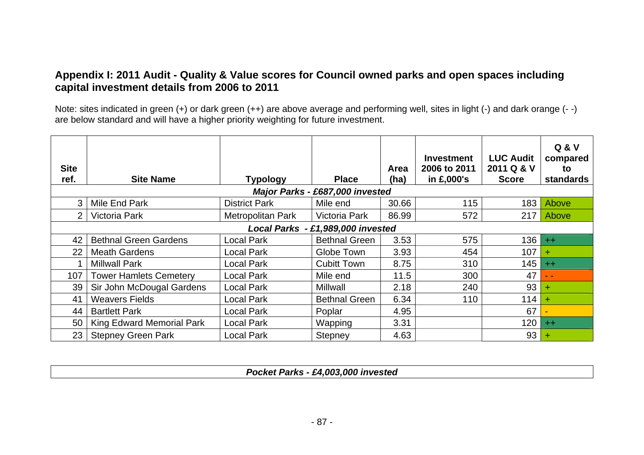### **Appendix I: 2011 Audit - Quality & Value scores for Council owned parks and open spaces including capital investment details from 2006 to 2011**

Note: sites indicated in green (+) or dark green (++) are above average and performing well, sites in light (-) and dark orange (- -) are below standard and will have a higher priority weighting for future investment.

| <b>Site</b><br>ref. | <b>Site Name</b>              | <b>Typology</b>          | <b>Place</b>                      | Area<br>(ha) | <b>Investment</b><br>2006 to 2011<br>in £,000's | <b>LUC Audit</b><br>2011 Q & V<br><b>Score</b> | <b>Q &amp; V</b><br>compared<br>to<br><b>standards</b> |
|---------------------|-------------------------------|--------------------------|-----------------------------------|--------------|-------------------------------------------------|------------------------------------------------|--------------------------------------------------------|
|                     |                               |                          | Major Parks - £687,000 invested   |              |                                                 |                                                |                                                        |
| 3.                  | Mile End Park                 | <b>District Park</b>     | Mile end                          | 30.66        | 115                                             | 183                                            | Above                                                  |
| $\overline{2}$      | Victoria Park                 | <b>Metropolitan Park</b> | Victoria Park                     | 86.99        | 572                                             |                                                | 217 Above                                              |
|                     |                               |                          | Local Parks - £1,989,000 invested |              |                                                 |                                                |                                                        |
| 42                  | <b>Bethnal Green Gardens</b>  | Local Park               | <b>Bethnal Green</b>              | 3.53         | 575                                             | 136                                            | $+$                                                    |
| 22 <sub>2</sub>     | <b>Meath Gardens</b>          | Local Park               | Globe Town                        | 3.93         | 454                                             | 107                                            | ÷                                                      |
|                     | <b>Millwall Park</b>          | Local Park               | <b>Cubitt Town</b>                | 8.75         | 310                                             | 145                                            | $+$                                                    |
| 107                 | <b>Tower Hamlets Cemetery</b> | <b>Local Park</b>        | Mile end                          | 11.5         | 300                                             | 47                                             | - -                                                    |
| 39                  | Sir John McDougal Gardens     | <b>Local Park</b>        | Millwall                          | 2.18         | 240                                             | 93                                             | ÷                                                      |
| 41                  | <b>Weavers Fields</b>         | Local Park               | <b>Bethnal Green</b>              | 6.34         | 110                                             | 114                                            | $+$                                                    |
| 44                  | <b>Bartlett Park</b>          | <b>Local Park</b>        | Poplar                            | 4.95         |                                                 | 67                                             |                                                        |
| 50                  | King Edward Memorial Park     | <b>Local Park</b>        | Wapping                           | 3.31         |                                                 | 120                                            | $+ +$                                                  |
| 23                  | <b>Stepney Green Park</b>     | <b>Local Park</b>        | <b>Stepney</b>                    | 4.63         |                                                 | 93                                             |                                                        |

*Pocket Parks - £4,003,000 invested*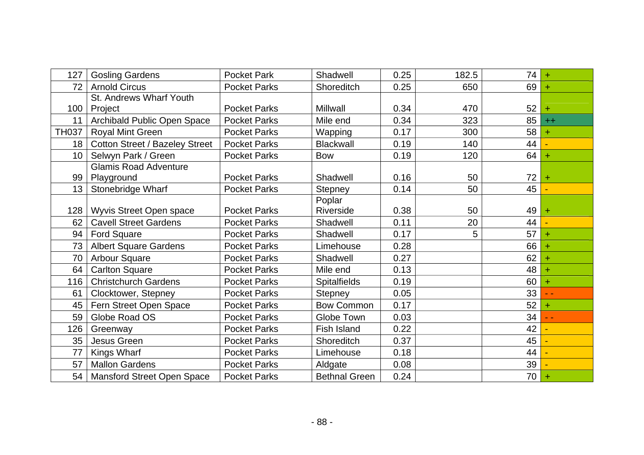| 127             | <b>Gosling Gardens</b>                | <b>Pocket Park</b>  | Shadwell             | 0.25 | 182.5 | 74 | $\ddot{}$ |
|-----------------|---------------------------------------|---------------------|----------------------|------|-------|----|-----------|
| 72              | <b>Arnold Circus</b>                  | <b>Pocket Parks</b> | Shoreditch           | 0.25 | 650   | 69 | $\ddot{}$ |
|                 | St. Andrews Wharf Youth               |                     |                      |      |       |    |           |
| 100             | Project                               | <b>Pocket Parks</b> | Millwall             | 0.34 | 470   | 52 |           |
| 11              | Archibald Public Open Space           | <b>Pocket Parks</b> | Mile end             | 0.34 | 323   | 85 | $++$      |
| <b>TH037</b>    | <b>Royal Mint Green</b>               | <b>Pocket Parks</b> | Wapping              | 0.17 | 300   | 58 |           |
| 18              | <b>Cotton Street / Bazeley Street</b> | <b>Pocket Parks</b> | <b>Blackwall</b>     | 0.19 | 140   | 44 |           |
| 10 <sup>°</sup> | Selwyn Park / Green                   | <b>Pocket Parks</b> | <b>Bow</b>           | 0.19 | 120   | 64 | ÷         |
|                 | <b>Glamis Road Adventure</b>          |                     |                      |      |       |    |           |
| 99              | Playground                            | <b>Pocket Parks</b> | Shadwell             | 0.16 | 50    | 72 |           |
| 13              | Stonebridge Wharf                     | <b>Pocket Parks</b> | Stepney              | 0.14 | 50    | 45 |           |
|                 |                                       |                     | Poplar               |      |       |    |           |
| 128             | Wyvis Street Open space               | <b>Pocket Parks</b> | Riverside            | 0.38 | 50    | 49 | $\pm$     |
| 62              | <b>Cavell Street Gardens</b>          | <b>Pocket Parks</b> | Shadwell             | 0.11 | 20    | 44 |           |
| 94              | <b>Ford Square</b>                    | <b>Pocket Parks</b> | Shadwell             | 0.17 | 5     | 57 |           |
| 73              | <b>Albert Square Gardens</b>          | <b>Pocket Parks</b> | Limehouse            | 0.28 |       | 66 |           |
| 70              | <b>Arbour Square</b>                  | <b>Pocket Parks</b> | Shadwell             | 0.27 |       | 62 |           |
| 64              | <b>Carlton Square</b>                 | <b>Pocket Parks</b> | Mile end             | 0.13 |       | 48 |           |
| 116             | <b>Christchurch Gardens</b>           | <b>Pocket Parks</b> | <b>Spitalfields</b>  | 0.19 |       | 60 | ÷         |
| 61              | Clocktower, Stepney                   | <b>Pocket Parks</b> | <b>Stepney</b>       | 0.05 |       | 33 |           |
| 45              | Fern Street Open Space                | <b>Pocket Parks</b> | <b>Bow Common</b>    | 0.17 |       | 52 | $\pm$     |
| 59              | Globe Road OS                         | <b>Pocket Parks</b> | Globe Town           | 0.03 |       | 34 |           |
| 126             | Greenway                              | <b>Pocket Parks</b> | Fish Island          | 0.22 |       | 42 |           |
| 35              | Jesus Green                           | <b>Pocket Parks</b> | Shoreditch           | 0.37 |       | 45 |           |
| 77              | Kings Wharf                           | <b>Pocket Parks</b> | Limehouse            | 0.18 |       | 44 |           |
| 57              | <b>Mallon Gardens</b>                 | <b>Pocket Parks</b> | Aldgate              | 0.08 |       | 39 |           |
| 54              | <b>Mansford Street Open Space</b>     | <b>Pocket Parks</b> | <b>Bethnal Green</b> | 0.24 |       | 70 |           |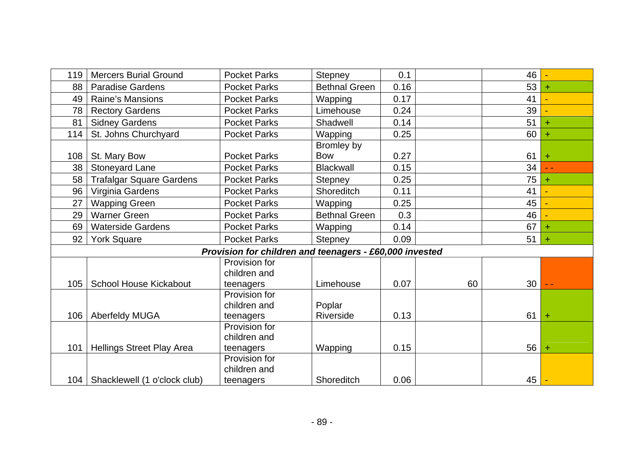| 119 | <b>Mercers Burial Ground</b>    | <b>Pocket Parks</b>                                     | Stepney              | 0.1  |    | 46 |           |
|-----|---------------------------------|---------------------------------------------------------|----------------------|------|----|----|-----------|
| 88  | <b>Paradise Gardens</b>         | <b>Pocket Parks</b>                                     | <b>Bethnal Green</b> | 0.16 |    | 53 | $\pm$     |
| 49  | Raine's Mansions                | <b>Pocket Parks</b>                                     | Wapping              | 0.17 |    | 41 |           |
| 78  | <b>Rectory Gardens</b>          | <b>Pocket Parks</b>                                     | Limehouse            | 0.24 |    | 39 |           |
| 81  | <b>Sidney Gardens</b>           | <b>Pocket Parks</b>                                     | Shadwell             | 0.14 |    | 51 | ÷         |
| 114 | St. Johns Churchyard            | <b>Pocket Parks</b>                                     | Wapping              | 0.25 |    | 60 |           |
|     |                                 |                                                         | Bromley by           |      |    |    |           |
| 108 | St. Mary Bow                    | <b>Pocket Parks</b>                                     | <b>Bow</b>           | 0.27 |    | 61 | $\ddot{}$ |
| 38  | Stoneyard Lane                  | <b>Pocket Parks</b>                                     | <b>Blackwall</b>     | 0.15 |    | 34 | $ -$      |
| 58  | <b>Trafalgar Square Gardens</b> | <b>Pocket Parks</b>                                     | <b>Stepney</b>       | 0.25 |    | 75 | ÷         |
| 96  | Virginia Gardens                | <b>Pocket Parks</b>                                     | <b>Shoreditch</b>    | 0.11 |    | 41 |           |
| 27  | <b>Wapping Green</b>            | <b>Pocket Parks</b>                                     | Wapping              | 0.25 |    | 45 |           |
| 29  | <b>Warner Green</b>             | <b>Pocket Parks</b>                                     | <b>Bethnal Green</b> | 0.3  |    | 46 |           |
| 69  | <b>Waterside Gardens</b>        | <b>Pocket Parks</b>                                     | Wapping              | 0.14 |    | 67 |           |
| 92  | <b>York Square</b>              | <b>Pocket Parks</b>                                     | Stepney              | 0.09 |    | 51 | $\pm$     |
|     |                                 | Provision for children and teenagers - £60,000 invested |                      |      |    |    |           |
|     |                                 | Provision for                                           |                      |      |    |    |           |
|     |                                 | children and                                            |                      |      |    |    |           |
| 105 | <b>School House Kickabout</b>   | teenagers                                               | Limehouse            | 0.07 | 60 | 30 |           |
|     |                                 | Provision for                                           |                      |      |    |    |           |
|     |                                 | children and                                            | Poplar               |      |    |    |           |
| 106 | <b>Aberfeldy MUGA</b>           | teenagers                                               | Riverside            | 0.13 |    | 61 | $\ddot{}$ |
|     |                                 | Provision for                                           |                      |      |    |    |           |
|     |                                 | children and                                            |                      |      |    |    |           |
| 101 | Hellings Street Play Area       | teenagers                                               | Wapping              | 0.15 |    | 56 | ÷         |
|     |                                 | Provision for<br>children and                           |                      |      |    |    |           |
| 104 | Shacklewell (1 o'clock club)    | teenagers                                               | Shoreditch           | 0.06 |    | 45 |           |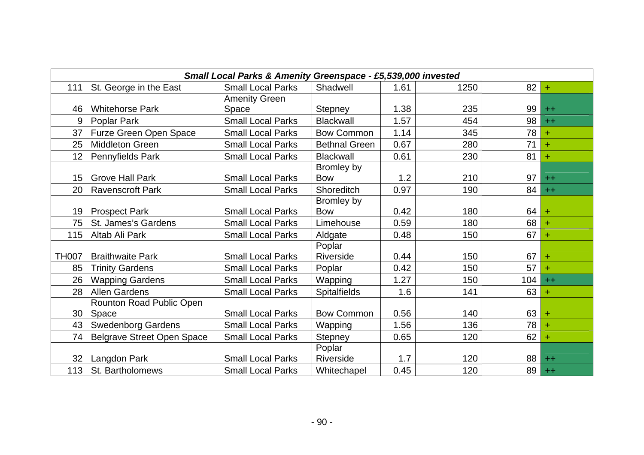|              | Small Local Parks & Amenity Greenspace - £5,539,000 invested |                          |                      |      |      |     |       |  |
|--------------|--------------------------------------------------------------|--------------------------|----------------------|------|------|-----|-------|--|
| 111          | St. George in the East                                       | <b>Small Local Parks</b> | Shadwell             | 1.61 | 1250 | 82  | $\pm$ |  |
|              |                                                              | <b>Amenity Green</b>     |                      |      |      |     |       |  |
| 46           | <b>Whitehorse Park</b>                                       | Space                    | <b>Stepney</b>       | 1.38 | 235  | 99  | $++$  |  |
| 9            | Poplar Park                                                  | <b>Small Local Parks</b> | <b>Blackwall</b>     | 1.57 | 454  | 98  | $++$  |  |
| 37           | Furze Green Open Space                                       | <b>Small Local Parks</b> | <b>Bow Common</b>    | 1.14 | 345  | 78  |       |  |
| 25           | <b>Middleton Green</b>                                       | <b>Small Local Parks</b> | <b>Bethnal Green</b> | 0.67 | 280  | 71  | ÷     |  |
| 12           | Pennyfields Park                                             | <b>Small Local Parks</b> | <b>Blackwall</b>     | 0.61 | 230  | 81  | ÷     |  |
|              |                                                              |                          | Bromley by           |      |      |     |       |  |
| 15           | <b>Grove Hall Park</b>                                       | <b>Small Local Parks</b> | <b>Bow</b>           | 1.2  | 210  | 97  | $++$  |  |
| 20           | <b>Ravenscroft Park</b>                                      | <b>Small Local Parks</b> | Shoreditch           | 0.97 | 190  | 84  | $++$  |  |
|              |                                                              |                          | Bromley by           |      |      |     |       |  |
| 19           | <b>Prospect Park</b>                                         | <b>Small Local Parks</b> | <b>Bow</b>           | 0.42 | 180  | 64  | $\pm$ |  |
| 75           | St. James's Gardens                                          | <b>Small Local Parks</b> | Limehouse            | 0.59 | 180  | 68  |       |  |
| 115          | Altab Ali Park                                               | <b>Small Local Parks</b> | Aldgate              | 0.48 | 150  | 67  | Ŧ     |  |
|              |                                                              |                          | Poplar               |      |      |     |       |  |
| <b>TH007</b> | <b>Braithwaite Park</b>                                      | <b>Small Local Parks</b> | Riverside            | 0.44 | 150  | 67  | ÷     |  |
| 85           | <b>Trinity Gardens</b>                                       | <b>Small Local Parks</b> | Poplar               | 0.42 | 150  | 57  | ÷     |  |
| 26           | <b>Wapping Gardens</b>                                       | <b>Small Local Parks</b> | Wapping              | 1.27 | 150  | 104 | $++$  |  |
| 28           | <b>Allen Gardens</b>                                         | <b>Small Local Parks</b> | <b>Spitalfields</b>  | 1.6  | 141  | 63  | ÷     |  |
|              | Rounton Road Public Open                                     |                          |                      |      |      |     |       |  |
| 30           | Space                                                        | <b>Small Local Parks</b> | <b>Bow Common</b>    | 0.56 | 140  | 63  |       |  |
| 43           | <b>Swedenborg Gardens</b>                                    | <b>Small Local Parks</b> | Wapping              | 1.56 | 136  | 78  |       |  |
| 74           | <b>Belgrave Street Open Space</b>                            | <b>Small Local Parks</b> | <b>Stepney</b>       | 0.65 | 120  | 62  | +     |  |
|              |                                                              |                          | Poplar               |      |      |     |       |  |
| 32           | Langdon Park                                                 | <b>Small Local Parks</b> | Riverside            | 1.7  | 120  | 88  | $++$  |  |
| 113          | St. Bartholomews                                             | <b>Small Local Parks</b> | Whitechapel          | 0.45 | 120  | 89  | $++$  |  |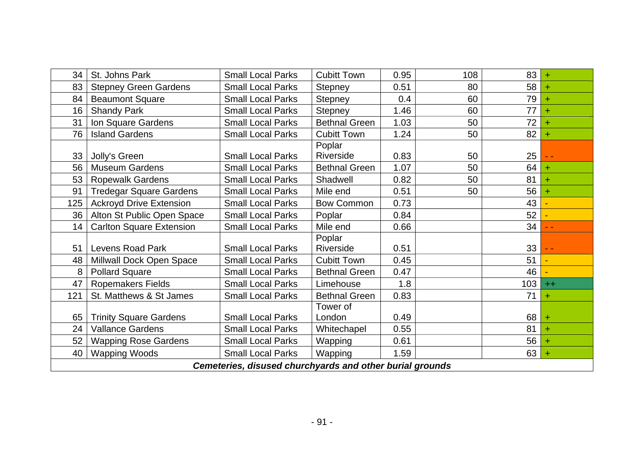| 34  | St. Johns Park                  | <b>Small Local Parks</b>                                 | <b>Cubitt Town</b>   | 0.95 | 108 | 83  | $\ddot{}$ |
|-----|---------------------------------|----------------------------------------------------------|----------------------|------|-----|-----|-----------|
| 83  | <b>Stepney Green Gardens</b>    | <b>Small Local Parks</b>                                 | <b>Stepney</b>       | 0.51 | 80  | 58  |           |
| 84  | <b>Beaumont Square</b>          | <b>Small Local Parks</b>                                 | <b>Stepney</b>       | 0.4  | 60  | 79  |           |
| 16  | <b>Shandy Park</b>              | <b>Small Local Parks</b>                                 | <b>Stepney</b>       | 1.46 | 60  | 77  |           |
| 31  | Ion Square Gardens              | <b>Small Local Parks</b>                                 | <b>Bethnal Green</b> | 1.03 | 50  | 72  |           |
| 76  | <b>Island Gardens</b>           | <b>Small Local Parks</b>                                 | <b>Cubitt Town</b>   | 1.24 | 50  | 82  | ÷         |
| 33  | Jolly's Green                   | <b>Small Local Parks</b>                                 | Poplar<br>Riverside  | 0.83 | 50  | 25  |           |
| 56  | <b>Museum Gardens</b>           | <b>Small Local Parks</b>                                 | <b>Bethnal Green</b> | 1.07 | 50  | 64  | $\pm$     |
| 53  | <b>Ropewalk Gardens</b>         | <b>Small Local Parks</b>                                 | Shadwell             | 0.82 | 50  | 81  | ÷         |
| 91  | <b>Tredegar Square Gardens</b>  | <b>Small Local Parks</b>                                 | Mile end             | 0.51 | 50  | 56  | ÷         |
| 125 | <b>Ackroyd Drive Extension</b>  | <b>Small Local Parks</b>                                 | <b>Bow Common</b>    | 0.73 |     | 43  |           |
| 36  | Alton St Public Open Space      | <b>Small Local Parks</b>                                 | Poplar               | 0.84 |     | 52  |           |
| 14  | <b>Carlton Square Extension</b> | <b>Small Local Parks</b>                                 | Mile end             | 0.66 |     | 34  |           |
|     |                                 |                                                          | Poplar               |      |     |     |           |
| 51  | Levens Road Park                | <b>Small Local Parks</b>                                 | Riverside            | 0.51 |     | 33  |           |
| 48  | Millwall Dock Open Space        | <b>Small Local Parks</b>                                 | <b>Cubitt Town</b>   | 0.45 |     | 51  |           |
| 8   | <b>Pollard Square</b>           | <b>Small Local Parks</b>                                 | <b>Bethnal Green</b> | 0.47 |     | 46  |           |
| 47  | <b>Ropemakers Fields</b>        | <b>Small Local Parks</b>                                 | Limehouse            | 1.8  |     | 103 | $++$      |
| 121 | St. Matthews & St James         | <b>Small Local Parks</b>                                 | <b>Bethnal Green</b> | 0.83 |     | 71  | $\pm$     |
|     |                                 |                                                          | Tower of             |      |     |     |           |
| 65  | <b>Trinity Square Gardens</b>   | <b>Small Local Parks</b>                                 | London               | 0.49 |     | 68  | ÷         |
| 24  | <b>Vallance Gardens</b>         | <b>Small Local Parks</b>                                 | Whitechapel          | 0.55 |     | 81  | ÷         |
| 52  | <b>Wapping Rose Gardens</b>     | <b>Small Local Parks</b>                                 | Wapping              | 0.61 |     | 56  |           |
| 40  | <b>Wapping Woods</b>            | <b>Small Local Parks</b>                                 | Wapping              | 1.59 |     | 63  | ÷         |
|     |                                 | Cemeteries, disused churchyards and other burial grounds |                      |      |     |     |           |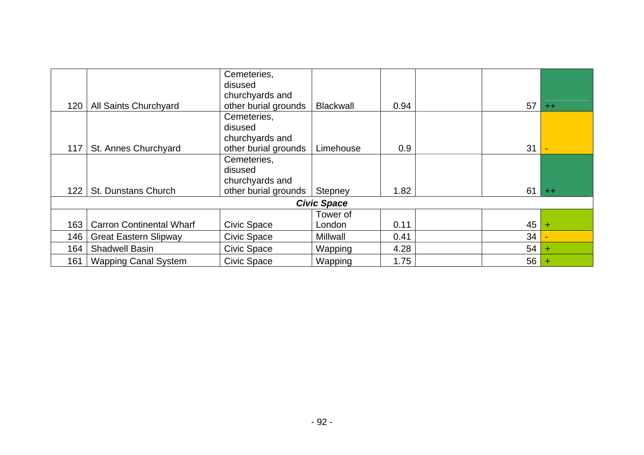|     |                                 | Cemeteries,<br>disused |                    |      |    |       |
|-----|---------------------------------|------------------------|--------------------|------|----|-------|
|     |                                 | churchyards and        |                    |      |    |       |
| 120 | All Saints Churchyard           | other burial grounds   | <b>Blackwall</b>   | 0.94 | 57 | $++$  |
|     |                                 | Cemeteries,            |                    |      |    |       |
|     |                                 | disused                |                    |      |    |       |
|     |                                 | churchyards and        |                    |      |    |       |
| 117 | St. Annes Churchyard            | other burial grounds   | Limehouse          | 0.9  | 31 |       |
|     |                                 | Cemeteries,            |                    |      |    |       |
|     |                                 | disused                |                    |      |    |       |
|     |                                 | churchyards and        |                    |      |    |       |
| 122 | <b>St. Dunstans Church</b>      | other burial grounds   | Stepney            | 1.82 | 61 | $+ +$ |
|     |                                 |                        | <b>Civic Space</b> |      |    |       |
|     |                                 |                        | Tower of           |      |    |       |
| 163 | <b>Carron Continental Wharf</b> | <b>Civic Space</b>     | London             | 0.11 | 45 |       |
| 146 | <b>Great Eastern Slipway</b>    | <b>Civic Space</b>     | Millwall           | 0.41 | 34 |       |
| 164 | <b>Shadwell Basin</b>           | <b>Civic Space</b>     | <b>Wapping</b>     | 4.28 | 54 | ÷     |
| 161 | <b>Wapping Canal System</b>     | <b>Civic Space</b>     | Wapping            | 1.75 | 56 |       |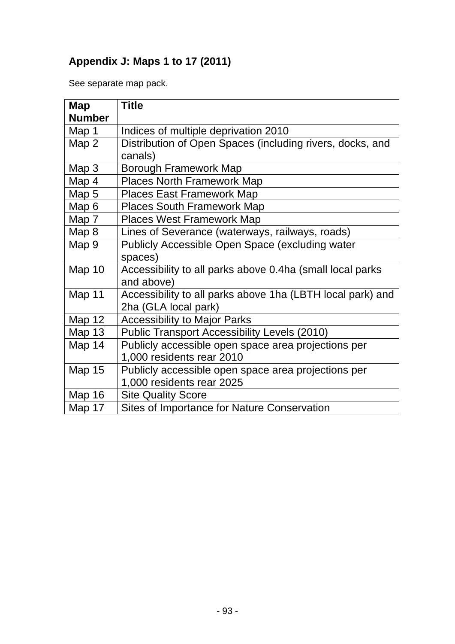## **Appendix J: Maps 1 to 17 (2011)**

See separate map pack.

| Map           | <b>Title</b>                                               |
|---------------|------------------------------------------------------------|
| <b>Number</b> |                                                            |
| Map 1         | Indices of multiple deprivation 2010                       |
| Map 2         | Distribution of Open Spaces (including rivers, docks, and  |
|               | canals)                                                    |
| Map 3         | Borough Framework Map                                      |
| Map 4         | <b>Places North Framework Map</b>                          |
| Map 5         | <b>Places East Framework Map</b>                           |
| Map 6         | <b>Places South Framework Map</b>                          |
| Map 7         | <b>Places West Framework Map</b>                           |
| Map 8         | Lines of Severance (waterways, railways, roads)            |
| Map 9         | Publicly Accessible Open Space (excluding water            |
|               | spaces)                                                    |
| Map 10        | Accessibility to all parks above 0.4ha (small local parks  |
|               | and above)                                                 |
| Map 11        | Accessibility to all parks above 1ha (LBTH local park) and |
|               | 2ha (GLA local park)                                       |
| <b>Map 12</b> | <b>Accessibility to Major Parks</b>                        |
| <b>Map 13</b> | <b>Public Transport Accessibility Levels (2010)</b>        |
| Map 14        | Publicly accessible open space area projections per        |
|               | 1,000 residents rear 2010                                  |
| <b>Map 15</b> | Publicly accessible open space area projections per        |
|               | 1,000 residents rear 2025                                  |
| <b>Map 16</b> | <b>Site Quality Score</b>                                  |
| Map 17        | <b>Sites of Importance for Nature Conservation</b>         |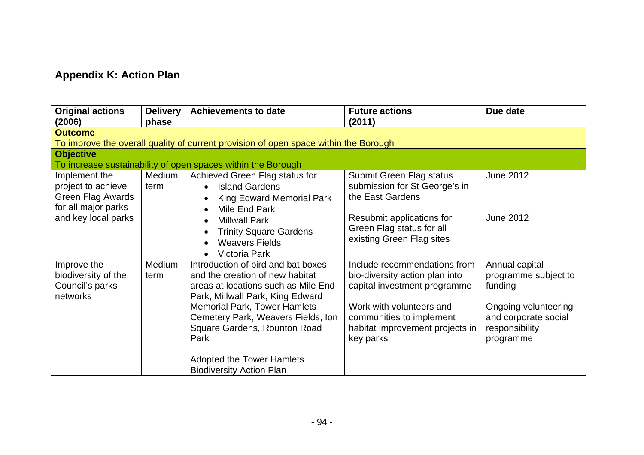# **Appendix K: Action Plan**

| <b>Original actions</b><br>(2006)                                                                      | <b>Delivery</b><br>phase | <b>Achievements to date</b>                                                                                                                                                                                                                                   | <b>Future actions</b><br>(2011)                                                                                                                                                           | Due date                                                                                                            |  |  |  |  |  |  |
|--------------------------------------------------------------------------------------------------------|--------------------------|---------------------------------------------------------------------------------------------------------------------------------------------------------------------------------------------------------------------------------------------------------------|-------------------------------------------------------------------------------------------------------------------------------------------------------------------------------------------|---------------------------------------------------------------------------------------------------------------------|--|--|--|--|--|--|
| <b>Outcome</b><br>To improve the overall quality of current provision of open space within the Borough |                          |                                                                                                                                                                                                                                                               |                                                                                                                                                                                           |                                                                                                                     |  |  |  |  |  |  |
| <b>Objective</b>                                                                                       |                          | To increase sustainability of open spaces within the Borough                                                                                                                                                                                                  |                                                                                                                                                                                           |                                                                                                                     |  |  |  |  |  |  |
| Implement the<br>project to achieve<br>Green Flag Awards<br>for all major parks                        | Medium<br>term           | Achieved Green Flag status for<br><b>Island Gardens</b><br><b>King Edward Memorial Park</b><br>Mile End Park                                                                                                                                                  | Submit Green Flag status<br>submission for St George's in<br>the East Gardens                                                                                                             | <b>June 2012</b>                                                                                                    |  |  |  |  |  |  |
| and key local parks                                                                                    |                          | <b>Millwall Park</b><br><b>Trinity Square Gardens</b><br><b>Weavers Fields</b><br><b>Victoria Park</b>                                                                                                                                                        | Resubmit applications for<br>Green Flag status for all<br>existing Green Flag sites                                                                                                       | <b>June 2012</b>                                                                                                    |  |  |  |  |  |  |
| Improve the<br>biodiversity of the<br>Council's parks<br>networks                                      | Medium<br>term           | Introduction of bird and bat boxes<br>and the creation of new habitat<br>areas at locations such as Mile End<br>Park, Millwall Park, King Edward<br><b>Memorial Park, Tower Hamlets</b><br>Cemetery Park, Weavers Fields, Ion<br>Square Gardens, Rounton Road | Include recommendations from<br>bio-diversity action plan into<br>capital investment programme<br>Work with volunteers and<br>communities to implement<br>habitat improvement projects in | Annual capital<br>programme subject to<br>funding<br>Ongoing volunteering<br>and corporate social<br>responsibility |  |  |  |  |  |  |
|                                                                                                        |                          | Park<br><b>Adopted the Tower Hamlets</b><br><b>Biodiversity Action Plan</b>                                                                                                                                                                                   | key parks                                                                                                                                                                                 | programme                                                                                                           |  |  |  |  |  |  |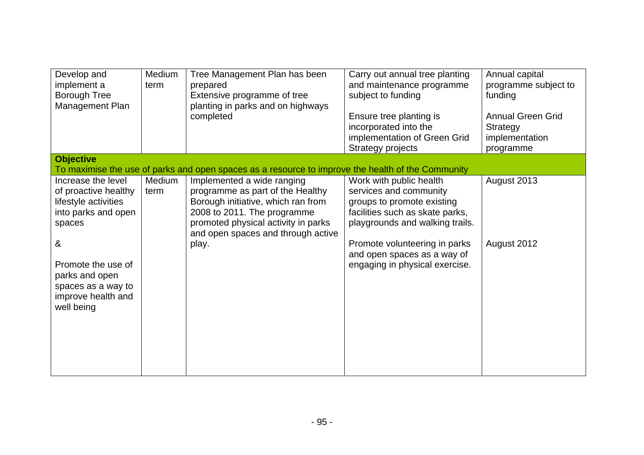| Develop and<br>implement a<br><b>Borough Tree</b><br>Management Plan                                                                                                                                       | Medium<br>term | Tree Management Plan has been<br>prepared<br>Extensive programme of tree<br>planting in parks and on highways<br>completed                                                                                                | Carry out annual tree planting<br>and maintenance programme<br>subject to funding<br>Ensure tree planting is<br>incorporated into the<br>implementation of Green Grid<br><b>Strategy projects</b>                                                       | Annual capital<br>programme subject to<br>funding<br><b>Annual Green Grid</b><br><b>Strategy</b><br>implementation<br>programme |
|------------------------------------------------------------------------------------------------------------------------------------------------------------------------------------------------------------|----------------|---------------------------------------------------------------------------------------------------------------------------------------------------------------------------------------------------------------------------|---------------------------------------------------------------------------------------------------------------------------------------------------------------------------------------------------------------------------------------------------------|---------------------------------------------------------------------------------------------------------------------------------|
| <b>Objective</b>                                                                                                                                                                                           |                | To maximise the use of parks and open spaces as a resource to improve the health of the Community                                                                                                                         |                                                                                                                                                                                                                                                         |                                                                                                                                 |
| Increase the level<br>of proactive healthy<br>lifestyle activities<br>into parks and open<br>spaces<br>&<br>Promote the use of<br>parks and open<br>spaces as a way to<br>improve health and<br>well being | Medium<br>term | Implemented a wide ranging<br>programme as part of the Healthy<br>Borough initiative, which ran from<br>2008 to 2011. The programme<br>promoted physical activity in parks<br>and open spaces and through active<br>play. | Work with public health<br>services and community<br>groups to promote existing<br>facilities such as skate parks,<br>playgrounds and walking trails.<br>Promote volunteering in parks<br>and open spaces as a way of<br>engaging in physical exercise. | August 2013<br>August 2012                                                                                                      |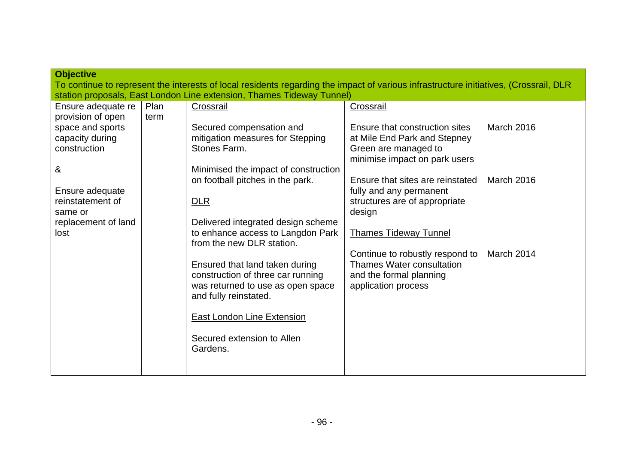| <b>Objective</b><br>To continue to represent the interests of local residents regarding the impact of various infrastructure initiatives, (Crossrail, DLR |              |                                                                                                                                   |                                                                                                                       |                   |  |
|-----------------------------------------------------------------------------------------------------------------------------------------------------------|--------------|-----------------------------------------------------------------------------------------------------------------------------------|-----------------------------------------------------------------------------------------------------------------------|-------------------|--|
|                                                                                                                                                           |              | station proposals, East London Line extension, Thames Tideway Tunnel)                                                             |                                                                                                                       |                   |  |
| Ensure adequate re<br>provision of open                                                                                                                   | Plan<br>term | Crossrail                                                                                                                         | Crossrail                                                                                                             |                   |  |
| space and sports<br>capacity during                                                                                                                       |              | Secured compensation and<br>mitigation measures for Stepping                                                                      | Ensure that construction sites<br>at Mile End Park and Stepney                                                        | March 2016        |  |
| construction                                                                                                                                              |              | Stones Farm.                                                                                                                      | Green are managed to<br>minimise impact on park users                                                                 |                   |  |
| &<br>Ensure adequate                                                                                                                                      |              | Minimised the impact of construction<br>on football pitches in the park.                                                          | Ensure that sites are reinstated<br>fully and any permanent                                                           | <b>March 2016</b> |  |
| reinstatement of<br>same or                                                                                                                               |              | DLR                                                                                                                               | structures are of appropriate<br>design                                                                               |                   |  |
| replacement of land<br>lost                                                                                                                               |              | Delivered integrated design scheme<br>to enhance access to Langdon Park<br>from the new DLR station.                              | <b>Thames Tideway Tunnel</b>                                                                                          |                   |  |
|                                                                                                                                                           |              | Ensured that land taken during<br>construction of three car running<br>was returned to use as open space<br>and fully reinstated. | Continue to robustly respond to<br><b>Thames Water consultation</b><br>and the formal planning<br>application process | March 2014        |  |
|                                                                                                                                                           |              | East London Line Extension                                                                                                        |                                                                                                                       |                   |  |
|                                                                                                                                                           |              | Secured extension to Allen<br>Gardens.                                                                                            |                                                                                                                       |                   |  |
|                                                                                                                                                           |              |                                                                                                                                   |                                                                                                                       |                   |  |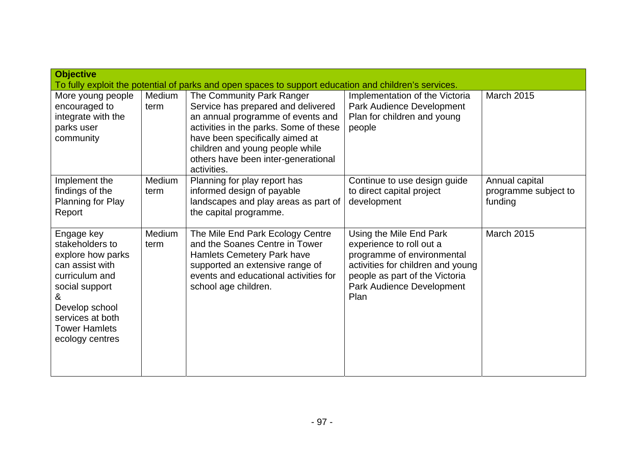| <b>Objective</b><br>To fully exploit the potential of parks and open spaces to support education and children's services.                                                                       |                |                                                                                                                                                                                                                                                                            |                                                                                                                                                                                               |                                                   |
|-------------------------------------------------------------------------------------------------------------------------------------------------------------------------------------------------|----------------|----------------------------------------------------------------------------------------------------------------------------------------------------------------------------------------------------------------------------------------------------------------------------|-----------------------------------------------------------------------------------------------------------------------------------------------------------------------------------------------|---------------------------------------------------|
| More young people<br>encouraged to<br>integrate with the<br>parks user<br>community                                                                                                             | Medium<br>term | The Community Park Ranger<br>Service has prepared and delivered<br>an annual programme of events and<br>activities in the parks. Some of these<br>have been specifically aimed at<br>children and young people while<br>others have been inter-generational<br>activities. | Implementation of the Victoria<br>Park Audience Development<br>Plan for children and young<br>people                                                                                          | <b>March 2015</b>                                 |
| Implement the<br>findings of the<br>Planning for Play<br>Report                                                                                                                                 | Medium<br>term | Planning for play report has<br>informed design of payable<br>landscapes and play areas as part of<br>the capital programme.                                                                                                                                               | Continue to use design guide<br>to direct capital project<br>development                                                                                                                      | Annual capital<br>programme subject to<br>funding |
| Engage key<br>stakeholders to<br>explore how parks<br>can assist with<br>curriculum and<br>social support<br>&<br>Develop school<br>services at both<br><b>Tower Hamlets</b><br>ecology centres | Medium<br>term | The Mile End Park Ecology Centre<br>and the Soanes Centre in Tower<br>Hamlets Cemetery Park have<br>supported an extensive range of<br>events and educational activities for<br>school age children.                                                                       | Using the Mile End Park<br>experience to roll out a<br>programme of environmental<br>activities for children and young<br>people as part of the Victoria<br>Park Audience Development<br>Plan | <b>March 2015</b>                                 |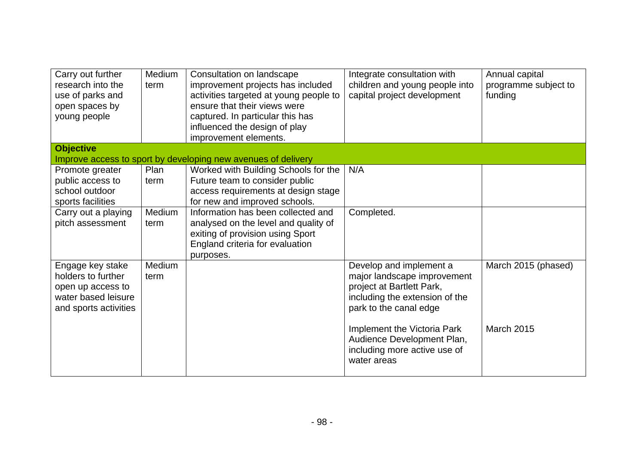| Carry out further<br>research into the<br>use of parks and<br>open spaces by<br>young people                | Medium<br>term      | Consultation on landscape<br>improvement projects has included<br>activities targeted at young people to<br>ensure that their views were<br>captured. In particular this has<br>influenced the design of play<br>improvement elements. | Integrate consultation with<br>children and young people into<br>capital project development                                                    | Annual capital<br>programme subject to<br>funding |
|-------------------------------------------------------------------------------------------------------------|---------------------|----------------------------------------------------------------------------------------------------------------------------------------------------------------------------------------------------------------------------------------|-------------------------------------------------------------------------------------------------------------------------------------------------|---------------------------------------------------|
| <b>Objective</b>                                                                                            |                     | Improve access to sport by developing new avenues of delivery                                                                                                                                                                          |                                                                                                                                                 |                                                   |
| Promote greater<br>public access to<br>school outdoor<br>sports facilities                                  | <b>Plan</b><br>term | Worked with Building Schools for the<br>Future team to consider public<br>access requirements at design stage<br>for new and improved schools.                                                                                         | N/A                                                                                                                                             |                                                   |
| Carry out a playing<br>pitch assessment                                                                     | Medium<br>term      | Information has been collected and<br>analysed on the level and quality of<br>exiting of provision using Sport<br>England criteria for evaluation<br>purposes.                                                                         | Completed.                                                                                                                                      |                                                   |
| Engage key stake<br>holders to further<br>open up access to<br>water based leisure<br>and sports activities | Medium<br>term      |                                                                                                                                                                                                                                        | Develop and implement a<br>major landscape improvement<br>project at Bartlett Park,<br>including the extension of the<br>park to the canal edge | March 2015 (phased)                               |
|                                                                                                             |                     |                                                                                                                                                                                                                                        | Implement the Victoria Park<br>Audience Development Plan,<br>including more active use of<br>water areas                                        | <b>March 2015</b>                                 |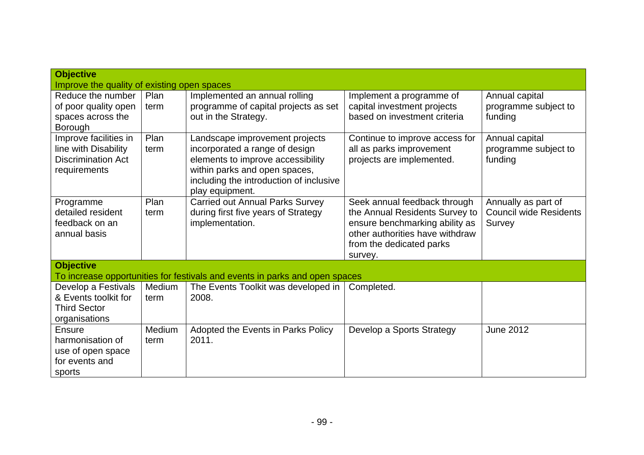| <b>Objective</b>                            |        |                                                                             |                                 |                               |
|---------------------------------------------|--------|-----------------------------------------------------------------------------|---------------------------------|-------------------------------|
| Improve the quality of existing open spaces |        |                                                                             |                                 |                               |
| Reduce the number                           | Plan   | Implemented an annual rolling                                               | Implement a programme of        | Annual capital                |
| of poor quality open                        | term   | programme of capital projects as set                                        | capital investment projects     | programme subject to          |
| spaces across the                           |        | out in the Strategy.                                                        | based on investment criteria    | funding                       |
| Borough                                     |        |                                                                             |                                 |                               |
| Improve facilities in                       | Plan   | Landscape improvement projects                                              | Continue to improve access for  | Annual capital                |
| line with Disability                        | term   | incorporated a range of design                                              | all as parks improvement        | programme subject to          |
| <b>Discrimination Act</b>                   |        | elements to improve accessibility                                           | projects are implemented.       | funding                       |
| requirements                                |        | within parks and open spaces,                                               |                                 |                               |
|                                             |        | including the introduction of inclusive                                     |                                 |                               |
|                                             |        | play equipment.                                                             |                                 |                               |
| Programme                                   | Plan   | <b>Carried out Annual Parks Survey</b>                                      | Seek annual feedback through    | Annually as part of           |
| detailed resident                           | term   | during first five years of Strategy                                         | the Annual Residents Survey to  | <b>Council wide Residents</b> |
| feedback on an                              |        | implementation.                                                             | ensure benchmarking ability as  | Survey                        |
| annual basis                                |        |                                                                             | other authorities have withdraw |                               |
|                                             |        |                                                                             | from the dedicated parks        |                               |
|                                             |        |                                                                             | survey.                         |                               |
| <b>Objective</b>                            |        |                                                                             |                                 |                               |
|                                             |        | To increase opportunities for festivals and events in parks and open spaces |                                 |                               |
| Develop a Festivals                         | Medium | The Events Toolkit was developed in                                         | Completed.                      |                               |
| & Events toolkit for                        | term   | 2008.                                                                       |                                 |                               |
| <b>Third Sector</b>                         |        |                                                                             |                                 |                               |
| organisations                               |        |                                                                             |                                 |                               |
| <b>Ensure</b>                               | Medium | Adopted the Events in Parks Policy                                          | Develop a Sports Strategy       | <b>June 2012</b>              |
| harmonisation of                            | term   | 2011.                                                                       |                                 |                               |
| use of open space                           |        |                                                                             |                                 |                               |
| for events and                              |        |                                                                             |                                 |                               |
| sports                                      |        |                                                                             |                                 |                               |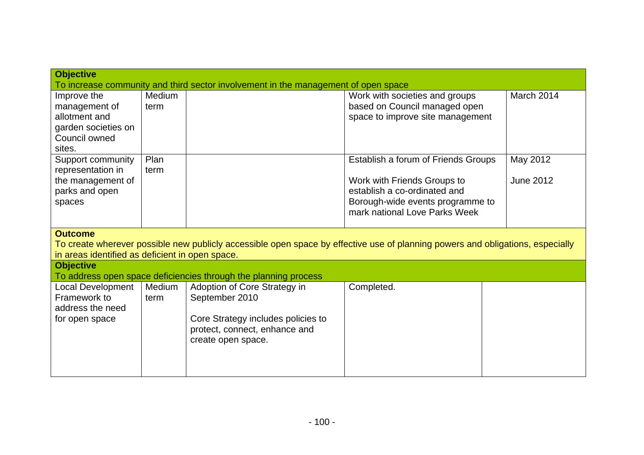| Improve the                                     | Medium |                                                                 | Work with societies and groups                                                                                                 | March 2014 |
|-------------------------------------------------|--------|-----------------------------------------------------------------|--------------------------------------------------------------------------------------------------------------------------------|------------|
| management of                                   | term   |                                                                 | based on Council managed open                                                                                                  |            |
| allotment and                                   |        |                                                                 | space to improve site management                                                                                               |            |
| garden societies on                             |        |                                                                 |                                                                                                                                |            |
| Council owned                                   |        |                                                                 |                                                                                                                                |            |
| sites.                                          |        |                                                                 |                                                                                                                                |            |
| Support community                               | Plan   |                                                                 | Establish a forum of Friends Groups                                                                                            | May 2012   |
| representation in                               | term   |                                                                 |                                                                                                                                |            |
| the management of                               |        |                                                                 | Work with Friends Groups to                                                                                                    | June 2012  |
| parks and open                                  |        |                                                                 | establish a co-ordinated and                                                                                                   |            |
| spaces                                          |        |                                                                 | Borough-wide events programme to                                                                                               |            |
|                                                 |        |                                                                 |                                                                                                                                |            |
|                                                 |        |                                                                 | mark national Love Parks Week                                                                                                  |            |
|                                                 |        |                                                                 |                                                                                                                                |            |
| <b>Outcome</b>                                  |        |                                                                 |                                                                                                                                |            |
| in areas identified as deficient in open space. |        |                                                                 | To create wherever possible new publicly accessible open space by effective use of planning powers and obligations, especially |            |
| <b>Objective</b>                                |        |                                                                 |                                                                                                                                |            |
|                                                 |        | To address open space deficiencies through the planning process |                                                                                                                                |            |
| <b>Local Development</b>                        | Medium | Adoption of Core Strategy in                                    | Completed.                                                                                                                     |            |
| Framework to                                    | term   | September 2010                                                  |                                                                                                                                |            |
| address the need                                |        |                                                                 |                                                                                                                                |            |
| for open space                                  |        | Core Strategy includes policies to                              |                                                                                                                                |            |
|                                                 |        | protect, connect, enhance and                                   |                                                                                                                                |            |
|                                                 |        | create open space.                                              |                                                                                                                                |            |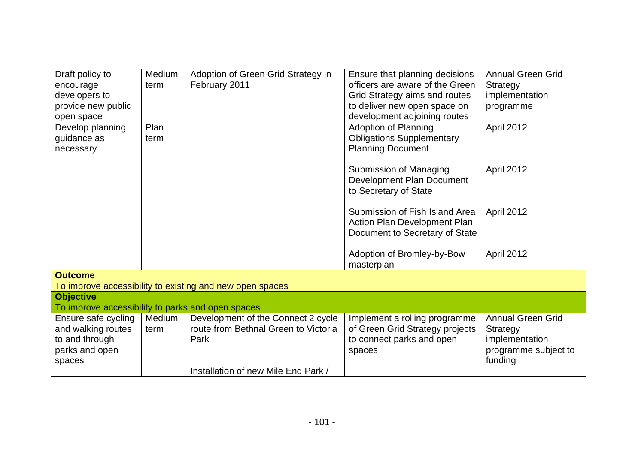| Draft policy to                                   | Medium | Adoption of Green Grid Strategy in                       | Ensure that planning decisions   | <b>Annual Green Grid</b> |
|---------------------------------------------------|--------|----------------------------------------------------------|----------------------------------|--------------------------|
| encourage                                         | term   | February 2011                                            | officers are aware of the Green  | Strategy                 |
| developers to                                     |        |                                                          | Grid Strategy aims and routes    | implementation           |
| provide new public                                |        |                                                          | to deliver new open space on     | programme                |
| open space                                        |        |                                                          | development adjoining routes     |                          |
| Develop planning                                  | Plan   |                                                          | <b>Adoption of Planning</b>      | April 2012               |
| guidance as                                       | term   |                                                          | <b>Obligations Supplementary</b> |                          |
| necessary                                         |        |                                                          | <b>Planning Document</b>         |                          |
|                                                   |        |                                                          |                                  |                          |
|                                                   |        |                                                          | Submission of Managing           | April 2012               |
|                                                   |        |                                                          | Development Plan Document        |                          |
|                                                   |        |                                                          | to Secretary of State            |                          |
|                                                   |        |                                                          |                                  |                          |
|                                                   |        |                                                          | Submission of Fish Island Area   | April 2012               |
|                                                   |        |                                                          | Action Plan Development Plan     |                          |
|                                                   |        |                                                          | Document to Secretary of State   |                          |
|                                                   |        |                                                          |                                  |                          |
|                                                   |        |                                                          | Adoption of Bromley-by-Bow       | April 2012               |
|                                                   |        |                                                          | masterplan                       |                          |
| <b>Outcome</b>                                    |        |                                                          |                                  |                          |
|                                                   |        | To improve accessibility to existing and new open spaces |                                  |                          |
| <b>Objective</b>                                  |        |                                                          |                                  |                          |
| To improve accessibility to parks and open spaces |        |                                                          |                                  |                          |
| Ensure safe cycling                               | Medium | Development of the Connect 2 cycle                       | Implement a rolling programme    | <b>Annual Green Grid</b> |
| and walking routes                                | term   | route from Bethnal Green to Victoria                     | of Green Grid Strategy projects  | <b>Strategy</b>          |
| to and through                                    |        | Park                                                     | to connect parks and open        | implementation           |
| parks and open                                    |        |                                                          | spaces                           | programme subject to     |
| spaces                                            |        |                                                          |                                  | funding                  |
|                                                   |        | Installation of new Mile End Park /                      |                                  |                          |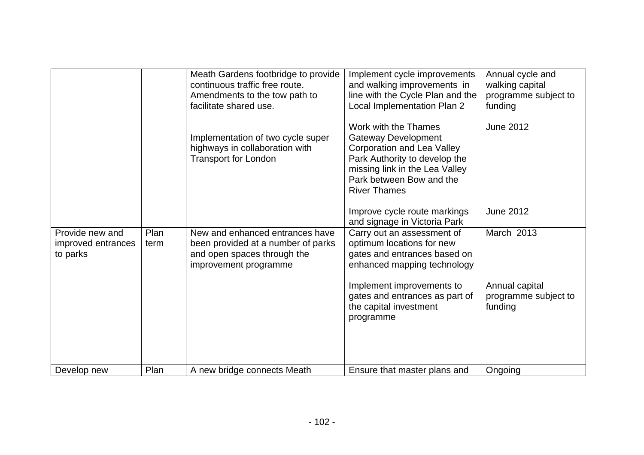|                                                   |              | Meath Gardens footbridge to provide<br>continuous traffic free route.<br>Amendments to the tow path to<br>facilitate shared use.<br>Implementation of two cycle super<br>highways in collaboration with<br><b>Transport for London</b> | Implement cycle improvements<br>and walking improvements in<br>line with the Cycle Plan and the<br>Local Implementation Plan 2<br>Work with the Thames<br><b>Gateway Development</b><br><b>Corporation and Lea Valley</b><br>Park Authority to develop the<br>missing link in the Lea Valley<br>Park between Bow and the<br><b>River Thames</b> | Annual cycle and<br>walking capital<br>programme subject to<br>funding<br>June 2012 |
|---------------------------------------------------|--------------|----------------------------------------------------------------------------------------------------------------------------------------------------------------------------------------------------------------------------------------|-------------------------------------------------------------------------------------------------------------------------------------------------------------------------------------------------------------------------------------------------------------------------------------------------------------------------------------------------|-------------------------------------------------------------------------------------|
|                                                   |              |                                                                                                                                                                                                                                        | Improve cycle route markings<br>and signage in Victoria Park                                                                                                                                                                                                                                                                                    | June 2012                                                                           |
| Provide new and<br>improved entrances<br>to parks | Plan<br>term | New and enhanced entrances have<br>been provided at a number of parks<br>and open spaces through the<br>improvement programme                                                                                                          | Carry out an assessment of<br>optimum locations for new<br>gates and entrances based on<br>enhanced mapping technology<br>Implement improvements to<br>gates and entrances as part of<br>the capital investment<br>programme                                                                                                                    | March 2013<br>Annual capital<br>programme subject to<br>funding                     |
| Develop new                                       | Plan         | A new bridge connects Meath                                                                                                                                                                                                            | Ensure that master plans and                                                                                                                                                                                                                                                                                                                    | Ongoing                                                                             |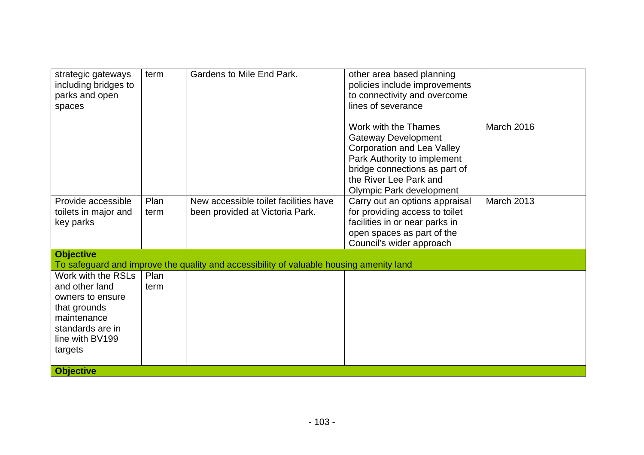| strategic gateways<br>including bridges to<br>parks and open<br>spaces                                                                    | term         | <b>Gardens to Mile End Park.</b>                                                        | other area based planning<br>policies include improvements<br>to connectivity and overcome<br>lines of severance                                                                                                     |                   |
|-------------------------------------------------------------------------------------------------------------------------------------------|--------------|-----------------------------------------------------------------------------------------|----------------------------------------------------------------------------------------------------------------------------------------------------------------------------------------------------------------------|-------------------|
|                                                                                                                                           |              |                                                                                         | Work with the Thames<br><b>Gateway Development</b><br><b>Corporation and Lea Valley</b><br>Park Authority to implement<br>bridge connections as part of<br>the River Lee Park and<br><b>Olympic Park development</b> | <b>March 2016</b> |
| Provide accessible<br>toilets in major and<br>key parks                                                                                   | Plan<br>term | New accessible toilet facilities have<br>been provided at Victoria Park.                | Carry out an options appraisal<br>for providing access to toilet<br>facilities in or near parks in<br>open spaces as part of the<br>Council's wider approach                                                         | <b>March 2013</b> |
| <b>Objective</b>                                                                                                                          |              | To safeguard and improve the quality and accessibility of valuable housing amenity land |                                                                                                                                                                                                                      |                   |
| Work with the RSLs<br>and other land<br>owners to ensure<br>that grounds<br>maintenance<br>standards are in<br>line with BV199<br>targets | Plan<br>term |                                                                                         |                                                                                                                                                                                                                      |                   |
| <b>Objective</b>                                                                                                                          |              |                                                                                         |                                                                                                                                                                                                                      |                   |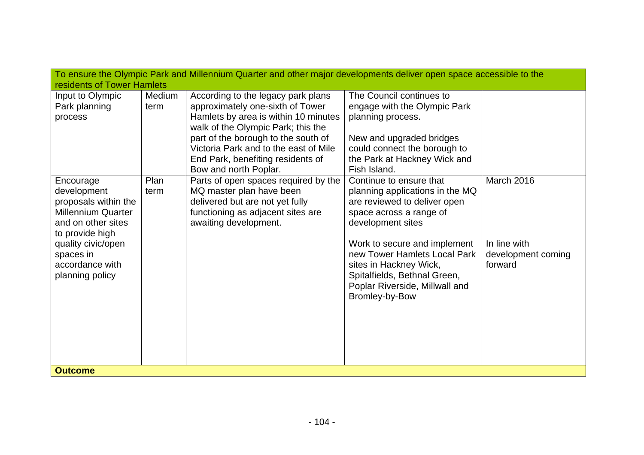| To ensure the Olympic Park and Millennium Quarter and other major developments deliver open space accessible to the<br>residents of Tower Hamlets                                               |                |                                                                                                                                                                                                                                                                                                    |                                                                                                                                                                                                                                                                                                                          |                                                             |  |
|-------------------------------------------------------------------------------------------------------------------------------------------------------------------------------------------------|----------------|----------------------------------------------------------------------------------------------------------------------------------------------------------------------------------------------------------------------------------------------------------------------------------------------------|--------------------------------------------------------------------------------------------------------------------------------------------------------------------------------------------------------------------------------------------------------------------------------------------------------------------------|-------------------------------------------------------------|--|
| Input to Olympic<br>Park planning<br>process                                                                                                                                                    | Medium<br>term | According to the legacy park plans<br>approximately one-sixth of Tower<br>Hamlets by area is within 10 minutes<br>walk of the Olympic Park; this the<br>part of the borough to the south of<br>Victoria Park and to the east of Mile<br>End Park, benefiting residents of<br>Bow and north Poplar. | The Council continues to<br>engage with the Olympic Park<br>planning process.<br>New and upgraded bridges<br>could connect the borough to<br>the Park at Hackney Wick and<br>Fish Island.                                                                                                                                |                                                             |  |
| Encourage<br>development<br>proposals within the<br><b>Millennium Quarter</b><br>and on other sites<br>to provide high<br>quality civic/open<br>spaces in<br>accordance with<br>planning policy | Plan<br>term   | Parts of open spaces required by the<br>MQ master plan have been<br>delivered but are not yet fully<br>functioning as adjacent sites are<br>awaiting development.                                                                                                                                  | Continue to ensure that<br>planning applications in the MQ<br>are reviewed to deliver open<br>space across a range of<br>development sites<br>Work to secure and implement<br>new Tower Hamlets Local Park<br>sites in Hackney Wick,<br>Spitalfields, Bethnal Green,<br>Poplar Riverside, Millwall and<br>Bromley-by-Bow | March 2016<br>In line with<br>development coming<br>forward |  |
| <b>Outcome</b>                                                                                                                                                                                  |                |                                                                                                                                                                                                                                                                                                    |                                                                                                                                                                                                                                                                                                                          |                                                             |  |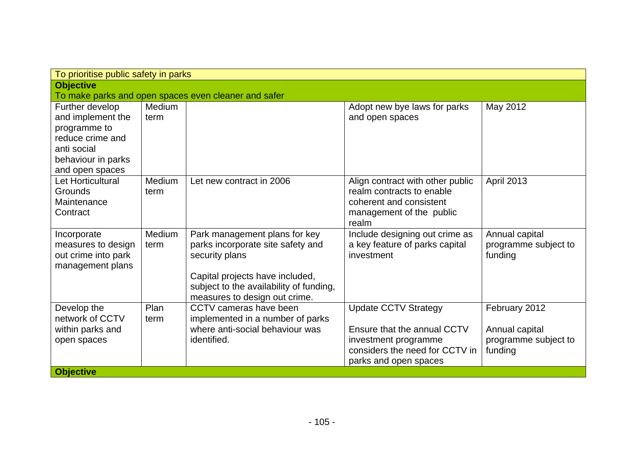| To prioritise public safety in parks                                                                                             |                |                                                                                                                                                                                                     |                                                                                                                                               |                                                                    |
|----------------------------------------------------------------------------------------------------------------------------------|----------------|-----------------------------------------------------------------------------------------------------------------------------------------------------------------------------------------------------|-----------------------------------------------------------------------------------------------------------------------------------------------|--------------------------------------------------------------------|
| <b>Objective</b>                                                                                                                 |                |                                                                                                                                                                                                     |                                                                                                                                               |                                                                    |
|                                                                                                                                  |                | To make parks and open spaces even cleaner and safer                                                                                                                                                |                                                                                                                                               |                                                                    |
| Further develop<br>and implement the<br>programme to<br>reduce crime and<br>anti social<br>behaviour in parks<br>and open spaces | Medium<br>term |                                                                                                                                                                                                     | Adopt new bye laws for parks<br>and open spaces                                                                                               | May 2012                                                           |
| Let Horticultural<br><b>Grounds</b><br>Maintenance<br>Contract                                                                   | Medium<br>term | Let new contract in 2006                                                                                                                                                                            | Align contract with other public<br>realm contracts to enable<br>coherent and consistent<br>management of the public<br>realm                 | <b>April 2013</b>                                                  |
| Incorporate<br>measures to design<br>out crime into park<br>management plans                                                     | Medium<br>term | Park management plans for key<br>parks incorporate site safety and<br>security plans<br>Capital projects have included,<br>subject to the availability of funding,<br>measures to design out crime. | Include designing out crime as<br>a key feature of parks capital<br>investment                                                                | Annual capital<br>programme subject to<br>funding                  |
| Develop the<br>network of CCTV<br>within parks and<br>open spaces                                                                | Plan<br>term   | CCTV cameras have been<br>implemented in a number of parks<br>where anti-social behaviour was<br>identified.                                                                                        | <b>Update CCTV Strategy</b><br>Ensure that the annual CCTV<br>investment programme<br>considers the need for CCTV in<br>parks and open spaces | February 2012<br>Annual capital<br>programme subject to<br>funding |
| <b>Objective</b>                                                                                                                 |                |                                                                                                                                                                                                     |                                                                                                                                               |                                                                    |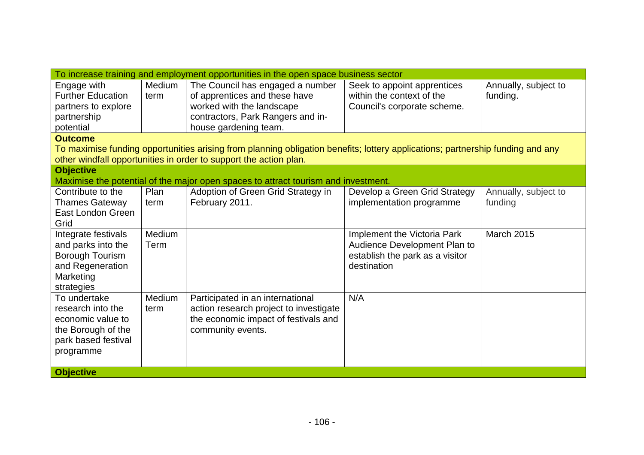|                                       | To increase training and employment opportunities in the open space business sector |                                                                                                                                |                                                                 |                      |  |  |
|---------------------------------------|-------------------------------------------------------------------------------------|--------------------------------------------------------------------------------------------------------------------------------|-----------------------------------------------------------------|----------------------|--|--|
| Engage with                           | Medium                                                                              | The Council has engaged a number                                                                                               | Seek to appoint apprentices                                     | Annually, subject to |  |  |
| <b>Further Education</b>              | term                                                                                | of apprentices and these have                                                                                                  | within the context of the                                       | funding.             |  |  |
| partners to explore                   |                                                                                     | worked with the landscape                                                                                                      | Council's corporate scheme.                                     |                      |  |  |
| partnership                           |                                                                                     | contractors, Park Rangers and in-                                                                                              |                                                                 |                      |  |  |
| potential                             |                                                                                     | house gardening team.                                                                                                          |                                                                 |                      |  |  |
| <b>Outcome</b>                        |                                                                                     |                                                                                                                                |                                                                 |                      |  |  |
|                                       |                                                                                     | To maximise funding opportunities arising from planning obligation benefits; lottery applications; partnership funding and any |                                                                 |                      |  |  |
|                                       |                                                                                     | other windfall opportunities in order to support the action plan.                                                              |                                                                 |                      |  |  |
| <b>Objective</b>                      |                                                                                     |                                                                                                                                |                                                                 |                      |  |  |
|                                       |                                                                                     | Maximise the potential of the major open spaces to attract tourism and investment.                                             |                                                                 |                      |  |  |
| Contribute to the                     | Plan                                                                                | Adoption of Green Grid Strategy in                                                                                             | Develop a Green Grid Strategy                                   | Annually, subject to |  |  |
| <b>Thames Gateway</b>                 | term                                                                                | February 2011.                                                                                                                 | implementation programme                                        | funding              |  |  |
| East London Green                     |                                                                                     |                                                                                                                                |                                                                 |                      |  |  |
| Grid                                  |                                                                                     |                                                                                                                                |                                                                 |                      |  |  |
| Integrate festivals                   | Medium<br>Term                                                                      |                                                                                                                                | Implement the Victoria Park                                     | <b>March 2015</b>    |  |  |
| and parks into the<br>Borough Tourism |                                                                                     |                                                                                                                                | Audience Development Plan to<br>establish the park as a visitor |                      |  |  |
| and Regeneration                      |                                                                                     |                                                                                                                                | destination                                                     |                      |  |  |
| Marketing                             |                                                                                     |                                                                                                                                |                                                                 |                      |  |  |
| strategies                            |                                                                                     |                                                                                                                                |                                                                 |                      |  |  |
| To undertake                          | Medium                                                                              | Participated in an international                                                                                               | N/A                                                             |                      |  |  |
| research into the                     | term                                                                                | action research project to investigate                                                                                         |                                                                 |                      |  |  |
| economic value to                     |                                                                                     | the economic impact of festivals and                                                                                           |                                                                 |                      |  |  |
| the Borough of the                    |                                                                                     | community events.                                                                                                              |                                                                 |                      |  |  |
| park based festival                   |                                                                                     |                                                                                                                                |                                                                 |                      |  |  |
| programme                             |                                                                                     |                                                                                                                                |                                                                 |                      |  |  |
|                                       |                                                                                     |                                                                                                                                |                                                                 |                      |  |  |
| <b>Objective</b>                      |                                                                                     |                                                                                                                                |                                                                 |                      |  |  |